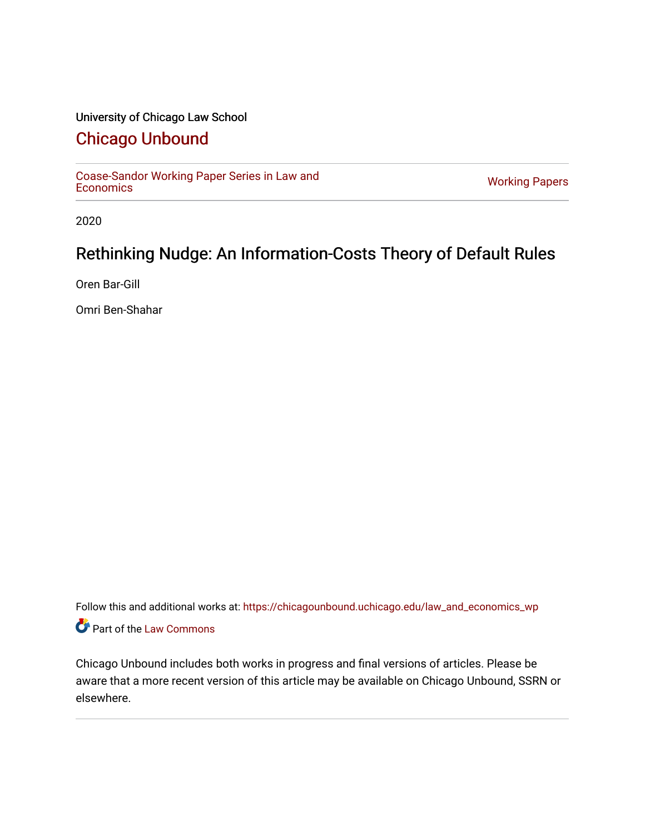## University of Chicago Law School

## [Chicago Unbound](https://chicagounbound.uchicago.edu/)

[Coase-Sandor Working Paper Series in Law and](https://chicagounbound.uchicago.edu/law_and_economics_wp) [Economics](https://chicagounbound.uchicago.edu/law_and_economics_wp) [Working Papers](https://chicagounbound.uchicago.edu/working_papers) 

2020

# Rethinking Nudge: An Information-Costs Theory of Default Rules

Oren Bar-Gill

Omri Ben-Shahar

Follow this and additional works at: [https://chicagounbound.uchicago.edu/law\\_and\\_economics\\_wp](https://chicagounbound.uchicago.edu/law_and_economics_wp?utm_source=chicagounbound.uchicago.edu%2Flaw_and_economics_wp%2F38&utm_medium=PDF&utm_campaign=PDFCoverPages)  Part of the [Law Commons](http://network.bepress.com/hgg/discipline/578?utm_source=chicagounbound.uchicago.edu%2Flaw_and_economics_wp%2F38&utm_medium=PDF&utm_campaign=PDFCoverPages)

Chicago Unbound includes both works in progress and final versions of articles. Please be aware that a more recent version of this article may be available on Chicago Unbound, SSRN or elsewhere.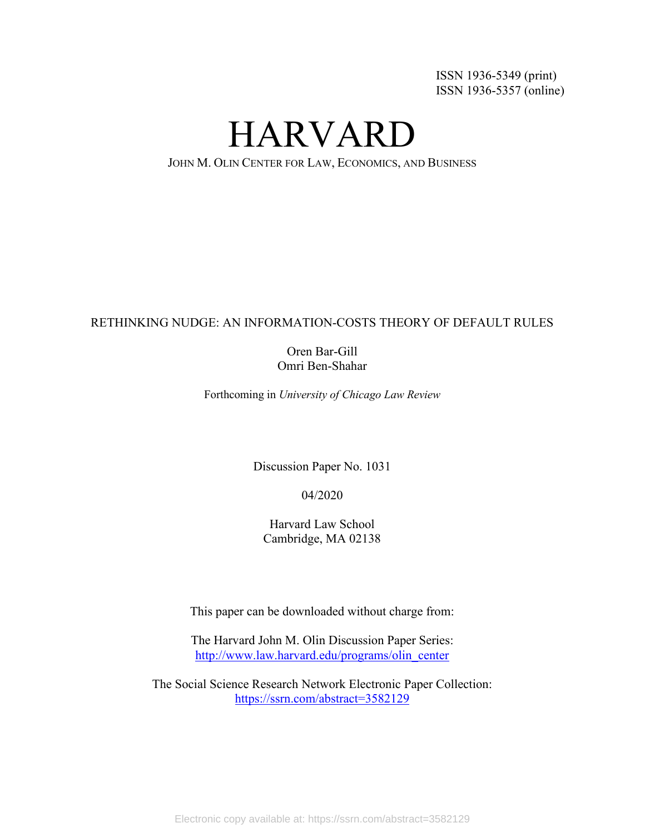ISSN 1936-5349 (print) ISSN 1936-5357 (online)

HARVARD

JOHN M. OLIN CENTER FOR LAW, ECONOMICS, AND BUSINESS

## RETHINKING NUDGE: AN INFORMATION-COSTS THEORY OF DEFAULT RULES

## Oren Bar-Gill Omri Ben-Shahar

Forthcoming in *University of Chicago Law Review*

Discussion Paper No. 1031

04/2020

Harvard Law School Cambridge, MA 02138

This paper can be downloaded without charge from:

The Harvard John M. Olin Discussion Paper Series: [http://www.law.harvard.edu/programs/olin\\_center](http://www.law.harvard.edu/programs/olin_center)

The Social Science Research Network Electronic Paper Collection: https://ssrn.com/abstract=3582129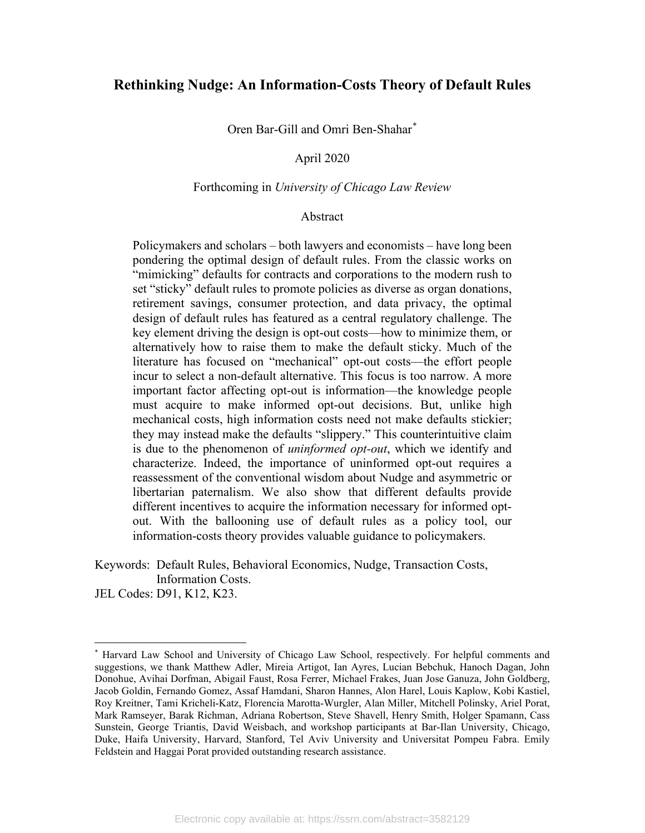## **Rethinking Nudge: An Information-Costs Theory of Default Rules**

Oren Bar-Gill and Omri Ben-Shahar[\\*](#page-2-0)

#### April 2020

#### Forthcoming in *University of Chicago Law Review*

#### Abstract

Policymakers and scholars – both lawyers and economists – have long been pondering the optimal design of default rules. From the classic works on "mimicking" defaults for contracts and corporations to the modern rush to set "sticky" default rules to promote policies as diverse as organ donations, retirement savings, consumer protection, and data privacy, the optimal design of default rules has featured as a central regulatory challenge. The key element driving the design is opt-out costs—how to minimize them, or alternatively how to raise them to make the default sticky. Much of the literature has focused on "mechanical" opt-out costs—the effort people incur to select a non-default alternative. This focus is too narrow. A more important factor affecting opt-out is information—the knowledge people must acquire to make informed opt-out decisions. But, unlike high mechanical costs, high information costs need not make defaults stickier; they may instead make the defaults "slippery." This counterintuitive claim is due to the phenomenon of *uninformed opt-out*, which we identify and characterize. Indeed, the importance of uninformed opt-out requires a reassessment of the conventional wisdom about Nudge and asymmetric or libertarian paternalism. We also show that different defaults provide different incentives to acquire the information necessary for informed optout. With the ballooning use of default rules as a policy tool, our information-costs theory provides valuable guidance to policymakers.

Keywords: Default Rules, Behavioral Economics, Nudge, Transaction Costs, Information Costs.

JEL Codes: D91, K12, K23.

<span id="page-2-0"></span><sup>\*</sup> Harvard Law School and University of Chicago Law School, respectively. For helpful comments and suggestions, we thank Matthew Adler, Mireia Artigot, Ian Ayres, Lucian Bebchuk, Hanoch Dagan, John Donohue, Avihai Dorfman, Abigail Faust, Rosa Ferrer, Michael Frakes, Juan Jose Ganuza, John Goldberg, Jacob Goldin, Fernando Gomez, Assaf Hamdani, Sharon Hannes, Alon Harel, Louis Kaplow, Kobi Kastiel, Roy Kreitner, Tami Kricheli-Katz, Florencia Marotta-Wurgler, Alan Miller, Mitchell Polinsky, Ariel Porat, Mark Ramseyer, Barak Richman, Adriana Robertson, Steve Shavell, Henry Smith, Holger Spamann, Cass Sunstein, George Triantis, David Weisbach, and workshop participants at Bar-Ilan University, Chicago, Duke, Haifa University, Harvard, Stanford, Tel Aviv University and Universitat Pompeu Fabra. Emily Feldstein and Haggai Porat provided outstanding research assistance.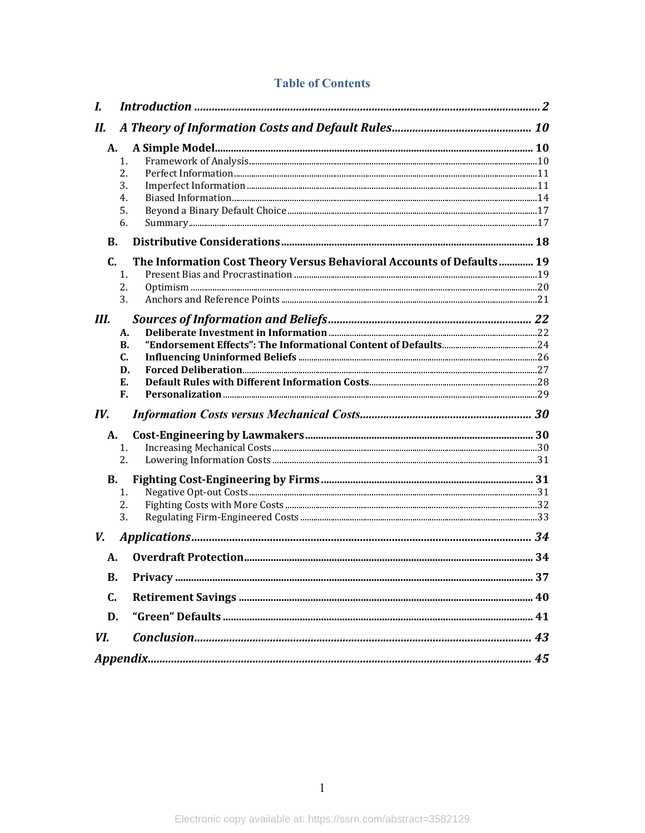## **Table of Contents**

| I.             |                                                                       |  |
|----------------|-----------------------------------------------------------------------|--|
| Н.             |                                                                       |  |
| А.             |                                                                       |  |
|                | 1.                                                                    |  |
|                | 2.                                                                    |  |
|                | 3.                                                                    |  |
|                | 4.                                                                    |  |
|                | 5.                                                                    |  |
|                | 6.                                                                    |  |
| <b>B.</b>      |                                                                       |  |
| $\mathbf{C}$ . | The Information Cost Theory Versus Behavioral Accounts of Defaults 19 |  |
|                | 1.                                                                    |  |
|                | 2.                                                                    |  |
|                | 3.                                                                    |  |
| Ш.             |                                                                       |  |
|                | А.                                                                    |  |
|                | В.                                                                    |  |
|                | C.                                                                    |  |
|                | D.                                                                    |  |
|                | Е.                                                                    |  |
|                | F.                                                                    |  |
| IV.            |                                                                       |  |
| А.             |                                                                       |  |
|                | 1.                                                                    |  |
|                | 2.                                                                    |  |
| <b>B.</b>      |                                                                       |  |
|                | 1.                                                                    |  |
|                | 2.                                                                    |  |
|                | 3.                                                                    |  |
| V.             |                                                                       |  |
| А.             |                                                                       |  |
| <b>B.</b>      |                                                                       |  |
| $C_{\cdot}$    |                                                                       |  |
| D.             |                                                                       |  |
| VI.            |                                                                       |  |
|                |                                                                       |  |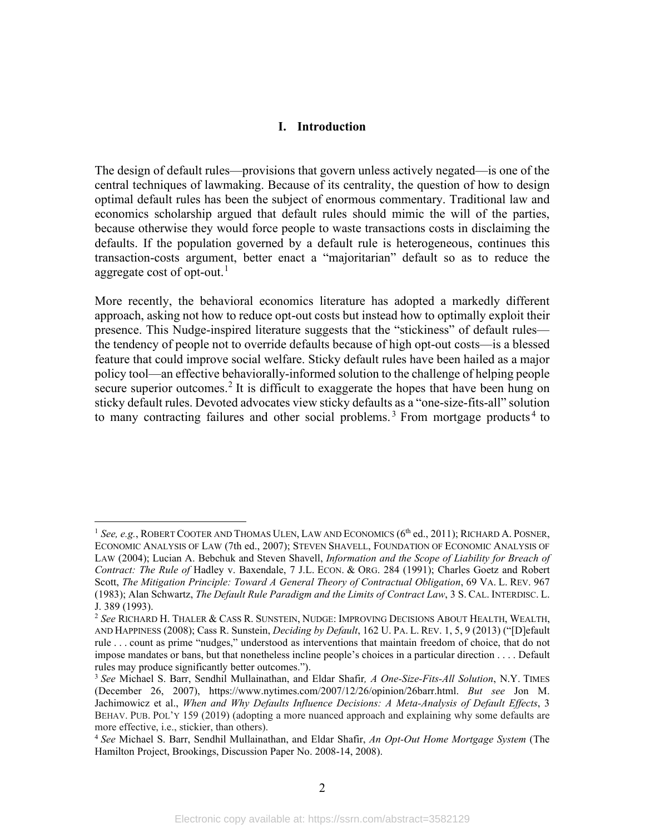## <span id="page-4-6"></span><span id="page-4-5"></span>**I. Introduction**

<span id="page-4-0"></span>The design of default rules—provisions that govern unless actively negated—is one of the central techniques of lawmaking. Because of its centrality, the question of how to design optimal default rules has been the subject of enormous commentary. Traditional law and economics scholarship argued that default rules should mimic the will of the parties, because otherwise they would force people to waste transactions costs in disclaiming the defaults. If the population governed by a default rule is heterogeneous, continues this transaction-costs argument, better enact a "majoritarian" default so as to reduce the aggregate cost of opt-out. $^{\rm l}$ 

More recently, the behavioral economics literature has adopted a markedly different approach, asking not how to reduce opt-out costs but instead how to optimally exploit their presence. This Nudge-inspired literature suggests that the "stickiness" of default rules the tendency of people not to override defaults because of high opt-out costs—is a blessed feature that could improve social welfare. Sticky default rules have been hailed as a major policy tool—an effective behaviorally-informed solution to the challenge of helping people secure superior outcomes.<sup>[2](#page-4-2)</sup> It is difficult to exaggerate the hopes that have been hung on sticky default rules. Devoted advocates view sticky defaults as a "one-size-fits-all" solution to many contracting failures and other social problems.<sup>[3](#page-4-3)</sup> From mortgage products<sup>[4](#page-4-4)</sup> to

<span id="page-4-1"></span><sup>&</sup>lt;sup>1</sup> See, e.g., ROBERT COOTER AND THOMAS ULEN, LAW AND ECONOMICS (6<sup>th</sup> ed., 2011); RICHARD A. POSNER, ECONOMIC ANALYSIS OF LAW (7th ed., 2007); STEVEN SHAVELL, FOUNDATION OF ECONOMIC ANALYSIS OF LAW (2004); Lucian A. Bebchuk and Steven Shavell, *Information and the Scope of Liability for Breach of Contract: The Rule of* Hadley v. Baxendale, 7 J.L. ECON. & ORG. 284 (1991); Charles Goetz and Robert Scott, *The Mitigation Principle: Toward A General Theory of Contractual Obligation*, 69 VA. L. REV. 967 (1983); Alan Schwartz, *The Default Rule Paradigm and the Limits of Contract Law*, 3 S. CAL. INTERDISC. L. J. 389 (1993).

<span id="page-4-2"></span><sup>2</sup> *See* RICHARD H. THALER & CASS R. SUNSTEIN, NUDGE: IMPROVING DECISIONS ABOUT HEALTH, WEALTH, AND HAPPINESS (2008); Cass R. Sunstein, *Deciding by Default*, 162 U. PA. L. REV. 1, 5, 9 (2013) ("[D]efault rule . . . count as prime "nudges," understood as interventions that maintain freedom of choice, that do not impose mandates or bans, but that nonetheless incline people's choices in a particular direction . . . . Default rules may produce significantly better outcomes.").

<span id="page-4-3"></span><sup>3</sup> *See* Michael S. Barr, Sendhil Mullainathan, and Eldar Shafir*, A One-Size-Fits-All Solution*, N.Y. TIMES (December 26, 2007), [https://www.nytimes.com/2007/12/26/opinion/26barr.html.](https://www.nytimes.com/2007/12/26/opinion/26barr.html) *But see* Jon M. Jachimowicz et al., *When and Why Defaults Influence Decisions: A Meta-Analysis of Default Effects*, 3 BEHAV. PUB. POL'Y 159 (2019) (adopting a more nuanced approach and explaining why some defaults are more effective, i.e., stickier, than others).

<span id="page-4-4"></span><sup>4</sup> *See* Michael S. Barr, Sendhil Mullainathan, and Eldar Shafir, *An Opt-Out Home Mortgage System* (The Hamilton Project, Brookings, Discussion Paper No. 2008-14, 2008).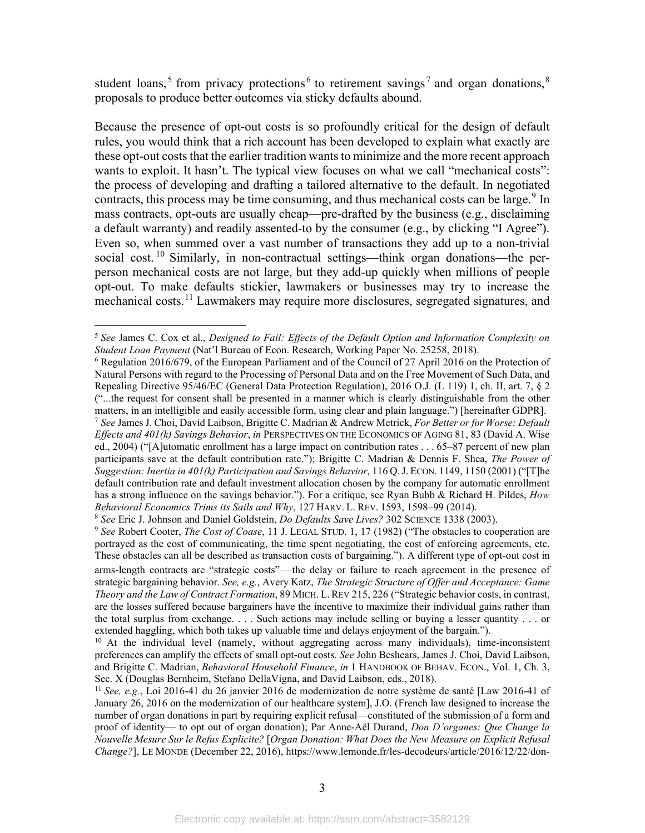student loans,<sup>[5](#page-5-0)</sup> from privacy protections<sup>[6](#page-5-1)</sup> to retirement savings<sup>[7](#page-5-2)</sup> and organ donations,<sup>[8](#page-5-3)</sup> proposals to produce better outcomes via sticky defaults abound.

Because the presence of opt-out costs is so profoundly critical for the design of default rules, you would think that a rich account has been developed to explain what exactly are these opt-out costs that the earlier tradition wants to minimize and the more recent approach wants to exploit. It hasn't. The typical view focuses on what we call "mechanical costs": the process of developing and drafting a tailored alternative to the default. In negotiated contracts, this process may be time consuming, and thus mechanical costs can be large.<sup>[9](#page-5-4)</sup> In mass contracts, opt-outs are usually cheap—pre-drafted by the business (e.g., disclaiming a default warranty) and readily assented-to by the consumer (e.g., by clicking "I Agree"). Even so, when summed over a vast number of transactions they add up to a non-trivial social cost. <sup>[10](#page-5-5)</sup> Similarly, in non-contractual settings—think organ donations—the perperson mechanical costs are not large, but they add-up quickly when millions of people opt-out. To make defaults stickier, lawmakers or businesses may try to increase the mechanical costs.<sup>[11](#page-5-6)</sup> Lawmakers may require more disclosures, segregated signatures, and

<span id="page-5-8"></span><span id="page-5-7"></span><span id="page-5-0"></span><sup>5</sup> *See* James C. Cox et al., *Designed to Fail: Effects of the Default Option and Information Complexity on Student Loan Payment* (Nat'l Bureau of Econ. Research, Working Paper No. 25258, 2018).

<span id="page-5-1"></span> $6$  Regulation 2016/679, of the European Parliament and of the Council of 27 April 2016 on the Protection of Natural Persons with regard to the Processing of Personal Data and on the Free Movement of Such Data, and Repealing Directive 95/46/EC (General Data Protection Regulation), 2016 O.J. (L 119) 1, ch. II, art. 7, § 2 ("...the request for consent shall be presented in a manner which is clearly distinguishable from the other matters, in an intelligible and easily accessible form, using clear and plain language.") [hereinafter GDPR].

<span id="page-5-2"></span><sup>7</sup> *See* James J. Choi, David Laibson, Brigitte C. Madrian & Andrew Metrick, *For Better or for Worse: Default Effects and 401(k) Savings Behavior*, *in* PERSPECTIVES ON THE ECONOMICS OF AGING 81, 83 (David A. Wise ed., 2004) ("[A]utomatic enrollment has a large impact on contribution rates . . . 65–87 percent of new plan participants save at the default contribution rate."); Brigitte C. Madrian & Dennis F. Shea, *The Power of Suggestion: Inertia in 401(k) Participation and Savings Behavior*, 116 Q.J. ECON. 1149, 1150 (2001) ("[T]he default contribution rate and default investment allocation chosen by the company for automatic enrollment has a strong influence on the savings behavior."). For a critique, see Ryan Bubb & Richard H. Pildes, *How Behavioral Economics Trims its Sails and Why*, 127 HARV. L. REV. 1593, 1598–99 (2014).

<span id="page-5-3"></span><sup>8</sup> *See* Eric J. Johnson and Daniel Goldstein, *Do Defaults Save Lives?* 302 SCIENCE 1338 (2003).

<span id="page-5-4"></span><sup>9</sup> *See* Robert Cooter, *The Cost of Coase*, 11 J. LEGAL STUD. 1, 17 (1982) ("The obstacles to cooperation are portrayed as the cost of communicating, the time spent negotiating, the cost of enforcing agreements, etc. These obstacles can all be described as transaction costs of bargaining."). A different type of opt-out cost in arms-length contracts are "strategic costs"—the delay or failure to reach agreement in the presence of strategic bargaining behavior. *See, e.g.*, Avery Katz, *The Strategic Structure of Offer and Acceptance: Game Theory and the Law of Contract Formation*, 89 MICH. L.REV 215, 226 ("Strategic behavior costs, in contrast, are the losses suffered because bargainers have the incentive to maximize their individual gains rather than the total surplus from exchange. . . . Such actions may include selling or buying a lesser quantity . . . or extended haggling, which both takes up valuable time and delays enjoyment of the bargain.").

<span id="page-5-5"></span><sup>&</sup>lt;sup>10</sup> At the individual level (namely, without aggregating across many individuals), time-inconsistent preferences can amplify the effects of small opt-out costs. *See* John Beshears, James J. Choi, David Laibson, and Brigitte C. Madrian, *Behavioral Household Finance*, *in* 1 HANDBOOK OF BEHAV. ECON., Vol. 1, Ch. 3, Sec. X (Douglas Bernheim, Stefano DellaVigna, and David Laibson, eds., 2018).

<span id="page-5-6"></span><sup>11</sup> *See, e.g.*, Loi 2016-41 du 26 janvier 2016 de modernization de notre système de santé [Law 2016-41 of January 26, 2016 on the modernization of our healthcare system], J.O. (French law designed to increase the number of organ donations in part by requiring explicit refusal—constituted of the submission of a form and proof of identity— to opt out of organ donation); Par Anne-Aël Durand, *Don D'organes: Que Change la Nouvelle Mesure Sur le Refus Explicite?* [*Organ Donation: What Does the New Measure on Explicit Refusal Change?*], LE MONDE (December 22, 2016)[, https://www.lemonde.fr/les-decodeurs/article/2016/12/22/don-](https://www.lemonde.fr/les-decodeurs/article/2016/12/22/don-d-organe-quarante-ans-apres-la-loi-sur-le-consentement-presume-ou-en-est-on_5053129_4355770.html)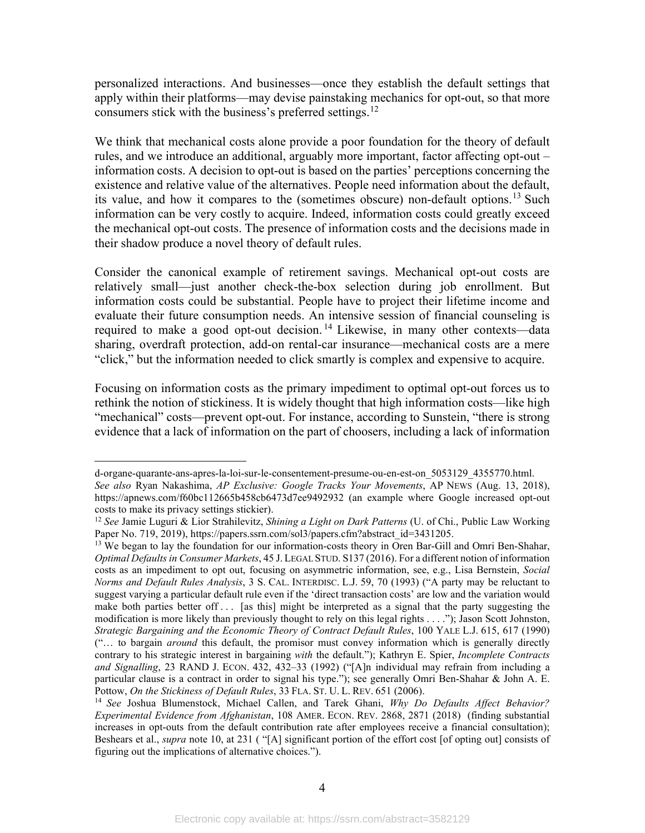<span id="page-6-4"></span>personalized interactions. And businesses—once they establish the default settings that apply within their platforms—may devise painstaking mechanics for opt-out, so that more consumers stick with the business's preferred settings. $^{12}$  $^{12}$  $^{12}$ 

We think that mechanical costs alone provide a poor foundation for the theory of default rules, and we introduce an additional, arguably more important, factor affecting opt-out – information costs. A decision to opt-out is based on the parties' perceptions concerning the existence and relative value of the alternatives. People need information about the default, its value, and how it compares to the (sometimes obscure) non-default options.<sup>[13](#page-6-1)</sup> Such information can be very costly to acquire. Indeed, information costs could greatly exceed the mechanical opt-out costs. The presence of information costs and the decisions made in their shadow produce a novel theory of default rules.

<span id="page-6-3"></span>Consider the canonical example of retirement savings. Mechanical opt-out costs are relatively small—just another check-the-box selection during job enrollment. But information costs could be substantial. People have to project their lifetime income and evaluate their future consumption needs. An intensive session of financial counseling is required to make a good opt-out decision.<sup>[14](#page-6-2)</sup> Likewise, in many other contexts—data sharing, overdraft protection, add-on rental-car insurance—mechanical costs are a mere "click," but the information needed to click smartly is complex and expensive to acquire.

Focusing on information costs as the primary impediment to optimal opt-out forces us to rethink the notion of stickiness. It is widely thought that high information costs—like high "mechanical" costs—prevent opt-out. For instance, according to Sunstein, "there is strong evidence that a lack of information on the part of choosers, including a lack of information

[d-organe-quarante-ans-apres-la-loi-sur-le-consentement-presume-ou-en-est-on\\_5053129\\_4355770.html.](https://www.lemonde.fr/les-decodeurs/article/2016/12/22/don-d-organe-quarante-ans-apres-la-loi-sur-le-consentement-presume-ou-en-est-on_5053129_4355770.html) *See also* Ryan Nakashima, *AP Exclusive: Google Tracks Your Movements*, AP NEWS (Aug. 13, 2018), <https://apnews.com/f60bc112665b458cb6473d7ee9492932> (an example where Google increased opt-out costs to make its privacy settings stickier).

<span id="page-6-0"></span><sup>12</sup> *See* Jamie Luguri & Lior Strahilevitz, *Shining a Light on Dark Patterns* (U. of Chi., Public Law Working Paper No. 719, 2019), [https://papers.ssrn.com/sol3/papers.cfm?abstract\\_id=3431205.](https://papers.ssrn.com/sol3/papers.cfm?abstract_id=3431205)

<span id="page-6-1"></span><sup>&</sup>lt;sup>13</sup> We began to lay the foundation for our information-costs theory in Oren Bar-Gill and Omri Ben-Shahar, *Optimal Defaults in Consumer Markets*, 45 J. LEGAL STUD. S137 (2016). For a different notion of information costs as an impediment to opt out, focusing on asymmetric information, see, e.g., Lisa Bernstein, *Social Norms and Default Rules Analysis*, 3 S. CAL. INTERDISC. L.J. 59, 70 (1993) ("A party may be reluctant to suggest varying a particular default rule even if the 'direct transaction costs' are low and the variation would make both parties better off . . . [as this] might be interpreted as a signal that the party suggesting the modification is more likely than previously thought to rely on this legal rights . . . ."); Jason Scott Johnston, *Strategic Bargaining and the Economic Theory of Contract Default Rules*, 100 YALE L.J. 615, 617 (1990) ("… to bargain *around* this default, the promisor must convey information which is generally directly contrary to his strategic interest in bargaining *with* the default."); Kathryn E. Spier, *Incomplete Contracts and Signalling*, 23 RAND J. ECON. 432, 432–33 (1992) ("[A]n individual may refrain from including a particular clause is a contract in order to signal his type."); see generally Omri Ben-Shahar & John A. E. Pottow, *On the Stickiness of Default Rules*, 33 FLA. ST. U. L. REV. 651 (2006).

<span id="page-6-2"></span><sup>14</sup> *See* Joshua Blumenstock, Michael Callen, and Tarek Ghani, *Why Do Defaults Affect Behavior? Experimental Evidence from Afghanistan*, 108 AMER. ECON. REV. 2868, 2871 (2018) (finding substantial increases in opt-outs from the default contribution rate after employees receive a financial consultation); Beshears et al., *supra* not[e 10,](#page-5-7) at 231 ( "[A] significant portion of the effort cost [of opting out] consists of figuring out the implications of alternative choices.").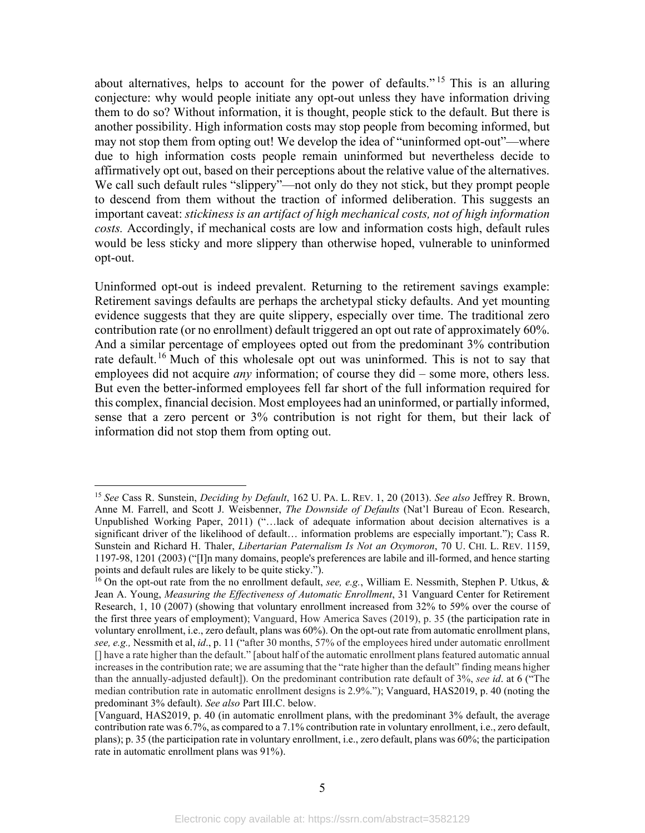about alternatives, helps to account for the power of defaults."<sup>[15](#page-7-0)</sup> This is an alluring conjecture: why would people initiate any opt-out unless they have information driving them to do so? Without information, it is thought, people stick to the default. But there is another possibility. High information costs may stop people from becoming informed, but may not stop them from opting out! We develop the idea of "uninformed opt-out"—where due to high information costs people remain uninformed but nevertheless decide to affirmatively opt out, based on their perceptions about the relative value of the alternatives. We call such default rules "slippery"—not only do they not stick, but they prompt people to descend from them without the traction of informed deliberation. This suggests an important caveat: *stickiness is an artifact of high mechanical costs, not of high information costs.* Accordingly, if mechanical costs are low and information costs high, default rules would be less sticky and more slippery than otherwise hoped, vulnerable to uninformed opt-out.

Uninformed opt-out is indeed prevalent. Returning to the retirement savings example: Retirement savings defaults are perhaps the archetypal sticky defaults. And yet mounting evidence suggests that they are quite slippery, especially over time. The traditional zero contribution rate (or no enrollment) default triggered an opt out rate of approximately 60%. And a similar percentage of employees opted out from the predominant 3% contribution rate default.<sup>[16](#page-7-1)</sup> Much of this wholesale opt out was uninformed. This is not to say that employees did not acquire *any* information; of course they did – some more, others less. But even the better-informed employees fell far short of the full information required for this complex, financial decision. Most employees had an uninformed, or partially informed, sense that a zero percent or 3% contribution is not right for them, but their lack of information did not stop them from opting out.

<span id="page-7-0"></span><sup>15</sup> *See* Cass R. Sunstein, *Deciding by Default*, 162 U. PA. L. REV. 1, 20 (2013). *See also* Jeffrey R. Brown, Anne M. Farrell, and Scott J. Weisbenner, *The Downside of Defaults* (Nat'l Bureau of Econ. Research, Unpublished Working Paper, 2011) ("…lack of adequate information about decision alternatives is a significant driver of the likelihood of default… information problems are especially important."); Cass R. Sunstein and Richard H. Thaler, *Libertarian Paternalism Is Not an Oxymoron*, 70 U. CHI. L. REV. 1159, 1197-98, 1201 (2003) ("[I]n many domains, people's preferences are labile and ill-formed, and hence starting points and default rules are likely to be quite sticky.").

<span id="page-7-1"></span><sup>16</sup> On the opt-out rate from the no enrollment default, *see, e.g.*, William E. Nessmith, Stephen P. Utkus, & Jean A. Young, *Measuring the Effectiveness of Automatic Enrollment*, 31 Vanguard Center for Retirement Research, 1, 10 (2007) (showing that voluntary enrollment increased from 32% to 59% over the course of the first three years of employment); Vanguard, How America Saves (2019), p. 35 (the participation rate in voluntary enrollment, i.e., zero default, plans was 60%). On the opt-out rate from automatic enrollment plans, *see, e.g.,* Nessmith et al, *id*., p. 11 ("after 30 months, 57% of the employees hired under automatic enrollment [] have a rate higher than the default." [about half of the automatic enrollment plans featured automatic annual increases in the contribution rate; we are assuming that the "rate higher than the default" finding means higher than the annually-adjusted default]). On the predominant contribution rate default of 3%, *see id*. at 6 ("The median contribution rate in automatic enrollment designs is 2.9%."); Vanguard, HAS2019, p. 40 (noting the predominant 3% default). *See also* Part III.C. below.

<sup>[</sup>Vanguard, HAS2019, p. 40 (in automatic enrollment plans, with the predominant 3% default, the average contribution rate was 6.7%, as compared to a 7.1% contribution rate in voluntary enrollment, i.e., zero default, plans); p. 35 (the participation rate in voluntary enrollment, i.e., zero default, plans was 60%; the participation rate in automatic enrollment plans was 91%).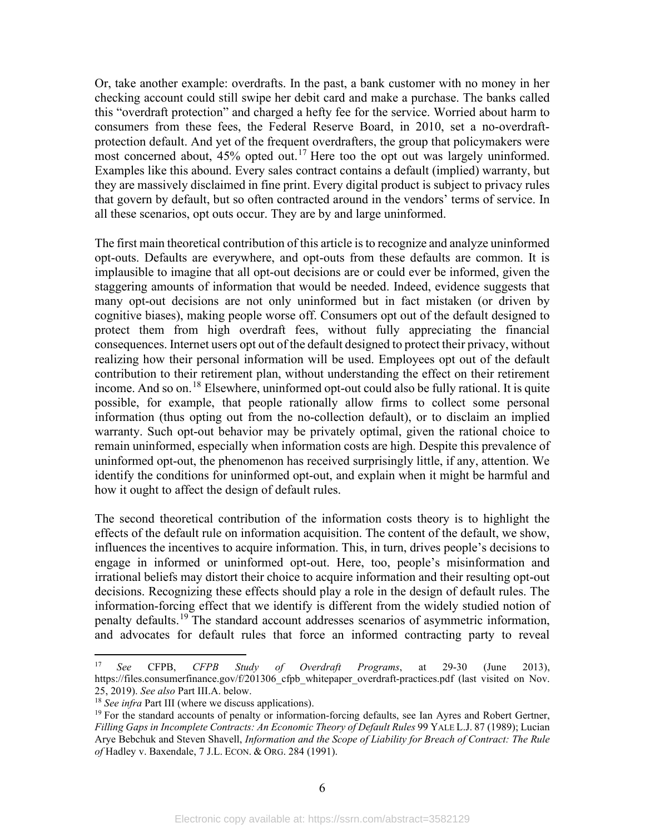Or, take another example: overdrafts. In the past, a bank customer with no money in her checking account could still swipe her debit card and make a purchase. The banks called this "overdraft protection" and charged a hefty fee for the service. Worried about harm to consumers from these fees, the Federal Reserve Board, in 2010, set a no-overdraftprotection default. And yet of the frequent overdrafters, the group that policymakers were most concerned about, 45% opted out.<sup>[17](#page-8-0)</sup> Here too the opt out was largely uninformed. Examples like this abound. Every sales contract contains a default (implied) warranty, but they are massively disclaimed in fine print. Every digital product is subject to privacy rules that govern by default, but so often contracted around in the vendors' terms of service. In all these scenarios, opt outs occur. They are by and large uninformed.

The first main theoretical contribution of this article is to recognize and analyze uninformed opt-outs. Defaults are everywhere, and opt-outs from these defaults are common. It is implausible to imagine that all opt-out decisions are or could ever be informed, given the staggering amounts of information that would be needed. Indeed, evidence suggests that many opt-out decisions are not only uninformed but in fact mistaken (or driven by cognitive biases), making people worse off. Consumers opt out of the default designed to protect them from high overdraft fees, without fully appreciating the financial consequences. Internet users opt out of the default designed to protect their privacy, without realizing how their personal information will be used. Employees opt out of the default contribution to their retirement plan, without understanding the effect on their retirement income. And so on.<sup>[18](#page-8-1)</sup> Elsewhere, uninformed opt-out could also be fully rational. It is quite possible, for example, that people rationally allow firms to collect some personal information (thus opting out from the no-collection default), or to disclaim an implied warranty. Such opt-out behavior may be privately optimal, given the rational choice to remain uninformed, especially when information costs are high. Despite this prevalence of uninformed opt-out, the phenomenon has received surprisingly little, if any, attention. We identify the conditions for uninformed opt-out, and explain when it might be harmful and how it ought to affect the design of default rules.

The second theoretical contribution of the information costs theory is to highlight the effects of the default rule on information acquisition. The content of the default, we show, influences the incentives to acquire information. This, in turn, drives people's decisions to engage in informed or uninformed opt-out. Here, too, people's misinformation and irrational beliefs may distort their choice to acquire information and their resulting opt-out decisions. Recognizing these effects should play a role in the design of default rules. The information-forcing effect that we identify is different from the widely studied notion of penalty defaults.<sup>[19](#page-8-2)</sup> The standard account addresses scenarios of asymmetric information, and advocates for default rules that force an informed contracting party to reveal

<span id="page-8-3"></span><span id="page-8-0"></span><sup>17</sup> *See* CFPB, *CFPB Study of Overdraft Programs*, at 29-30 (June 2013), https://files.consumerfinance.gov/f/201306 cfpb whitepaper overdraft-practices.pdf (last visited on Nov. 25, 2019). *See also* Part III.A. below.

<span id="page-8-1"></span><sup>18</sup> *See infra* Part III (where we discuss applications).

<span id="page-8-2"></span> $19$  For the standard accounts of penalty or information-forcing defaults, see Ian Ayres and Robert Gertner, *Filling Gaps in Incomplete Contracts: An Economic Theory of Default Rules* 99 YALE L.J. 87 (1989); Lucian Arye Bebchuk and Steven Shavell, *Information and the Scope of Liability for Breach of Contract: The Rule of* Hadley v. Baxendale, 7 J.L. ECON. & ORG. 284 (1991).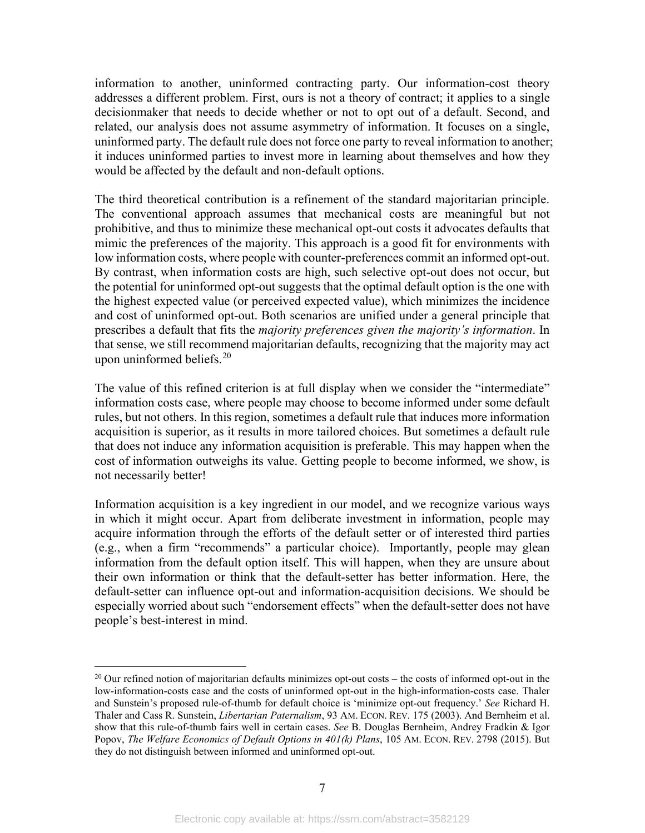information to another, uninformed contracting party. Our information-cost theory addresses a different problem. First, ours is not a theory of contract; it applies to a single decisionmaker that needs to decide whether or not to opt out of a default. Second, and related, our analysis does not assume asymmetry of information. It focuses on a single, uninformed party. The default rule does not force one party to reveal information to another; it induces uninformed parties to invest more in learning about themselves and how they would be affected by the default and non-default options.

The third theoretical contribution is a refinement of the standard majoritarian principle. The conventional approach assumes that mechanical costs are meaningful but not prohibitive, and thus to minimize these mechanical opt-out costs it advocates defaults that mimic the preferences of the majority. This approach is a good fit for environments with low information costs, where people with counter-preferences commit an informed opt-out. By contrast, when information costs are high, such selective opt-out does not occur, but the potential for uninformed opt-out suggests that the optimal default option is the one with the highest expected value (or perceived expected value), which minimizes the incidence and cost of uninformed opt-out. Both scenarios are unified under a general principle that prescribes a default that fits the *majority preferences given the majority's information*. In that sense, we still recommend majoritarian defaults, recognizing that the majority may act upon uninformed beliefs. [20](#page-9-0)

<span id="page-9-1"></span>The value of this refined criterion is at full display when we consider the "intermediate" information costs case, where people may choose to become informed under some default rules, but not others. In this region, sometimes a default rule that induces more information acquisition is superior, as it results in more tailored choices. But sometimes a default rule that does not induce any information acquisition is preferable. This may happen when the cost of information outweighs its value. Getting people to become informed, we show, is not necessarily better!

Information acquisition is a key ingredient in our model, and we recognize various ways in which it might occur. Apart from deliberate investment in information, people may acquire information through the efforts of the default setter or of interested third parties (e.g., when a firm "recommends" a particular choice). Importantly, people may glean information from the default option itself. This will happen, when they are unsure about their own information or think that the default-setter has better information. Here, the default-setter can influence opt-out and information-acquisition decisions. We should be especially worried about such "endorsement effects" when the default-setter does not have people's best-interest in mind.

<span id="page-9-0"></span> $^{20}$  Our refined notion of majoritarian defaults minimizes opt-out costs – the costs of informed opt-out in the low-information-costs case and the costs of uninformed opt-out in the high-information-costs case. Thaler and Sunstein's proposed rule-of-thumb for default choice is 'minimize opt-out frequency.' *See* Richard H. Thaler and Cass R. Sunstein, *Libertarian Paternalism*, 93 AM. ECON. REV. 175 (2003). And Bernheim et al. show that this rule-of-thumb fairs well in certain cases. *See* B. Douglas Bernheim, Andrey Fradkin & Igor Popov, *The Welfare Economics of Default Options in 401(k) Plans*, 105 AM. ECON. REV. 2798 (2015). But they do not distinguish between informed and uninformed opt-out.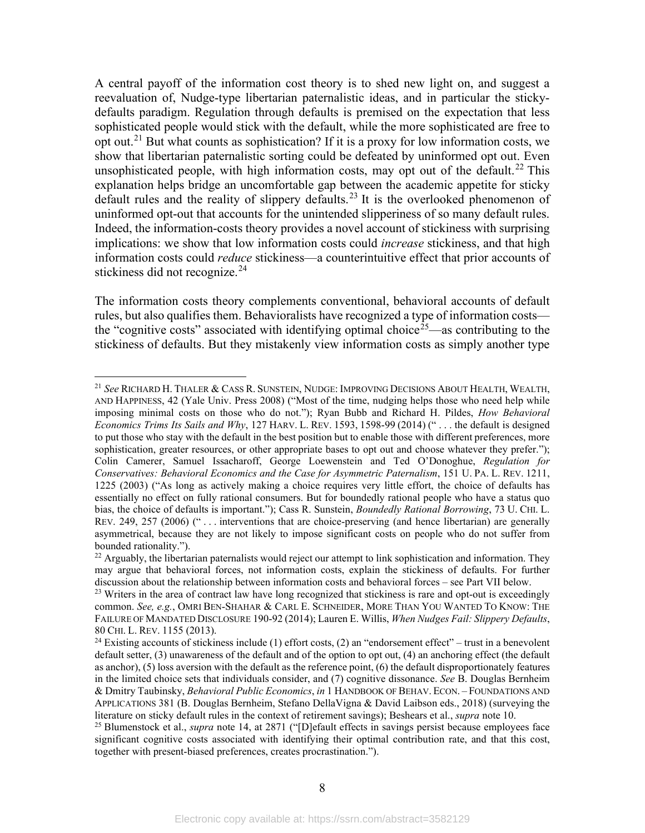A central payoff of the information cost theory is to shed new light on, and suggest a reevaluation of, Nudge-type libertarian paternalistic ideas, and in particular the stickydefaults paradigm. Regulation through defaults is premised on the expectation that less sophisticated people would stick with the default, while the more sophisticated are free to opt out.<sup>[21](#page-10-0)</sup> But what counts as sophistication? If it is a proxy for low information costs, we show that libertarian paternalistic sorting could be defeated by uninformed opt out. Even unsophisticated people, with high information costs, may opt out of the default.<sup>[22](#page-10-1)</sup> This explanation helps bridge an uncomfortable gap between the academic appetite for sticky default rules and the reality of slippery defaults.<sup>[23](#page-10-2)</sup> It is the overlooked phenomenon of uninformed opt-out that accounts for the unintended slipperiness of so many default rules. Indeed, the information-costs theory provides a novel account of stickiness with surprising implications: we show that low information costs could *increase* stickiness, and that high information costs could *reduce* stickiness—a counterintuitive effect that prior accounts of stickiness did not recognize.<sup>[24](#page-10-3)</sup>

<span id="page-10-5"></span>The information costs theory complements conventional, behavioral accounts of default rules, but also qualifies them. Behavioralists have recognized a type of information costs— the "cognitive costs" associated with identifying optimal choice<sup>[25](#page-10-4)</sup>—as contributing to the stickiness of defaults. But they mistakenly view information costs as simply another type

<span id="page-10-0"></span><sup>21</sup> *See* RICHARD H. THALER & CASS R. SUNSTEIN, NUDGE: IMPROVING DECISIONS ABOUT HEALTH, WEALTH, AND HAPPINESS, 42 (Yale Univ. Press 2008) ("Most of the time, nudging helps those who need help while imposing minimal costs on those who do not."); Ryan Bubb and Richard H. Pildes, *How Behavioral Economics Trims Its Sails and Why*, 127 HARV. L. REV. 1593, 1598-99 (2014) (" . . . the default is designed to put those who stay with the default in the best position but to enable those with different preferences, more sophistication, greater resources, or other appropriate bases to opt out and choose whatever they prefer."); Colin Camerer, Samuel Issacharoff, George Loewenstein and Ted O'Donoghue, *Regulation for Conservatives: Behavioral Economics and the Case for Asymmetric Paternalism*, 151 U. PA. L. REV. 1211, 1225 (2003) ("As long as actively making a choice requires very little effort, the choice of defaults has essentially no effect on fully rational consumers. But for boundedly rational people who have a status quo bias, the choice of defaults is important."); Cass R. Sunstein, *Boundedly Rational Borrowing*, 73 U. CHI. L. REV. 249, 257 (2006) (" . . . interventions that are choice-preserving (and hence libertarian) are generally asymmetrical, because they are not likely to impose significant costs on people who do not suffer from bounded rationality.").

<span id="page-10-1"></span> $^{22}$  Arguably, the libertarian paternalists would reject our attempt to link sophistication and information. They may argue that behavioral forces, not information costs, explain the stickiness of defaults. For further discussion about the relationship between information costs and behavioral forces – see Part VII below.

<span id="page-10-2"></span> $23$  Writers in the area of contract law have long recognized that stickiness is rare and opt-out is exceedingly common. *See, e.g.*, OMRI BEN-SHAHAR & CARL E. SCHNEIDER, MORE THAN YOU WANTED TO KNOW: THE FAILURE OF MANDATED DISCLOSURE 190-92 (2014); Lauren E. Willis, *When Nudges Fail: Slippery Defaults*, 80 CHI. L. REV. 1155 (2013).

<span id="page-10-3"></span><sup>&</sup>lt;sup>24</sup> Existing accounts of stickiness include (1) effort costs, (2) an "endorsement effect" – trust in a benevolent default setter, (3) unawareness of the default and of the option to opt out, (4) an anchoring effect (the default as anchor), (5) loss aversion with the default as the reference point, (6) the default disproportionately features in the limited choice sets that individuals consider, and (7) cognitive dissonance. *See* B. Douglas Bernheim & Dmitry Taubinsky, *Behavioral Public Economics*, *in* 1 HANDBOOK OF BEHAV. ECON. – FOUNDATIONS AND APPLICATIONS 381 (B. Douglas Bernheim, Stefano DellaVigna & David Laibson eds., 2018) (surveying the literature on sticky default rules in the context of retirement savings); Beshears et al., *supra* not[e 10.](#page-5-7)

<span id="page-10-4"></span><sup>&</sup>lt;sup>25</sup> Blumenstock et al., *supra* note [14,](#page-6-3) at 2871 ("[D]efault effects in savings persist because employees face significant cognitive costs associated with identifying their optimal contribution rate, and that this cost, together with present-biased preferences, creates procrastination.").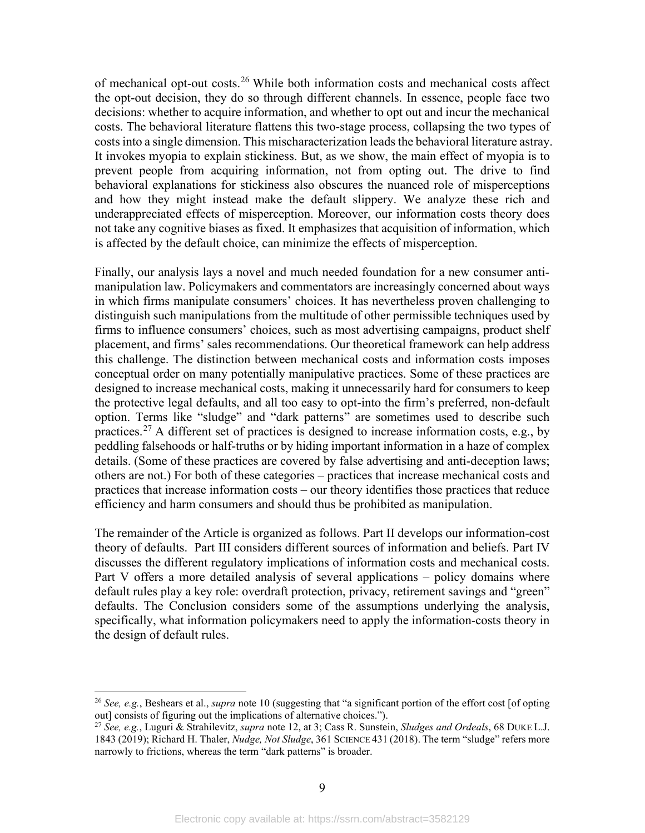of mechanical opt-out costs.<sup>[26](#page-11-0)</sup> While both information costs and mechanical costs affect the opt-out decision, they do so through different channels. In essence, people face two decisions: whether to acquire information, and whether to opt out and incur the mechanical costs. The behavioral literature flattens this two-stage process, collapsing the two types of costs into a single dimension. This mischaracterization leads the behavioral literature astray. It invokes myopia to explain stickiness. But, as we show, the main effect of myopia is to prevent people from acquiring information, not from opting out. The drive to find behavioral explanations for stickiness also obscures the nuanced role of misperceptions and how they might instead make the default slippery. We analyze these rich and underappreciated effects of misperception. Moreover, our information costs theory does not take any cognitive biases as fixed. It emphasizes that acquisition of information, which is affected by the default choice, can minimize the effects of misperception.

Finally, our analysis lays a novel and much needed foundation for a new consumer antimanipulation law. Policymakers and commentators are increasingly concerned about ways in which firms manipulate consumers' choices. It has nevertheless proven challenging to distinguish such manipulations from the multitude of other permissible techniques used by firms to influence consumers' choices, such as most advertising campaigns, product shelf placement, and firms' sales recommendations. Our theoretical framework can help address this challenge. The distinction between mechanical costs and information costs imposes conceptual order on many potentially manipulative practices. Some of these practices are designed to increase mechanical costs, making it unnecessarily hard for consumers to keep the protective legal defaults, and all too easy to opt-into the firm's preferred, non-default option. Terms like "sludge" and "dark patterns" are sometimes used to describe such practices.<sup>[27](#page-11-1)</sup> A different set of practices is designed to increase information costs, e.g., by peddling falsehoods or half-truths or by hiding important information in a haze of complex details. (Some of these practices are covered by false advertising and anti-deception laws; others are not.) For both of these categories – practices that increase mechanical costs and practices that increase information costs – our theory identifies those practices that reduce efficiency and harm consumers and should thus be prohibited as manipulation.

The remainder of the Article is organized as follows. Part II develops our information-cost theory of defaults. Part III considers different sources of information and beliefs. Part IV discusses the different regulatory implications of information costs and mechanical costs. Part V offers a more detailed analysis of several applications – policy domains where default rules play a key role: overdraft protection, privacy, retirement savings and "green" defaults. The Conclusion considers some of the assumptions underlying the analysis, specifically, what information policymakers need to apply the information-costs theory in the design of default rules.

<span id="page-11-0"></span><sup>26</sup> *See, e.g.*, Beshears et al., *supra* note [10](#page-5-7) (suggesting that "a significant portion of the effort cost [of opting out] consists of figuring out the implications of alternative choices.").

<span id="page-11-1"></span><sup>27</sup> *See, e.g.*, Luguri & Strahilevitz, *supra* note [12,](#page-6-4) at 3; Cass R. Sunstein, *Sludges and Ordeals*, 68 DUKE L.J. 1843 (2019); Richard H. Thaler, *Nudge, Not Sludge*, 361 SCIENCE 431 (2018). The term "sludge" refers more narrowly to frictions, whereas the term "dark patterns" is broader.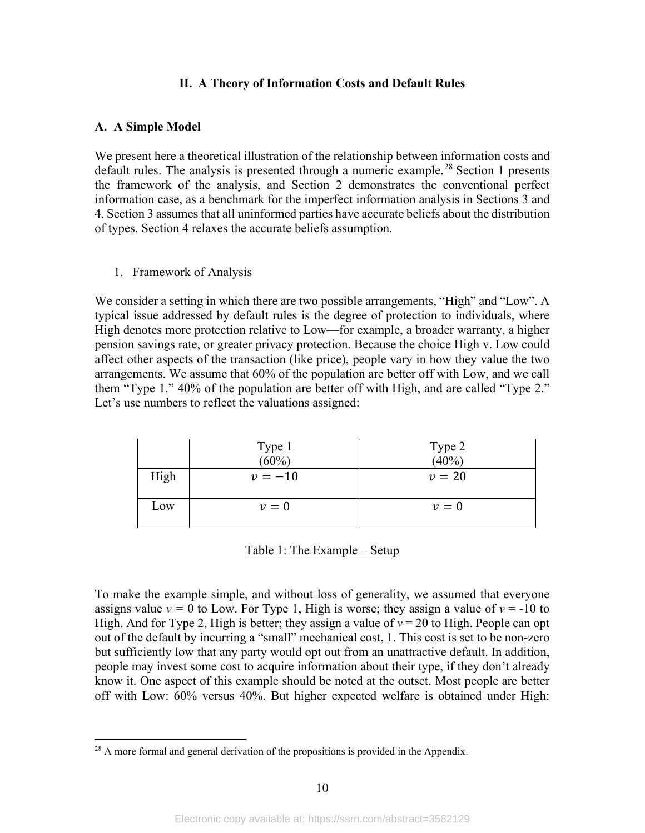## **II. A Theory of Information Costs and Default Rules**

## <span id="page-12-1"></span><span id="page-12-0"></span>**A. A Simple Model**

We present here a theoretical illustration of the relationship between information costs and default rules. The analysis is presented through a numeric example.<sup>[28](#page-12-3)</sup> Section 1 presents the framework of the analysis, and Section 2 demonstrates the conventional perfect information case, as a benchmark for the imperfect information analysis in Sections 3 and 4. Section 3 assumes that all uninformed parties have accurate beliefs about the distribution of types. Section 4 relaxes the accurate beliefs assumption.

<span id="page-12-2"></span>1. Framework of Analysis

We consider a setting in which there are two possible arrangements, "High" and "Low". A typical issue addressed by default rules is the degree of protection to individuals, where High denotes more protection relative to Low—for example, a broader warranty, a higher pension savings rate, or greater privacy protection. Because the choice High v. Low could affect other aspects of the transaction (like price), people vary in how they value the two arrangements. We assume that 60% of the population are better off with Low, and we call them "Type 1." 40% of the population are better off with High, and are called "Type 2." Let's use numbers to reflect the valuations assigned:

|      | Type 1 $(60\%)$ | Type 2<br>(40%) |
|------|-----------------|-----------------|
|      |                 |                 |
| High | $v = -10$       | $v=20$          |
| Low  | $v=0$           | $v=0$           |

|  |  | Table 1: The Example - Setup |
|--|--|------------------------------|
|  |  |                              |

To make the example simple, and without loss of generality, we assumed that everyone assigns value  $v = 0$  to Low. For Type 1, High is worse; they assign a value of  $v = -10$  to High. And for Type 2, High is better; they assign a value of  $v = 20$  to High. People can opt out of the default by incurring a "small" mechanical cost, 1. This cost is set to be non-zero but sufficiently low that any party would opt out from an unattractive default. In addition, people may invest some cost to acquire information about their type, if they don't already know it. One aspect of this example should be noted at the outset. Most people are better off with Low: 60% versus 40%. But higher expected welfare is obtained under High:

<span id="page-12-3"></span> $28$  A more formal and general derivation of the propositions is provided in the Appendix.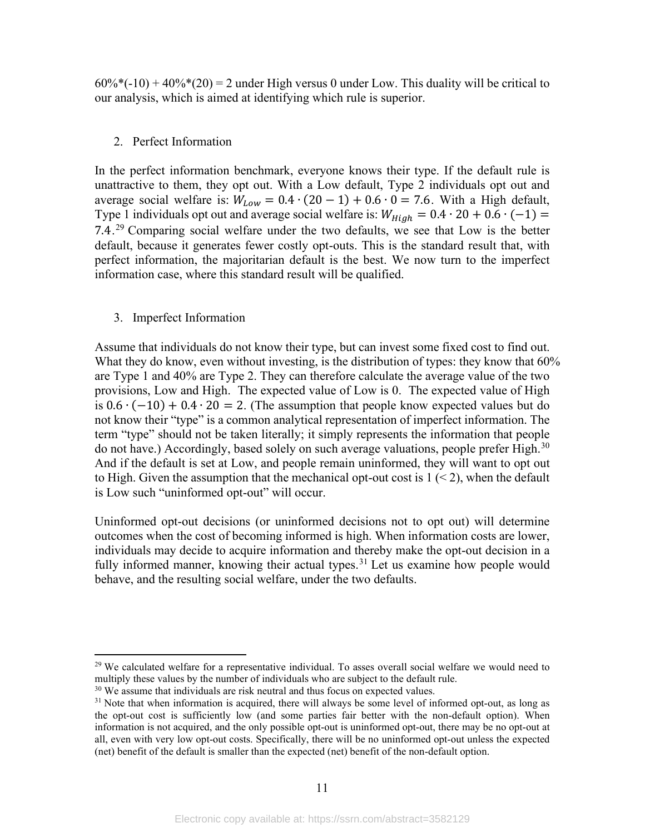$60\%$ <sup>\*</sup>(-10) + 40%<sup>\*</sup>(20) = 2 under High versus 0 under Low. This duality will be critical to our analysis, which is aimed at identifying which rule is superior.

## <span id="page-13-0"></span>2. Perfect Information

In the perfect information benchmark, everyone knows their type. If the default rule is unattractive to them, they opt out. With a Low default, Type 2 individuals opt out and average social welfare is:  $W_{Low} = 0.4 \cdot (20 - 1) + 0.6 \cdot 0 = 7.6$ . With a High default, Type 1 individuals opt out and average social welfare is:  $W_{High} = 0.4 \cdot 20 + 0.6 \cdot (-1) =$ 7.4.<sup>[29](#page-13-2)</sup> Comparing social welfare under the two defaults, we see that Low is the better default, because it generates fewer costly opt-outs. This is the standard result that, with perfect information, the majoritarian default is the best. We now turn to the imperfect information case, where this standard result will be qualified.

## <span id="page-13-1"></span>3. Imperfect Information

Assume that individuals do not know their type, but can invest some fixed cost to find out. What they do know, even without investing, is the distribution of types: they know that  $60\%$ are Type 1 and 40% are Type 2. They can therefore calculate the average value of the two provisions, Low and High. The expected value of Low is 0. The expected value of High is  $0.6 \cdot (-10) + 0.4 \cdot 20 = 2$ . (The assumption that people know expected values but do not know their "type" is a common analytical representation of imperfect information. The term "type" should not be taken literally; it simply represents the information that people do not have.) Accordingly, based solely on such average valuations, people prefer High.<sup>[30](#page-13-3)</sup> And if the default is set at Low, and people remain uninformed, they will want to opt out to High. Given the assumption that the mechanical opt-out cost is  $1 \leq 2$ , when the default is Low such "uninformed opt-out" will occur.

Uninformed opt-out decisions (or uninformed decisions not to opt out) will determine outcomes when the cost of becoming informed is high. When information costs are lower, individuals may decide to acquire information and thereby make the opt-out decision in a fully informed manner, knowing their actual types.<sup>[31](#page-13-4)</sup> Let us examine how people would behave, and the resulting social welfare, under the two defaults.

<span id="page-13-2"></span><sup>&</sup>lt;sup>29</sup> We calculated welfare for a representative individual. To asses overall social welfare we would need to multiply these values by the number of individuals who are subject to the default rule.

<span id="page-13-3"></span> $30$  We assume that individuals are risk neutral and thus focus on expected values.

<span id="page-13-4"></span> $31$  Note that when information is acquired, there will always be some level of informed opt-out, as long as the opt-out cost is sufficiently low (and some parties fair better with the non-default option). When information is not acquired, and the only possible opt-out is uninformed opt-out, there may be no opt-out at all, even with very low opt-out costs. Specifically, there will be no uninformed opt-out unless the expected (net) benefit of the default is smaller than the expected (net) benefit of the non-default option.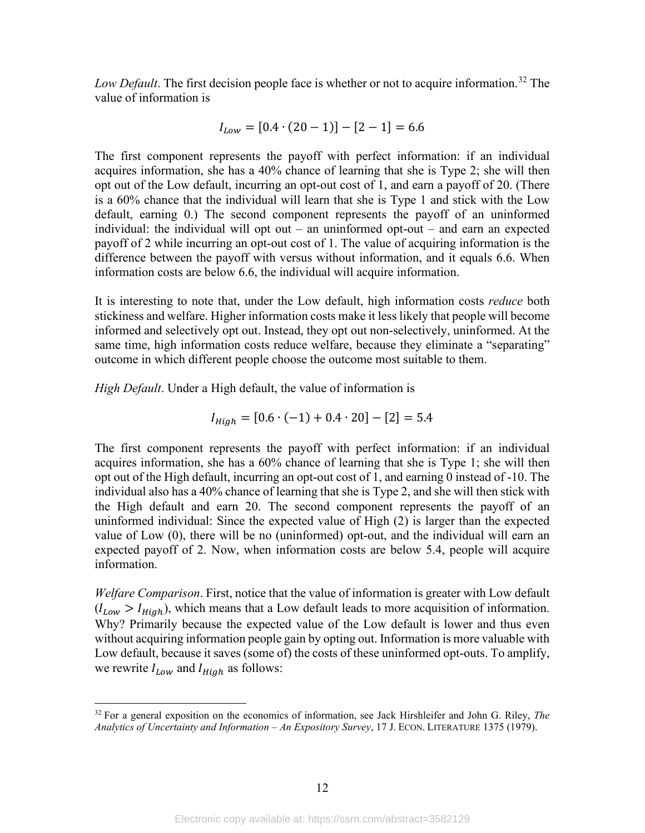*Low Default*. The first decision people face is whether or not to acquire information. [32](#page-14-0) The value of information is

$$
I_{Low} = [0.4 \cdot (20 - 1)] - [2 - 1] = 6.6
$$

The first component represents the payoff with perfect information: if an individual acquires information, she has a 40% chance of learning that she is Type 2; she will then opt out of the Low default, incurring an opt-out cost of 1, and earn a payoff of 20. (There is a 60% chance that the individual will learn that she is Type 1 and stick with the Low default, earning 0.) The second component represents the payoff of an uninformed individual: the individual will opt out – an uninformed opt-out – and earn an expected payoff of 2 while incurring an opt-out cost of 1. The value of acquiring information is the difference between the payoff with versus without information, and it equals 6.6. When information costs are below 6.6, the individual will acquire information.

It is interesting to note that, under the Low default, high information costs *reduce* both stickiness and welfare. Higher information costs make it less likely that people will become informed and selectively opt out. Instead, they opt out non-selectively, uninformed. At the same time, high information costs reduce welfare, because they eliminate a "separating" outcome in which different people choose the outcome most suitable to them.

*High Default*. Under a High default, the value of information is

$$
I_{High} = [0.6 \cdot (-1) + 0.4 \cdot 20] - [2] = 5.4
$$

The first component represents the payoff with perfect information: if an individual acquires information, she has a 60% chance of learning that she is Type 1; she will then opt out of the High default, incurring an opt-out cost of 1, and earning 0 instead of -10. The individual also has a 40% chance of learning that she is Type 2, and she will then stick with the High default and earn 20. The second component represents the payoff of an uninformed individual: Since the expected value of High (2) is larger than the expected value of Low (0), there will be no (uninformed) opt-out, and the individual will earn an expected payoff of 2. Now, when information costs are below 5.4, people will acquire information.

*Welfare Comparison*. First, notice that the value of information is greater with Low default  $(I_{Low} > I_{High})$ , which means that a Low default leads to more acquisition of information. Why? Primarily because the expected value of the Low default is lower and thus even without acquiring information people gain by opting out. Information is more valuable with Low default, because it saves (some of) the costs of these uninformed opt-outs. To amplify, we rewrite  $I_{Low}$  and  $I_{High}$  as follows:

<span id="page-14-0"></span><sup>32</sup> For a general exposition on the economics of information, see Jack Hirshleifer and John G. Riley, *The Analytics of Uncertainty and Information – An Expository Survey*, 17 J. ECON. LITERATURE 1375 (1979).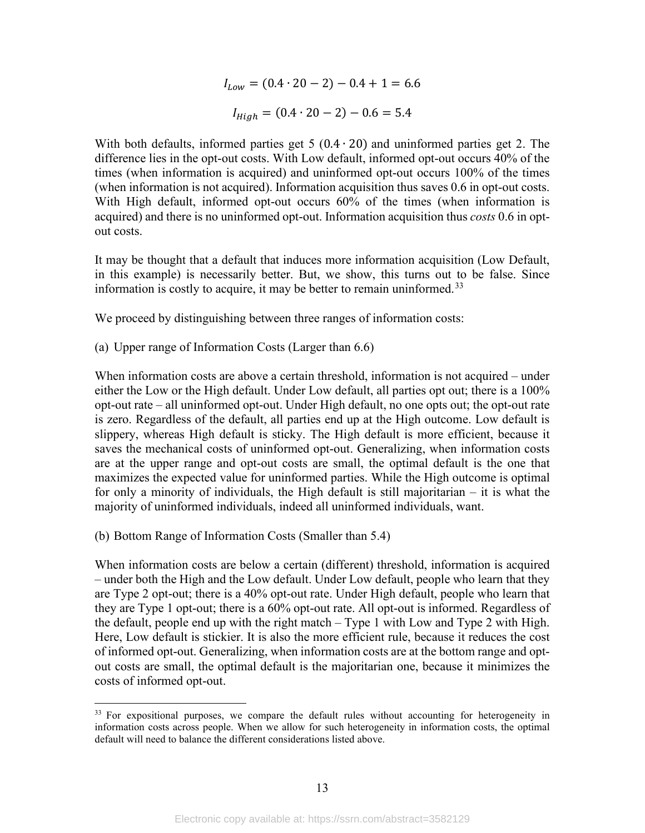$$
I_{Low} = (0.4 \cdot 20 - 2) - 0.4 + 1 = 6.6
$$

$$
I_{High} = (0.4 \cdot 20 - 2) - 0.6 = 5.4
$$

With both defaults, informed parties get  $5(0.4 \cdot 20)$  and uninformed parties get 2. The difference lies in the opt-out costs. With Low default, informed opt-out occurs 40% of the times (when information is acquired) and uninformed opt-out occurs 100% of the times (when information is not acquired). Information acquisition thus saves 0.6 in opt-out costs. With High default, informed opt-out occurs 60% of the times (when information is acquired) and there is no uninformed opt-out. Information acquisition thus *costs* 0.6 in optout costs.

It may be thought that a default that induces more information acquisition (Low Default, in this example) is necessarily better. But, we show, this turns out to be false. Since information is costly to acquire, it may be better to remain uninformed.<sup>[33](#page-15-0)</sup>

We proceed by distinguishing between three ranges of information costs:

(a) Upper range of Information Costs (Larger than 6.6)

When information costs are above a certain threshold, information is not acquired – under either the Low or the High default. Under Low default, all parties opt out; there is a 100% opt-out rate – all uninformed opt-out. Under High default, no one opts out; the opt-out rate is zero. Regardless of the default, all parties end up at the High outcome. Low default is slippery, whereas High default is sticky. The High default is more efficient, because it saves the mechanical costs of uninformed opt-out. Generalizing, when information costs are at the upper range and opt-out costs are small, the optimal default is the one that maximizes the expected value for uninformed parties. While the High outcome is optimal for only a minority of individuals, the High default is still majoritarian – it is what the majority of uninformed individuals, indeed all uninformed individuals, want.

(b) Bottom Range of Information Costs (Smaller than 5.4)

When information costs are below a certain (different) threshold, information is acquired – under both the High and the Low default. Under Low default, people who learn that they are Type 2 opt-out; there is a 40% opt-out rate. Under High default, people who learn that they are Type 1 opt-out; there is a 60% opt-out rate. All opt-out is informed. Regardless of the default, people end up with the right match – Type 1 with Low and Type 2 with High. Here, Low default is stickier. It is also the more efficient rule, because it reduces the cost of informed opt-out. Generalizing, when information costs are at the bottom range and optout costs are small, the optimal default is the majoritarian one, because it minimizes the costs of informed opt-out.

<span id="page-15-0"></span><sup>&</sup>lt;sup>33</sup> For expositional purposes, we compare the default rules without accounting for heterogeneity in information costs across people. When we allow for such heterogeneity in information costs, the optimal default will need to balance the different considerations listed above.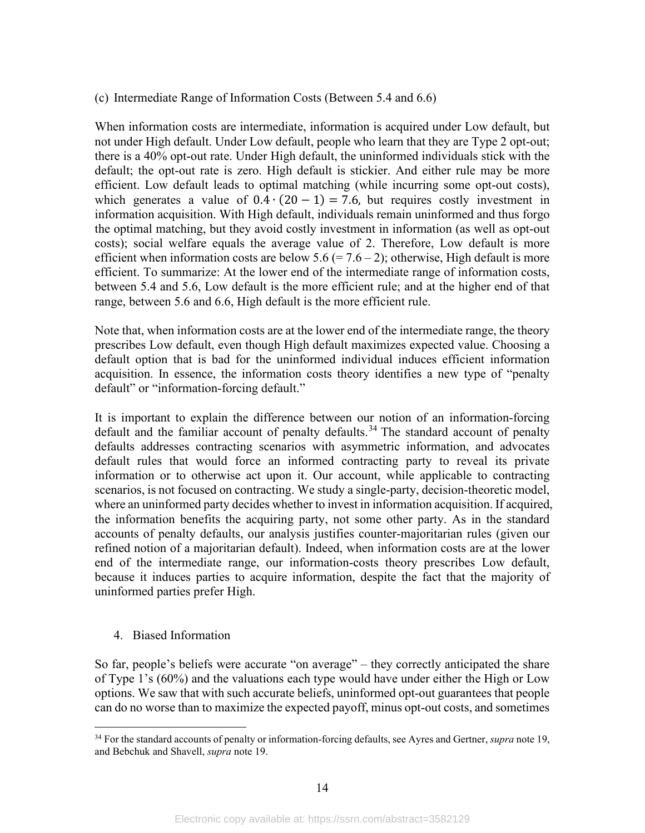#### (c) Intermediate Range of Information Costs (Between 5.4 and 6.6)

When information costs are intermediate, information is acquired under Low default, but not under High default. Under Low default, people who learn that they are Type 2 opt-out; there is a 40% opt-out rate. Under High default, the uninformed individuals stick with the default; the opt-out rate is zero. High default is stickier. And either rule may be more efficient. Low default leads to optimal matching (while incurring some opt-out costs), which generates a value of  $0.4 \cdot (20 - 1) = 7.6$ , but requires costly investment in information acquisition. With High default, individuals remain uninformed and thus forgo the optimal matching, but they avoid costly investment in information (as well as opt-out costs); social welfare equals the average value of 2. Therefore, Low default is more efficient when information costs are below 5.6 (= 7.6 – 2); otherwise, High default is more efficient. To summarize: At the lower end of the intermediate range of information costs, between 5.4 and 5.6, Low default is the more efficient rule; and at the higher end of that range, between 5.6 and 6.6, High default is the more efficient rule.

Note that, when information costs are at the lower end of the intermediate range, the theory prescribes Low default, even though High default maximizes expected value. Choosing a default option that is bad for the uninformed individual induces efficient information acquisition. In essence, the information costs theory identifies a new type of "penalty default" or "information-forcing default."

It is important to explain the difference between our notion of an information-forcing default and the familiar account of penalty defaults.<sup>[34](#page-16-1)</sup> The standard account of penalty defaults addresses contracting scenarios with asymmetric information, and advocates default rules that would force an informed contracting party to reveal its private information or to otherwise act upon it. Our account, while applicable to contracting scenarios, is not focused on contracting. We study a single-party, decision-theoretic model, where an uninformed party decides whether to invest in information acquisition. If acquired, the information benefits the acquiring party, not some other party. As in the standard accounts of penalty defaults, our analysis justifies counter-majoritarian rules (given our refined notion of a majoritarian default). Indeed, when information costs are at the lower end of the intermediate range, our information-costs theory prescribes Low default, because it induces parties to acquire information, despite the fact that the majority of uninformed parties prefer High.

#### <span id="page-16-0"></span>4. Biased Information

So far, people's beliefs were accurate "on average" – they correctly anticipated the share of Type 1's (60%) and the valuations each type would have under either the High or Low options. We saw that with such accurate beliefs, uninformed opt-out guarantees that people can do no worse than to maximize the expected payoff, minus opt-out costs, and sometimes

<span id="page-16-1"></span><sup>34</sup> For the standard accounts of penalty or information-forcing defaults, see Ayres and Gertner, *supra* not[e 19,](#page-8-3) and Bebchuk and Shavell, *supra* note [19.](#page-8-3)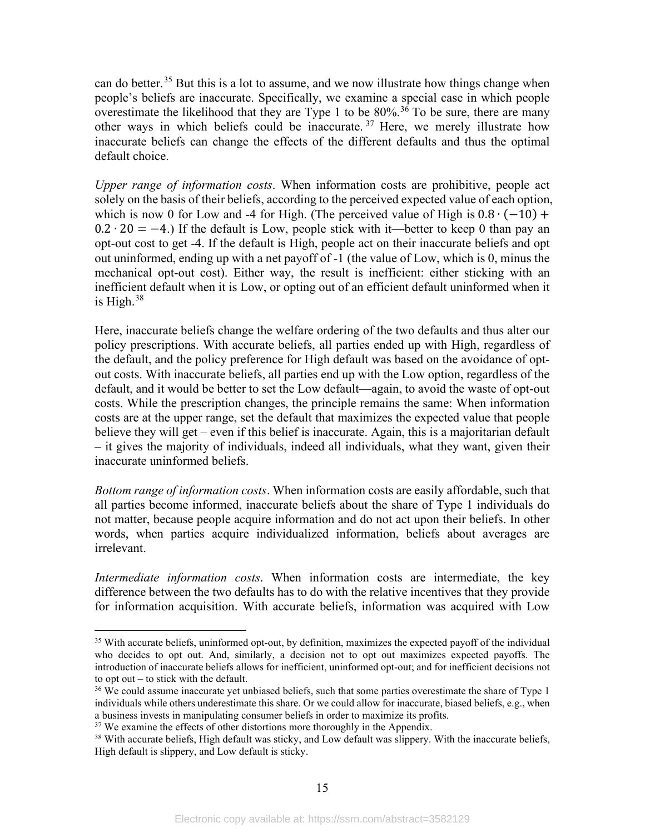can do better.<sup>[35](#page-17-0)</sup> But this is a lot to assume, and we now illustrate how things change when people's beliefs are inaccurate. Specifically, we examine a special case in which people overestimate the likelihood that they are Type 1 to be  $80\%$ .<sup>[36](#page-17-1)</sup> To be sure, there are many other ways in which beliefs could be inaccurate. [37](#page-17-2) Here, we merely illustrate how inaccurate beliefs can change the effects of the different defaults and thus the optimal default choice.

*Upper range of information costs*. When information costs are prohibitive, people act solely on the basis of their beliefs, according to the perceived expected value of each option, which is now 0 for Low and -4 for High. (The perceived value of High is  $0.8 \cdot (-10) +$  $0.2 \cdot 20 = -4$ .) If the default is Low, people stick with it—better to keep 0 than pay an opt-out cost to get -4. If the default is High, people act on their inaccurate beliefs and opt out uninformed, ending up with a net payoff of -1 (the value of Low, which is 0, minus the mechanical opt-out cost). Either way, the result is inefficient: either sticking with an inefficient default when it is Low, or opting out of an efficient default uninformed when it is High. $38$ 

Here, inaccurate beliefs change the welfare ordering of the two defaults and thus alter our policy prescriptions. With accurate beliefs, all parties ended up with High, regardless of the default, and the policy preference for High default was based on the avoidance of optout costs. With inaccurate beliefs, all parties end up with the Low option, regardless of the default, and it would be better to set the Low default—again, to avoid the waste of opt-out costs. While the prescription changes, the principle remains the same: When information costs are at the upper range, set the default that maximizes the expected value that people believe they will get – even if this belief is inaccurate. Again, this is a majoritarian default – it gives the majority of individuals, indeed all individuals, what they want, given their inaccurate uninformed beliefs.

*Bottom range of information costs*. When information costs are easily affordable, such that all parties become informed, inaccurate beliefs about the share of Type 1 individuals do not matter, because people acquire information and do not act upon their beliefs. In other words, when parties acquire individualized information, beliefs about averages are irrelevant.

*Intermediate information costs*. When information costs are intermediate, the key difference between the two defaults has to do with the relative incentives that they provide for information acquisition. With accurate beliefs, information was acquired with Low

<span id="page-17-0"></span><sup>&</sup>lt;sup>35</sup> With accurate beliefs, uninformed opt-out, by definition, maximizes the expected payoff of the individual who decides to opt out. And, similarly, a decision not to opt out maximizes expected payoffs. The introduction of inaccurate beliefs allows for inefficient, uninformed opt-out; and for inefficient decisions not to opt out – to stick with the default.

<span id="page-17-1"></span><sup>&</sup>lt;sup>36</sup> We could assume inaccurate yet unbiased beliefs, such that some parties overestimate the share of Type 1 individuals while others underestimate this share. Or we could allow for inaccurate, biased beliefs, e.g., when a business invests in manipulating consumer beliefs in order to maximize its profits.

<span id="page-17-2"></span> $37$  We examine the effects of other distortions more thoroughly in the Appendix.

<span id="page-17-3"></span><sup>&</sup>lt;sup>38</sup> With accurate beliefs, High default was sticky, and Low default was slippery. With the inaccurate beliefs, High default is slippery, and Low default is sticky.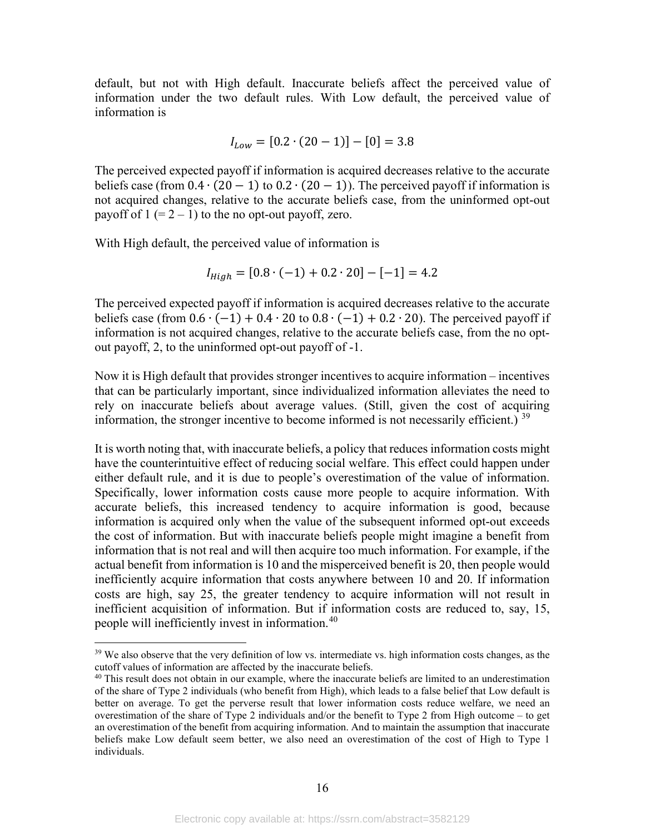default, but not with High default. Inaccurate beliefs affect the perceived value of information under the two default rules. With Low default, the perceived value of information is

$$
I_{Low} = [0.2 \cdot (20 - 1)] - [0] = 3.8
$$

The perceived expected payoff if information is acquired decreases relative to the accurate beliefs case (from  $0.4 \cdot (20 - 1)$  to  $0.2 \cdot (20 - 1)$ ). The perceived payoff if information is not acquired changes, relative to the accurate beliefs case, from the uninformed opt-out payoff of  $1 (= 2 - 1)$  to the no opt-out payoff, zero.

With High default, the perceived value of information is

$$
I_{High} = [0.8 \cdot (-1) + 0.2 \cdot 20] - [-1] = 4.2
$$

The perceived expected payoff if information is acquired decreases relative to the accurate beliefs case (from  $0.6 \cdot (-1) + 0.4 \cdot 20$  to  $0.8 \cdot (-1) + 0.2 \cdot 20$ ). The perceived payoff if information is not acquired changes, relative to the accurate beliefs case, from the no optout payoff, 2, to the uninformed opt-out payoff of -1.

Now it is High default that provides stronger incentives to acquire information – incentives that can be particularly important, since individualized information alleviates the need to rely on inaccurate beliefs about average values. (Still, given the cost of acquiring information, the stronger incentive to become informed is not necessarily efficient.)  $39$ 

It is worth noting that, with inaccurate beliefs, a policy that reduces information costs might have the counterintuitive effect of reducing social welfare. This effect could happen under either default rule, and it is due to people's overestimation of the value of information. Specifically, lower information costs cause more people to acquire information. With accurate beliefs, this increased tendency to acquire information is good, because information is acquired only when the value of the subsequent informed opt-out exceeds the cost of information. But with inaccurate beliefs people might imagine a benefit from information that is not real and will then acquire too much information. For example, if the actual benefit from information is 10 and the misperceived benefit is 20, then people would inefficiently acquire information that costs anywhere between 10 and 20. If information costs are high, say 25, the greater tendency to acquire information will not result in inefficient acquisition of information. But if information costs are reduced to, say, 15, people will inefficiently invest in information.<sup>[40](#page-18-1)</sup>

<span id="page-18-0"></span><sup>&</sup>lt;sup>39</sup> We also observe that the very definition of low vs. intermediate vs. high information costs changes, as the cutoff values of information are affected by the inaccurate beliefs.

<span id="page-18-1"></span><sup>&</sup>lt;sup>40</sup> This result does not obtain in our example, where the inaccurate beliefs are limited to an underestimation of the share of Type 2 individuals (who benefit from High), which leads to a false belief that Low default is better on average. To get the perverse result that lower information costs reduce welfare, we need an overestimation of the share of Type 2 individuals and/or the benefit to Type 2 from High outcome – to get an overestimation of the benefit from acquiring information. And to maintain the assumption that inaccurate beliefs make Low default seem better, we also need an overestimation of the cost of High to Type 1 individuals.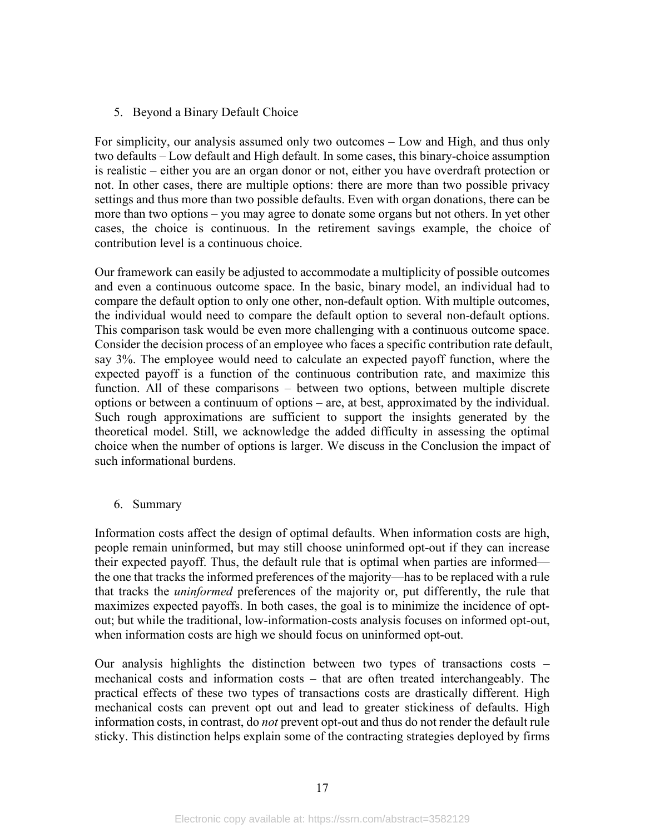## <span id="page-19-0"></span>5. Beyond a Binary Default Choice

For simplicity, our analysis assumed only two outcomes – Low and High, and thus only two defaults – Low default and High default. In some cases, this binary-choice assumption is realistic – either you are an organ donor or not, either you have overdraft protection or not. In other cases, there are multiple options: there are more than two possible privacy settings and thus more than two possible defaults. Even with organ donations, there can be more than two options – you may agree to donate some organs but not others. In yet other cases, the choice is continuous. In the retirement savings example, the choice of contribution level is a continuous choice.

Our framework can easily be adjusted to accommodate a multiplicity of possible outcomes and even a continuous outcome space. In the basic, binary model, an individual had to compare the default option to only one other, non-default option. With multiple outcomes, the individual would need to compare the default option to several non-default options. This comparison task would be even more challenging with a continuous outcome space. Consider the decision process of an employee who faces a specific contribution rate default, say 3%. The employee would need to calculate an expected payoff function, where the expected payoff is a function of the continuous contribution rate, and maximize this function. All of these comparisons – between two options, between multiple discrete options or between a continuum of options – are, at best, approximated by the individual. Such rough approximations are sufficient to support the insights generated by the theoretical model. Still, we acknowledge the added difficulty in assessing the optimal choice when the number of options is larger. We discuss in the Conclusion the impact of such informational burdens.

## <span id="page-19-1"></span>6. Summary

Information costs affect the design of optimal defaults. When information costs are high, people remain uninformed, but may still choose uninformed opt-out if they can increase their expected payoff. Thus, the default rule that is optimal when parties are informed the one that tracks the informed preferences of the majority—has to be replaced with a rule that tracks the *uninformed* preferences of the majority or, put differently, the rule that maximizes expected payoffs. In both cases, the goal is to minimize the incidence of optout; but while the traditional, low-information-costs analysis focuses on informed opt-out, when information costs are high we should focus on uninformed opt-out.

Our analysis highlights the distinction between two types of transactions costs – mechanical costs and information costs – that are often treated interchangeably. The practical effects of these two types of transactions costs are drastically different. High mechanical costs can prevent opt out and lead to greater stickiness of defaults. High information costs, in contrast, do *not* prevent opt-out and thus do not render the default rule sticky. This distinction helps explain some of the contracting strategies deployed by firms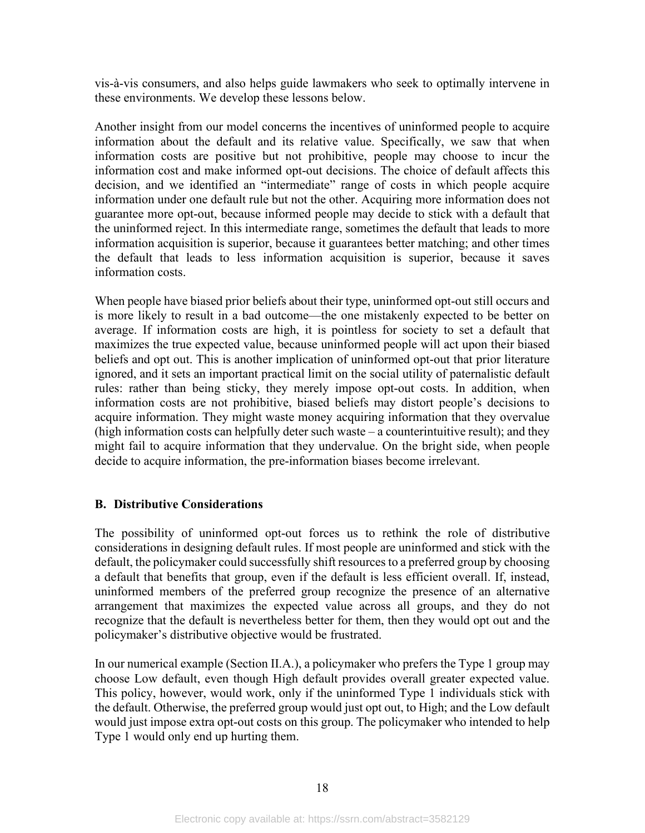vis-à-vis consumers, and also helps guide lawmakers who seek to optimally intervene in these environments. We develop these lessons below.

Another insight from our model concerns the incentives of uninformed people to acquire information about the default and its relative value. Specifically, we saw that when information costs are positive but not prohibitive, people may choose to incur the information cost and make informed opt-out decisions. The choice of default affects this decision, and we identified an "intermediate" range of costs in which people acquire information under one default rule but not the other. Acquiring more information does not guarantee more opt-out, because informed people may decide to stick with a default that the uninformed reject. In this intermediate range, sometimes the default that leads to more information acquisition is superior, because it guarantees better matching; and other times the default that leads to less information acquisition is superior, because it saves information costs.

When people have biased prior beliefs about their type, uninformed opt-out still occurs and is more likely to result in a bad outcome—the one mistakenly expected to be better on average. If information costs are high, it is pointless for society to set a default that maximizes the true expected value, because uninformed people will act upon their biased beliefs and opt out. This is another implication of uninformed opt-out that prior literature ignored, and it sets an important practical limit on the social utility of paternalistic default rules: rather than being sticky, they merely impose opt-out costs. In addition, when information costs are not prohibitive, biased beliefs may distort people's decisions to acquire information. They might waste money acquiring information that they overvalue (high information costs can helpfully deter such waste – a counterintuitive result); and they might fail to acquire information that they undervalue. On the bright side, when people decide to acquire information, the pre-information biases become irrelevant.

#### <span id="page-20-1"></span><span id="page-20-0"></span>**B. Distributive Considerations**

The possibility of uninformed opt-out forces us to rethink the role of distributive considerations in designing default rules. If most people are uninformed and stick with the default, the policymaker could successfully shift resources to a preferred group by choosing a default that benefits that group, even if the default is less efficient overall. If, instead, uninformed members of the preferred group recognize the presence of an alternative arrangement that maximizes the expected value across all groups, and they do not recognize that the default is nevertheless better for them, then they would opt out and the policymaker's distributive objective would be frustrated.

In our numerical example (Section II.A.), a policymaker who prefers the Type 1 group may choose Low default, even though High default provides overall greater expected value. This policy, however, would work, only if the uninformed Type 1 individuals stick with the default. Otherwise, the preferred group would just opt out, to High; and the Low default would just impose extra opt-out costs on this group. The policymaker who intended to help Type 1 would only end up hurting them.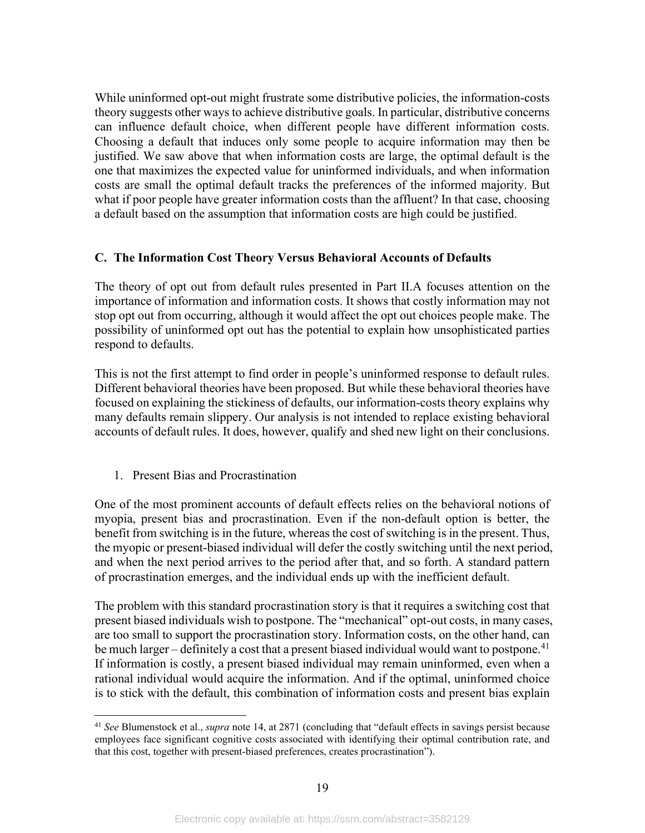While uninformed opt-out might frustrate some distributive policies, the information-costs theory suggests other ways to achieve distributive goals. In particular, distributive concerns can influence default choice, when different people have different information costs. Choosing a default that induces only some people to acquire information may then be justified. We saw above that when information costs are large, the optimal default is the one that maximizes the expected value for uninformed individuals, and when information costs are small the optimal default tracks the preferences of the informed majority. But what if poor people have greater information costs than the affluent? In that case, choosing a default based on the assumption that information costs are high could be justified.

## <span id="page-21-0"></span>**C. The Information Cost Theory Versus Behavioral Accounts of Defaults**

The theory of opt out from default rules presented in Part II.A focuses attention on the importance of information and information costs. It shows that costly information may not stop opt out from occurring, although it would affect the opt out choices people make. The possibility of uninformed opt out has the potential to explain how unsophisticated parties respond to defaults.

This is not the first attempt to find order in people's uninformed response to default rules. Different behavioral theories have been proposed. But while these behavioral theories have focused on explaining the stickiness of defaults, our information-costs theory explains why many defaults remain slippery. Our analysis is not intended to replace existing behavioral accounts of default rules. It does, however, qualify and shed new light on their conclusions.

#### <span id="page-21-1"></span>1. Present Bias and Procrastination

One of the most prominent accounts of default effects relies on the behavioral notions of myopia, present bias and procrastination. Even if the non-default option is better, the benefit from switching is in the future, whereas the cost of switching is in the present. Thus, the myopic or present-biased individual will defer the costly switching until the next period, and when the next period arrives to the period after that, and so forth. A standard pattern of procrastination emerges, and the individual ends up with the inefficient default.

The problem with this standard procrastination story is that it requires a switching cost that present biased individuals wish to postpone. The "mechanical" opt-out costs, in many cases, are too small to support the procrastination story. Information costs, on the other hand, can be much larger – definitely a cost that a present biased individual would want to postpone.<sup>[41](#page-21-2)</sup> If information is costly, a present biased individual may remain uninformed, even when a rational individual would acquire the information. And if the optimal, uninformed choice is to stick with the default, this combination of information costs and present bias explain

<span id="page-21-2"></span><sup>41</sup> *See* Blumenstock et al., *supra* note [14,](#page-6-3) at 2871 (concluding that "default effects in savings persist because employees face significant cognitive costs associated with identifying their optimal contribution rate, and that this cost, together with present-biased preferences, creates procrastination").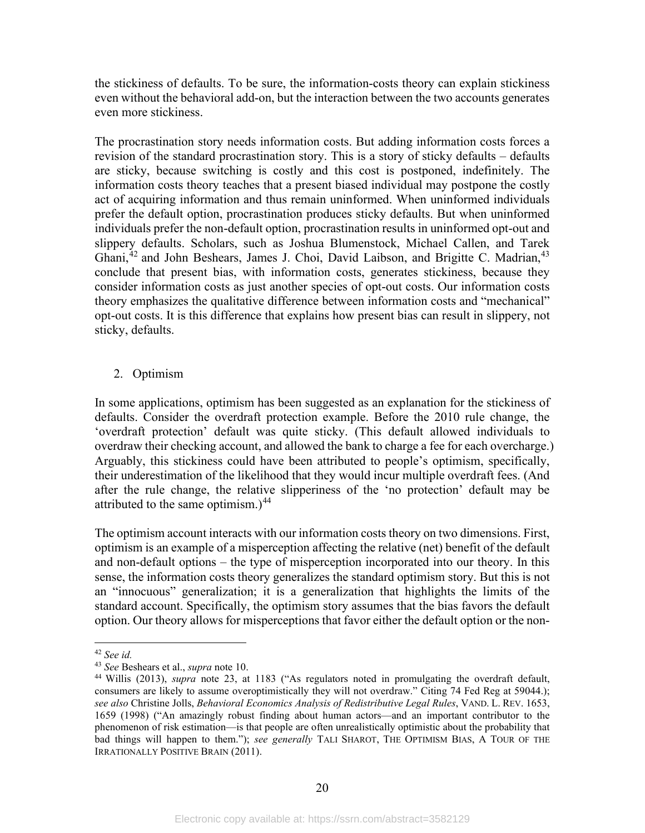the stickiness of defaults. To be sure, the information-costs theory can explain stickiness even without the behavioral add-on, but the interaction between the two accounts generates even more stickiness.

The procrastination story needs information costs. But adding information costs forces a revision of the standard procrastination story. This is a story of sticky defaults – defaults are sticky, because switching is costly and this cost is postponed, indefinitely. The information costs theory teaches that a present biased individual may postpone the costly act of acquiring information and thus remain uninformed. When uninformed individuals prefer the default option, procrastination produces sticky defaults. But when uninformed individuals prefer the non-default option, procrastination results in uninformed opt-out and slippery defaults. Scholars, such as Joshua Blumenstock, Michael Callen, and Tarek Ghani,<sup>[42](#page-22-1)</sup> and John Beshears, James J. Choi, David Laibson, and Brigitte C. Madrian,<sup>[43](#page-22-2)</sup> conclude that present bias, with information costs, generates stickiness, because they consider information costs as just another species of opt-out costs. Our information costs theory emphasizes the qualitative difference between information costs and "mechanical" opt-out costs. It is this difference that explains how present bias can result in slippery, not sticky, defaults.

## <span id="page-22-0"></span>2. Optimism

In some applications, optimism has been suggested as an explanation for the stickiness of defaults. Consider the overdraft protection example. Before the 2010 rule change, the 'overdraft protection' default was quite sticky. (This default allowed individuals to overdraw their checking account, and allowed the bank to charge a fee for each overcharge.) Arguably, this stickiness could have been attributed to people's optimism, specifically, their underestimation of the likelihood that they would incur multiple overdraft fees. (And after the rule change, the relative slipperiness of the 'no protection' default may be attributed to the same optimism.) $44$ 

The optimism account interacts with our information costs theory on two dimensions. First, optimism is an example of a misperception affecting the relative (net) benefit of the default and non-default options – the type of misperception incorporated into our theory. In this sense, the information costs theory generalizes the standard optimism story. But this is not an "innocuous" generalization; it is a generalization that highlights the limits of the standard account. Specifically, the optimism story assumes that the bias favors the default option. Our theory allows for misperceptions that favor either the default option or the non-

<sup>42</sup> *See id.*

<span id="page-22-2"></span><span id="page-22-1"></span><sup>43</sup> *See* Beshears et al., *supra* note [10.](#page-5-7)

<span id="page-22-3"></span><sup>44</sup> Willis (2013), *supra* note [23,](#page-10-5) at 1183 ("As regulators noted in promulgating the overdraft default, consumers are likely to assume overoptimistically they will not overdraw." Citing 74 Fed Reg at 59044.); *see also* Christine Jolls, *Behavioral Economics Analysis of Redistributive Legal Rules*, VAND. L. REV. 1653, 1659 (1998) ("An amazingly robust finding about human actors—and an important contributor to the phenomenon of risk estimation—is that people are often unrealistically optimistic about the probability that bad things will happen to them."); *see generally* TALI SHAROT, THE OPTIMISM BIAS, A TOUR OF THE IRRATIONALLY POSITIVE BRAIN (2011).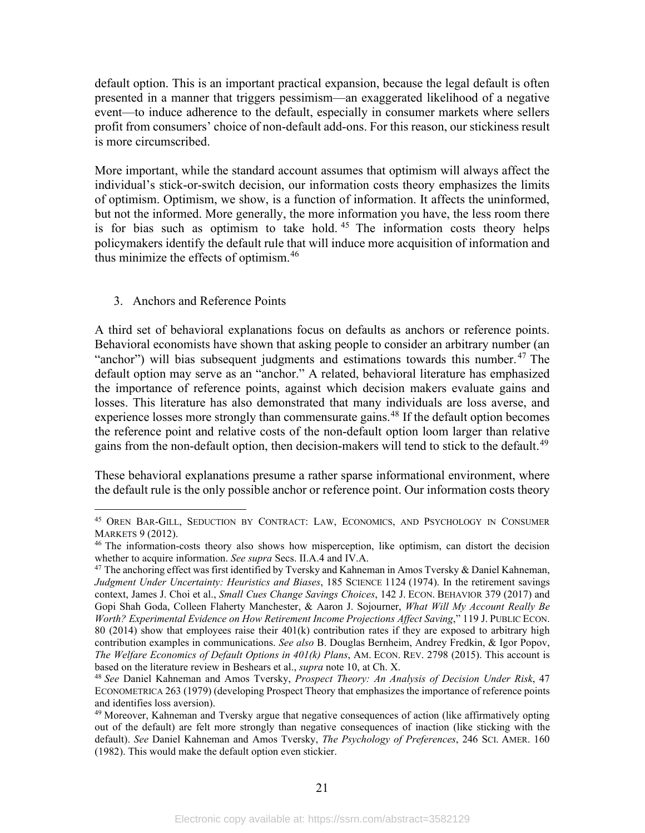default option. This is an important practical expansion, because the legal default is often presented in a manner that triggers pessimism—an exaggerated likelihood of a negative event—to induce adherence to the default, especially in consumer markets where sellers profit from consumers' choice of non-default add-ons. For this reason, our stickiness result is more circumscribed.

More important, while the standard account assumes that optimism will always affect the individual's stick-or-switch decision, our information costs theory emphasizes the limits of optimism. Optimism, we show, is a function of information. It affects the uninformed, but not the informed. More generally, the more information you have, the less room there is for bias such as optimism to take hold.<sup>[45](#page-23-1)</sup> The information costs theory helps policymakers identify the default rule that will induce more acquisition of information and thus minimize the effects of optimism.[46](#page-23-2)

<span id="page-23-6"></span><span id="page-23-0"></span>3. Anchors and Reference Points

A third set of behavioral explanations focus on defaults as anchors or reference points. Behavioral economists have shown that asking people to consider an arbitrary number (an "anchor") will bias subsequent judgments and estimations towards this number.  $47$  The default option may serve as an "anchor." A related, behavioral literature has emphasized the importance of reference points, against which decision makers evaluate gains and losses. This literature has also demonstrated that many individuals are loss averse, and experience losses more strongly than commensurate gains.<sup>[48](#page-23-4)</sup> If the default option becomes the reference point and relative costs of the non-default option loom larger than relative gains from the non-default option, then decision-makers will tend to stick to the default.<sup>[49](#page-23-5)</sup>

These behavioral explanations presume a rather sparse informational environment, where the default rule is the only possible anchor or reference point. Our information costs theory

<span id="page-23-1"></span><sup>45</sup> OREN BAR-GILL, SEDUCTION BY CONTRACT: LAW, ECONOMICS, AND PSYCHOLOGY IN CONSUMER MARKETS 9 (2012).

<span id="page-23-2"></span><sup>&</sup>lt;sup>46</sup> The information-costs theory also shows how misperception, like optimism, can distort the decision whether to acquire information. *See supra* Secs. [II.A.4](#page-16-0) an[d IV.A.](#page-32-1)

<span id="page-23-3"></span> $47$  The anchoring effect was first identified by Tversky and Kahneman in Amos Tversky & Daniel Kahneman, *Judgment Under Uncertainty: Heuristics and Biases*, 185 SCIENCE 1124 (1974). In the retirement savings context, James J. Choi et al., *Small Cues Change Savings Choices*, 142 J. ECON. BEHAVIOR 379 (2017) and Gopi Shah Goda, Colleen Flaherty Manchester, & Aaron J. Sojourner, *What Will My Account Really Be Worth? Experimental Evidence on How Retirement Income Projections Affect Saving*," 119 J. PUBLIC ECON. 80 (2014) show that employees raise their 401(k) contribution rates if they are exposed to arbitrary high contribution examples in communications. *See also* B. Douglas Bernheim, Andrey Fredkin, & Igor Popov, *The Welfare Economics of Default Options in 401(k) Plans*, AM. ECON. REV. 2798 (2015). This account is based on the literature review in Beshears et al., *supra* note 10, at Ch. X.<br><sup>48</sup> *See* Daniel Kahneman and Amos Tversky, *Prospect Theory: An Analysis of Decision Under Risk*, 47

<span id="page-23-4"></span>ECONOMETRICA 263 (1979) (developing Prospect Theory that emphasizes the importance of reference points and identifies loss aversion).

<span id="page-23-5"></span><sup>&</sup>lt;sup>49</sup> Moreover, Kahneman and Tversky argue that negative consequences of action (like affirmatively opting out of the default) are felt more strongly than negative consequences of inaction (like sticking with the default). *See* Daniel Kahneman and Amos Tversky, *The Psychology of Preferences*, 246 SCI. AMER. 160 (1982). This would make the default option even stickier.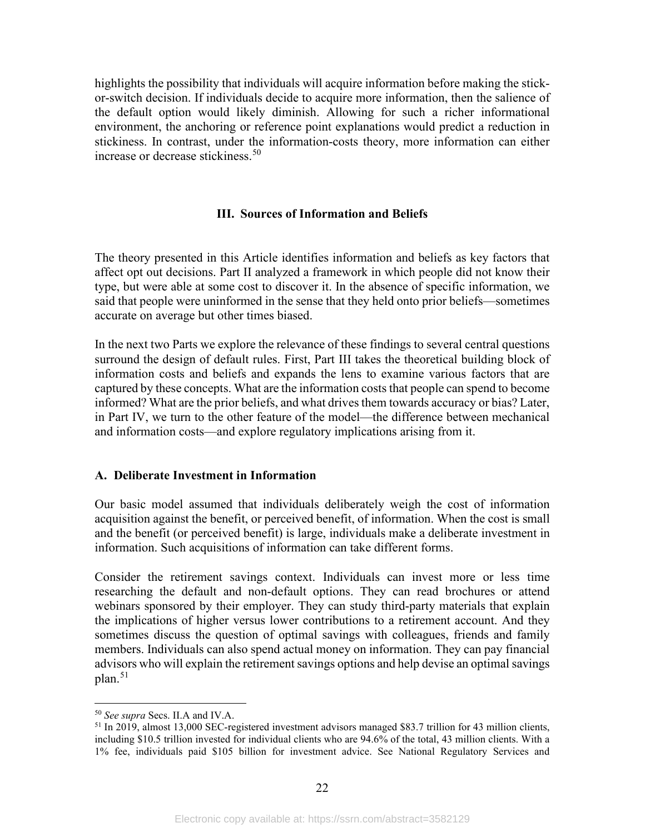highlights the possibility that individuals will acquire information before making the stickor-switch decision. If individuals decide to acquire more information, then the salience of the default option would likely diminish. Allowing for such a richer informational environment, the anchoring or reference point explanations would predict a reduction in stickiness. In contrast, under the information-costs theory, more information can either increase or decrease stickiness.<sup>[50](#page-24-2)</sup>

#### **III. Sources of Information and Beliefs**

<span id="page-24-0"></span>The theory presented in this Article identifies information and beliefs as key factors that affect opt out decisions. Part II analyzed a framework in which people did not know their type, but were able at some cost to discover it. In the absence of specific information, we said that people were uninformed in the sense that they held onto prior beliefs—sometimes accurate on average but other times biased.

In the next two Parts we explore the relevance of these findings to several central questions surround the design of default rules. First, Part III takes the theoretical building block of information costs and beliefs and expands the lens to examine various factors that are captured by these concepts. What are the information costs that people can spend to become informed? What are the prior beliefs, and what drives them towards accuracy or bias? Later, in Part IV, we turn to the other feature of the model—the difference between mechanical and information costs—and explore regulatory implications arising from it.

#### <span id="page-24-1"></span>**A. Deliberate Investment in Information**

Our basic model assumed that individuals deliberately weigh the cost of information acquisition against the benefit, or perceived benefit, of information. When the cost is small and the benefit (or perceived benefit) is large, individuals make a deliberate investment in information. Such acquisitions of information can take different forms.

Consider the retirement savings context. Individuals can invest more or less time researching the default and non-default options. They can read brochures or attend webinars sponsored by their employer. They can study third-party materials that explain the implications of higher versus lower contributions to a retirement account. And they sometimes discuss the question of optimal savings with colleagues, friends and family members. Individuals can also spend actual money on information. They can pay financial advisors who will explain the retirement savings options and help devise an optimal savings  $plan.<sup>51</sup>$  $plan.<sup>51</sup>$  $plan.<sup>51</sup>$ 

<span id="page-24-2"></span><sup>50</sup> *See supra* Secs. [II.A](#page-12-1) and [IV.A.](#page-32-1)

<span id="page-24-3"></span><sup>&</sup>lt;sup>51</sup> In 2019, almost 13,000 SEC-registered investment advisors managed \$83.7 trillion for 43 million clients, including \$10.5 trillion invested for individual clients who are 94.6% of the total, 43 million clients. With a 1% fee, individuals paid \$105 billion for investment advice. See National Regulatory Services and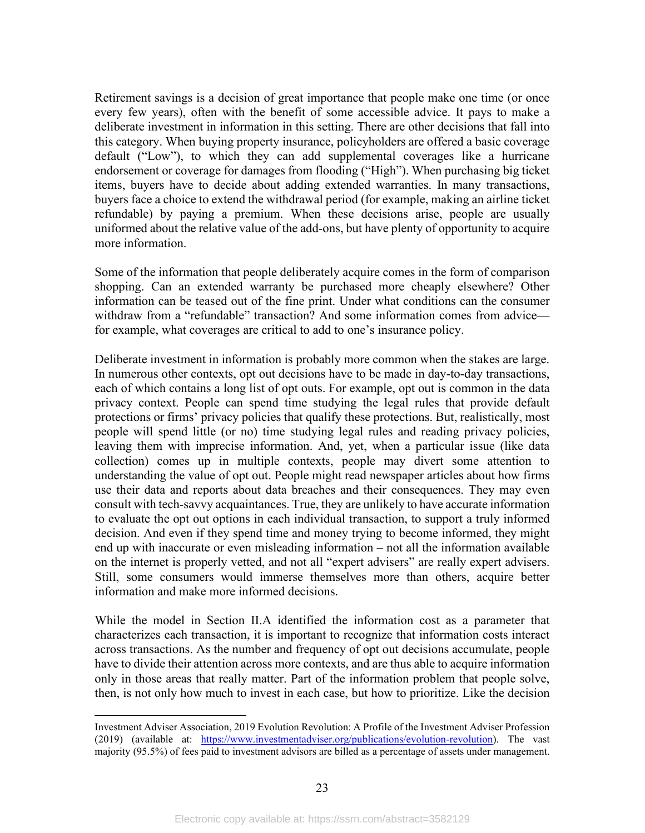Retirement savings is a decision of great importance that people make one time (or once every few years), often with the benefit of some accessible advice. It pays to make a deliberate investment in information in this setting. There are other decisions that fall into this category. When buying property insurance, policyholders are offered a basic coverage default ("Low"), to which they can add supplemental coverages like a hurricane endorsement or coverage for damages from flooding ("High"). When purchasing big ticket items, buyers have to decide about adding extended warranties. In many transactions, buyers face a choice to extend the withdrawal period (for example, making an airline ticket refundable) by paying a premium. When these decisions arise, people are usually uniformed about the relative value of the add-ons, but have plenty of opportunity to acquire more information.

Some of the information that people deliberately acquire comes in the form of comparison shopping. Can an extended warranty be purchased more cheaply elsewhere? Other information can be teased out of the fine print. Under what conditions can the consumer withdraw from a "refundable" transaction? And some information comes from advice for example, what coverages are critical to add to one's insurance policy.

Deliberate investment in information is probably more common when the stakes are large. In numerous other contexts, opt out decisions have to be made in day-to-day transactions, each of which contains a long list of opt outs. For example, opt out is common in the data privacy context. People can spend time studying the legal rules that provide default protections or firms' privacy policies that qualify these protections. But, realistically, most people will spend little (or no) time studying legal rules and reading privacy policies, leaving them with imprecise information. And, yet, when a particular issue (like data collection) comes up in multiple contexts, people may divert some attention to understanding the value of opt out. People might read newspaper articles about how firms use their data and reports about data breaches and their consequences. They may even consult with tech-savvy acquaintances. True, they are unlikely to have accurate information to evaluate the opt out options in each individual transaction, to support a truly informed decision. And even if they spend time and money trying to become informed, they might end up with inaccurate or even misleading information – not all the information available on the internet is properly vetted, and not all "expert advisers" are really expert advisers. Still, some consumers would immerse themselves more than others, acquire better information and make more informed decisions.

While the model in Section II.A identified the information cost as a parameter that characterizes each transaction, it is important to recognize that information costs interact across transactions. As the number and frequency of opt out decisions accumulate, people have to divide their attention across more contexts, and are thus able to acquire information only in those areas that really matter. Part of the information problem that people solve, then, is not only how much to invest in each case, but how to prioritize. Like the decision

Investment Adviser Association, 2019 Evolution Revolution: A Profile of the Investment Adviser Profession (2019) (available at: [https://www.investmentadviser.org/publications/evolution-revolution\)](https://www.investmentadviser.org/publications/evolution-revolution). The vast majority (95.5%) of fees paid to investment advisors are billed as a percentage of assets under management.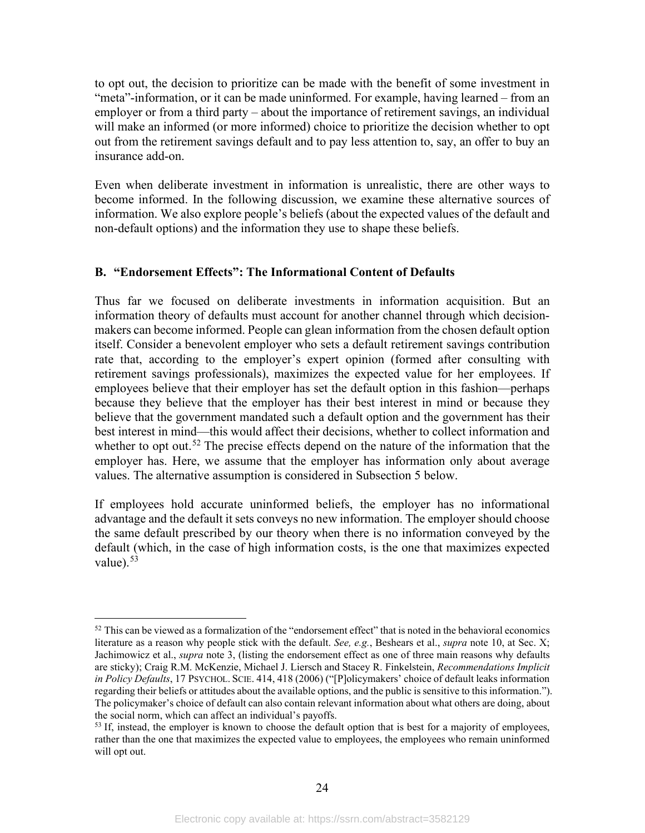to opt out, the decision to prioritize can be made with the benefit of some investment in "meta"-information, or it can be made uninformed. For example, having learned – from an employer or from a third party – about the importance of retirement savings, an individual will make an informed (or more informed) choice to prioritize the decision whether to opt out from the retirement savings default and to pay less attention to, say, an offer to buy an insurance add-on.

Even when deliberate investment in information is unrealistic, there are other ways to become informed. In the following discussion, we examine these alternative sources of information. We also explore people's beliefs (about the expected values of the default and non-default options) and the information they use to shape these beliefs.

## <span id="page-26-0"></span>**B. "Endorsement Effects": The Informational Content of Defaults**

Thus far we focused on deliberate investments in information acquisition. But an information theory of defaults must account for another channel through which decisionmakers can become informed. People can glean information from the chosen default option itself. Consider a benevolent employer who sets a default retirement savings contribution rate that, according to the employer's expert opinion (formed after consulting with retirement savings professionals), maximizes the expected value for her employees. If employees believe that their employer has set the default option in this fashion—perhaps because they believe that the employer has their best interest in mind or because they believe that the government mandated such a default option and the government has their best interest in mind—this would affect their decisions, whether to collect information and whether to opt out.<sup>[52](#page-26-1)</sup> The precise effects depend on the nature of the information that the employer has. Here, we assume that the employer has information only about average values. The alternative assumption is considered in Subsection 5 below.

<span id="page-26-3"></span>If employees hold accurate uninformed beliefs, the employer has no informational advantage and the default it sets conveys no new information. The employer should choose the same default prescribed by our theory when there is no information conveyed by the default (which, in the case of high information costs, is the one that maximizes expected value). $53$ 

<span id="page-26-1"></span> $52$  This can be viewed as a formalization of the "endorsement effect" that is noted in the behavioral economics literature as a reason why people stick with the default. *See, e.g.*, Beshears et al., *supra* note [10,](#page-5-7) at Sec. X; Jachimowicz et al., *supra* note [3,](#page-4-5) (listing the endorsement effect as one of three main reasons why defaults are sticky); Craig R.M. McKenzie, Michael J. Liersch and Stacey R. Finkelstein, *Recommendations Implicit in Policy Defaults*, 17 PSYCHOL. SCIE. 414, 418 (2006) ("[P]olicymakers' choice of default leaks information regarding their beliefs or attitudes about the available options, and the public is sensitive to this information."). The policymaker's choice of default can also contain relevant information about what others are doing, about the social norm, which can affect an individual's payoffs.

<span id="page-26-2"></span> $53$  If, instead, the employer is known to choose the default option that is best for a majority of employees, rather than the one that maximizes the expected value to employees, the employees who remain uninformed will opt out.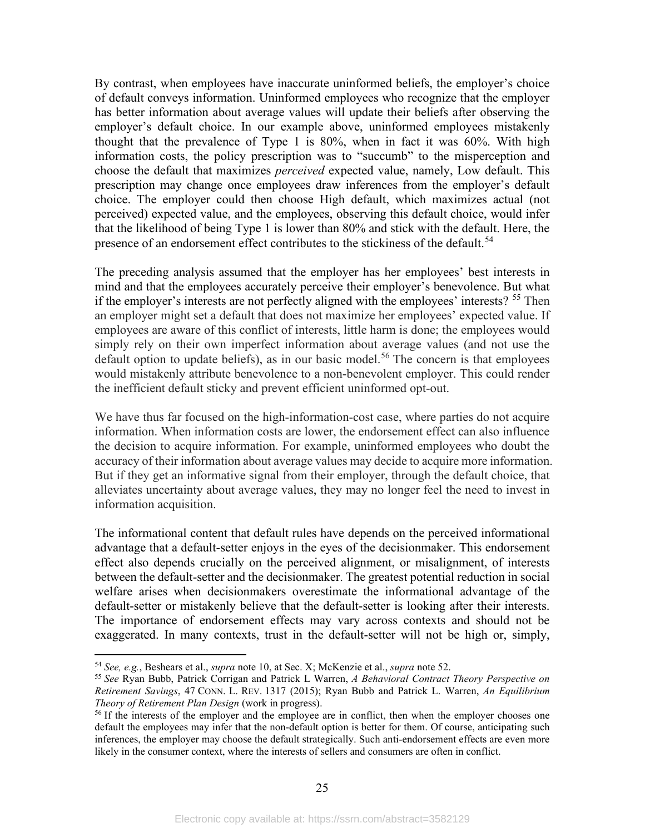By contrast, when employees have inaccurate uninformed beliefs, the employer's choice of default conveys information. Uninformed employees who recognize that the employer has better information about average values will update their beliefs after observing the employer's default choice. In our example above, uninformed employees mistakenly thought that the prevalence of Type 1 is 80%, when in fact it was 60%. With high information costs, the policy prescription was to "succumb" to the misperception and choose the default that maximizes *perceived* expected value, namely, Low default. This prescription may change once employees draw inferences from the employer's default choice. The employer could then choose High default, which maximizes actual (not perceived) expected value, and the employees, observing this default choice, would infer that the likelihood of being Type 1 is lower than 80% and stick with the default. Here, the presence of an endorsement effect contributes to the stickiness of the default.<sup>[54](#page-27-0)</sup>

The preceding analysis assumed that the employer has her employees' best interests in mind and that the employees accurately perceive their employer's benevolence. But what if the employer's interests are not perfectly aligned with the employees' interests? <sup>[55](#page-27-1)</sup> Then an employer might set a default that does not maximize her employees' expected value. If employees are aware of this conflict of interests, little harm is done; the employees would simply rely on their own imperfect information about average values (and not use the default option to update beliefs), as in our basic model.<sup>[56](#page-27-2)</sup> The concern is that employees would mistakenly attribute benevolence to a non-benevolent employer. This could render the inefficient default sticky and prevent efficient uninformed opt-out.

We have thus far focused on the high-information-cost case, where parties do not acquire information. When information costs are lower, the endorsement effect can also influence the decision to acquire information. For example, uninformed employees who doubt the accuracy of their information about average values may decide to acquire more information. But if they get an informative signal from their employer, through the default choice, that alleviates uncertainty about average values, they may no longer feel the need to invest in information acquisition.

The informational content that default rules have depends on the perceived informational advantage that a default-setter enjoys in the eyes of the decisionmaker. This endorsement effect also depends crucially on the perceived alignment, or misalignment, of interests between the default-setter and the decisionmaker. The greatest potential reduction in social welfare arises when decisionmakers overestimate the informational advantage of the default-setter or mistakenly believe that the default-setter is looking after their interests. The importance of endorsement effects may vary across contexts and should not be exaggerated. In many contexts, trust in the default-setter will not be high or, simply,

<span id="page-27-0"></span><sup>54</sup> *See, e.g.*, Beshears et al., *supra* note [10,](#page-5-7) at Sec. X; McKenzie et al., *supra* not[e 52.](#page-26-3)

<span id="page-27-1"></span><sup>55</sup> *See* Ryan Bubb, Patrick Corrigan and Patrick L Warren, *A Behavioral Contract Theory Perspective on Retirement Savings*, 47 CONN. L. REV. 1317 (2015); Ryan Bubb and Patrick L. Warren, *An Equilibrium Theory of Retirement Plan Design* (work in progress).

<span id="page-27-2"></span><sup>&</sup>lt;sup>56</sup> If the interests of the employer and the employee are in conflict, then when the employer chooses one default the employees may infer that the non-default option is better for them. Of course, anticipating such inferences, the employer may choose the default strategically. Such anti-endorsement effects are even more likely in the consumer context, where the interests of sellers and consumers are often in conflict.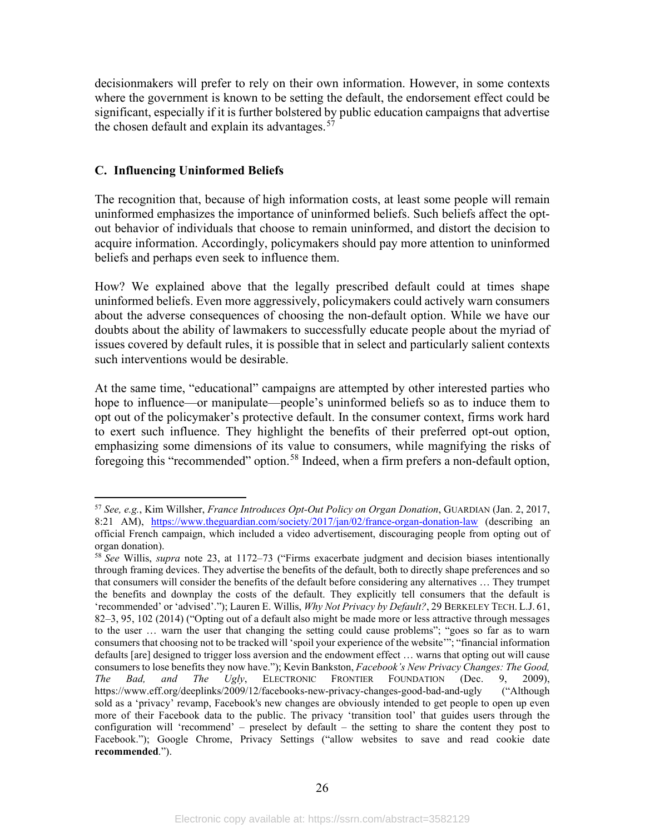decisionmakers will prefer to rely on their own information. However, in some contexts where the government is known to be setting the default, the endorsement effect could be significant, especially if it is further bolstered by public education campaigns that advertise the chosen default and explain its advantages.  $57$ 

## <span id="page-28-0"></span>**C. Influencing Uninformed Beliefs**

The recognition that, because of high information costs, at least some people will remain uninformed emphasizes the importance of uninformed beliefs. Such beliefs affect the optout behavior of individuals that choose to remain uninformed, and distort the decision to acquire information. Accordingly, policymakers should pay more attention to uninformed beliefs and perhaps even seek to influence them.

How? We explained above that the legally prescribed default could at times shape uninformed beliefs. Even more aggressively, policymakers could actively warn consumers about the adverse consequences of choosing the non-default option. While we have our doubts about the ability of lawmakers to successfully educate people about the myriad of issues covered by default rules, it is possible that in select and particularly salient contexts such interventions would be desirable.

At the same time, "educational" campaigns are attempted by other interested parties who hope to influence—or manipulate—people's uninformed beliefs so as to induce them to opt out of the policymaker's protective default. In the consumer context, firms work hard to exert such influence. They highlight the benefits of their preferred opt-out option, emphasizing some dimensions of its value to consumers, while magnifying the risks of foregoing this "recommended" option.[58](#page-28-2) Indeed, when a firm prefers a non-default option,

<span id="page-28-1"></span><sup>57</sup> *See, e.g.*, Kim Willsher, *France Introduces Opt-Out Policy on Organ Donation*, GUARDIAN (Jan. 2, 2017, 8:21 AM), <https://www.theguardian.com/society/2017/jan/02/france-organ-donation-law> (describing an official French campaign, which included a video advertisement, discouraging people from opting out of organ donation).

<span id="page-28-2"></span><sup>58</sup> *See* Willis, *supra* note [23,](#page-10-5) at 1172–73 ("Firms exacerbate judgment and decision biases intentionally through framing devices. They advertise the benefits of the default, both to directly shape preferences and so that consumers will consider the benefits of the default before considering any alternatives … They trumpet the benefits and downplay the costs of the default. They explicitly tell consumers that the default is 'recommended' or 'advised'."); Lauren E. Willis, *Why Not Privacy by Default?*, 29 BERKELEY TECH. L.J. 61, 82–3, 95, 102 (2014) ("Opting out of a default also might be made more or less attractive through messages to the user … warn the user that changing the setting could cause problems"; "goes so far as to warn consumers that choosing not to be tracked will 'spoil your experience of the website'"; "financial information defaults [are] designed to trigger loss aversion and the endowment effect … warns that opting out will cause consumers to lose benefits they now have."); Kevin Bankston, *Facebook's New Privacy Changes: The Good, The Bad, and The Ugly*, ELECTRONIC FRONTIER FOUNDATION (Dec. 9, 2009), <https://www.eff.org/deeplinks/2009/12/facebooks-new-privacy-changes-good-bad-and-ugly> ("Although sold as a 'privacy' revamp, Facebook's new changes are obviously intended to get people to open up even more of their Facebook data to the public. The privacy 'transition tool' that guides users through the configuration will 'recommend' – preselect by default – the setting to share the content they post to Facebook."); Google Chrome, Privacy Settings ("allow websites to save and read cookie date **recommended**.").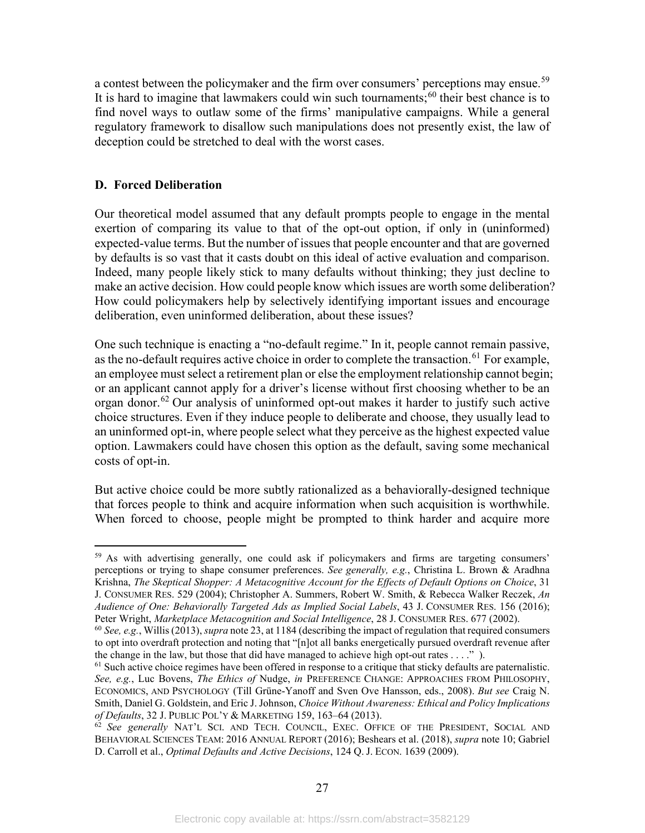a contest between the policymaker and the firm over consumers' perceptions may ensue.<sup>[59](#page-29-1)</sup> It is hard to imagine that lawmakers could win such tournaments; $60$  their best chance is to find novel ways to outlaw some of the firms' manipulative campaigns. While a general regulatory framework to disallow such manipulations does not presently exist, the law of deception could be stretched to deal with the worst cases.

## <span id="page-29-0"></span>**D. Forced Deliberation**

Our theoretical model assumed that any default prompts people to engage in the mental exertion of comparing its value to that of the opt-out option, if only in (uninformed) expected-value terms. But the number of issues that people encounter and that are governed by defaults is so vast that it casts doubt on this ideal of active evaluation and comparison. Indeed, many people likely stick to many defaults without thinking; they just decline to make an active decision. How could people know which issues are worth some deliberation? How could policymakers help by selectively identifying important issues and encourage deliberation, even uninformed deliberation, about these issues?

One such technique is enacting a "no-default regime." In it, people cannot remain passive, as the no-default requires active choice in order to complete the transaction.<sup>[61](#page-29-3)</sup> For example, an employee must select a retirement plan or else the employment relationship cannot begin; or an applicant cannot apply for a driver's license without first choosing whether to be an organ donor.[62](#page-29-4) Our analysis of uninformed opt-out makes it harder to justify such active choice structures. Even if they induce people to deliberate and choose, they usually lead to an uninformed opt-in, where people select what they perceive as the highest expected value option. Lawmakers could have chosen this option as the default, saving some mechanical costs of opt-in.

But active choice could be more subtly rationalized as a behaviorally-designed technique that forces people to think and acquire information when such acquisition is worthwhile. When forced to choose, people might be prompted to think harder and acquire more

<span id="page-29-1"></span><sup>&</sup>lt;sup>59</sup> As with advertising generally, one could ask if policymakers and firms are targeting consumers' perceptions or trying to shape consumer preferences. *See generally, e.g.*, Christina L. Brown & Aradhna Krishna, *The Skeptical Shopper: A Metacognitive Account for the Effects of Default Options on Choice*, 31 J. CONSUMER RES. 529 (2004); Christopher A. Summers, Robert W. Smith, & Rebecca Walker Reczek, *An Audience of One: Behaviorally Targeted Ads as Implied Social Labels*, 43 J. CONSUMER RES. 156 (2016); Peter Wright, *Marketplace Metacognition and Social Intelligence*, 28 J. CONSUMER RES. 677 (2002).

<span id="page-29-2"></span><sup>60</sup> *See, e.g.*, Willis (2013), *supra* note [23,](#page-10-5) at 1184 (describing the impact of regulation that required consumers to opt into overdraft protection and noting that "[n]ot all banks energetically pursued overdraft revenue after the change in the law, but those that did have managed to achieve high opt-out rates  $\dots$ .").

<span id="page-29-3"></span> $<sup>61</sup>$  Such active choice regimes have been offered in response to a critique that sticky defaults are paternalistic.</sup> *See, e.g.*, Luc Bovens, *The Ethics of* Nudge, *in* PREFERENCE CHANGE: APPROACHES FROM PHILOSOPHY, ECONOMICS, AND PSYCHOLOGY (Till Grüne-Yanoff and Sven Ove Hansson, eds., 2008). *But see* Craig N. Smith, Daniel G. Goldstein, and Eric J. Johnson, *Choice Without Awareness: Ethical and Policy Implications of Defaults*, 32 J. PUBLIC POL'Y & MARKETING 159, 163–64 (2013).

<span id="page-29-4"></span><sup>&</sup>lt;sup>62</sup> See generally NAT'L SCI. AND TECH. COUNCIL, EXEC. OFFICE OF THE PRESIDENT, SOCIAL AND BEHAVIORAL SCIENCES TEAM: 2016 ANNUAL REPORT (2016); Beshears et al. (2018), *supra* note [10;](#page-5-7) Gabriel D. Carroll et al., *Optimal Defaults and Active Decisions*, 124 Q. J. ECON. 1639 (2009).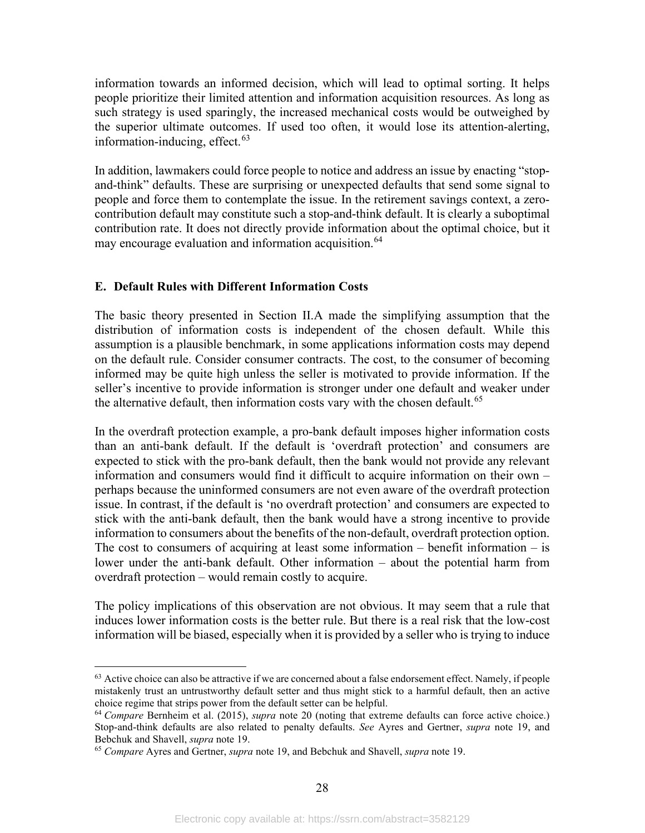information towards an informed decision, which will lead to optimal sorting. It helps people prioritize their limited attention and information acquisition resources. As long as such strategy is used sparingly, the increased mechanical costs would be outweighed by the superior ultimate outcomes. If used too often, it would lose its attention-alerting, information-inducing, effect. $63$ 

In addition, lawmakers could force people to notice and address an issue by enacting "stopand-think" defaults. These are surprising or unexpected defaults that send some signal to people and force them to contemplate the issue. In the retirement savings context, a zerocontribution default may constitute such a stop-and-think default. It is clearly a suboptimal contribution rate. It does not directly provide information about the optimal choice, but it may encourage evaluation and information acquisition.<sup>[64](#page-30-2)</sup>

## <span id="page-30-0"></span>**E. Default Rules with Different Information Costs**

The basic theory presented in Section II.A made the simplifying assumption that the distribution of information costs is independent of the chosen default. While this assumption is a plausible benchmark, in some applications information costs may depend on the default rule. Consider consumer contracts. The cost, to the consumer of becoming informed may be quite high unless the seller is motivated to provide information. If the seller's incentive to provide information is stronger under one default and weaker under the alternative default, then information costs vary with the chosen default.<sup>[65](#page-30-3)</sup>

In the overdraft protection example, a pro-bank default imposes higher information costs than an anti-bank default. If the default is 'overdraft protection' and consumers are expected to stick with the pro-bank default, then the bank would not provide any relevant information and consumers would find it difficult to acquire information on their own – perhaps because the uninformed consumers are not even aware of the overdraft protection issue. In contrast, if the default is 'no overdraft protection' and consumers are expected to stick with the anti-bank default, then the bank would have a strong incentive to provide information to consumers about the benefits of the non-default, overdraft protection option. The cost to consumers of acquiring at least some information  $-$  benefit information  $-$  is lower under the anti-bank default. Other information – about the potential harm from overdraft protection – would remain costly to acquire.

The policy implications of this observation are not obvious. It may seem that a rule that induces lower information costs is the better rule. But there is a real risk that the low-cost information will be biased, especially when it is provided by a seller who is trying to induce

<span id="page-30-1"></span> $63$  Active choice can also be attractive if we are concerned about a false endorsement effect. Namely, if people mistakenly trust an untrustworthy default setter and thus might stick to a harmful default, then an active choice regime that strips power from the default setter can be helpful.

<span id="page-30-2"></span><sup>64</sup> *Compare* Bernheim et al. (2015), *supra* note [20](#page-9-1) (noting that extreme defaults can force active choice.) Stop-and-think defaults are also related to penalty defaults. *See* Ayres and Gertner, *supra* note [19,](#page-8-3) and Bebchuk and Shavell, *supra* note [19.](#page-8-3)

<span id="page-30-3"></span><sup>65</sup> *Compare* Ayres and Gertner, *supra* not[e 19,](#page-8-3) and Bebchuk and Shavell, *supra* not[e 19.](#page-8-3)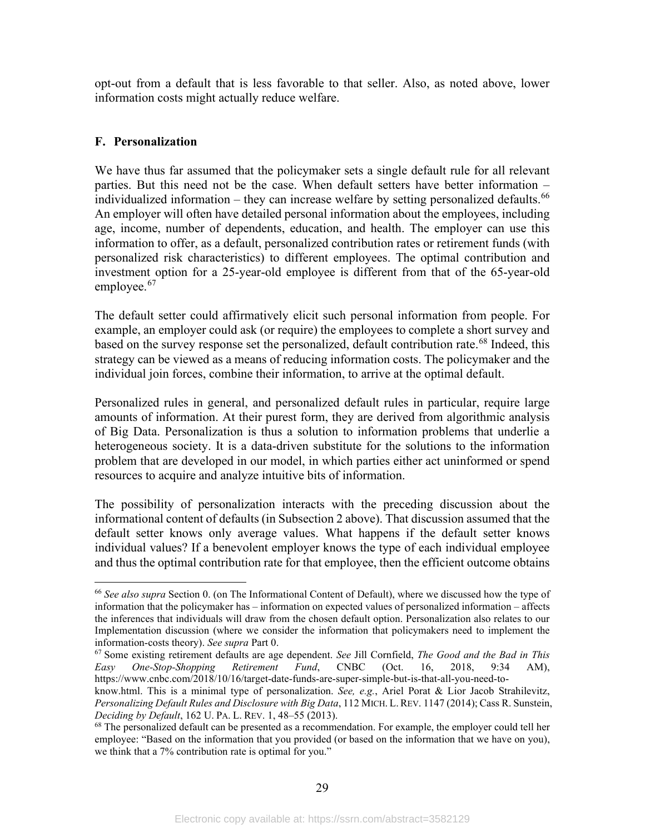opt-out from a default that is less favorable to that seller. Also, as noted above, lower information costs might actually reduce welfare.

## <span id="page-31-0"></span>**F. Personalization**

We have thus far assumed that the policymaker sets a single default rule for all relevant parties. But this need not be the case. When default setters have better information – individualized information – they can increase welfare by setting personalized defaults.<sup>[66](#page-31-1)</sup> An employer will often have detailed personal information about the employees, including age, income, number of dependents, education, and health. The employer can use this information to offer, as a default, personalized contribution rates or retirement funds (with personalized risk characteristics) to different employees. The optimal contribution and investment option for a 25-year-old employee is different from that of the 65-year-old employee. $67$ 

The default setter could affirmatively elicit such personal information from people. For example, an employer could ask (or require) the employees to complete a short survey and based on the survey response set the personalized, default contribution rate.<sup>[68](#page-31-3)</sup> Indeed, this strategy can be viewed as a means of reducing information costs. The policymaker and the individual join forces, combine their information, to arrive at the optimal default.

Personalized rules in general, and personalized default rules in particular, require large amounts of information. At their purest form, they are derived from algorithmic analysis of Big Data. Personalization is thus a solution to information problems that underlie a heterogeneous society. It is a data-driven substitute for the solutions to the information problem that are developed in our model, in which parties either act uninformed or spend resources to acquire and analyze intuitive bits of information.

The possibility of personalization interacts with the preceding discussion about the informational content of defaults (in Subsection 2 above). That discussion assumed that the default setter knows only average values. What happens if the default setter knows individual values? If a benevolent employer knows the type of each individual employee and thus the optimal contribution rate for that employee, then the efficient outcome obtains

<span id="page-31-1"></span><sup>66</sup> *See also supra* Section [0.](#page-20-1) (on The Informational Content of Default), where we discussed how the type of information that the policymaker has – information on expected values of personalized information – affects the inferences that individuals will draw from the chosen default option. Personalization also relates to our Implementation discussion (where we consider the information that policymakers need to implement the information-costs theory). *See supra* Part [0.](#page-44-0)

<span id="page-31-2"></span><sup>67</sup> Some existing retirement defaults are age dependent. *See* Jill Cornfield, *The Good and the Bad in This Easy One-Stop-Shopping Retirement Fund*, CNBC (Oct. 16, 2018, 9:34 AM), [https://www.cnbc.com/2018/10/16/target-date-funds-are-super-simple-but-is-that-all-you-need-to-](https://www.cnbc.com/2018/10/16/target-date-funds-are-super-simple-but-is-that-all-you-need-to-know.html)

[know.html.](https://www.cnbc.com/2018/10/16/target-date-funds-are-super-simple-but-is-that-all-you-need-to-know.html) This is a minimal type of personalization. *See, e.g.*, Ariel Porat & Lior Jacob Strahilevitz, *Personalizing Default Rules and Disclosure with Big Data*, 112 MICH. L. REV. 1147 (2014); Cass R. Sunstein, *Deciding by Default*, 162 U. PA. L. REV. 1, 48–55 (2013).

<span id="page-31-3"></span> $68$  The personalized default can be presented as a recommendation. For example, the employer could tell her employee: "Based on the information that you provided (or based on the information that we have on you), we think that a 7% contribution rate is optimal for you."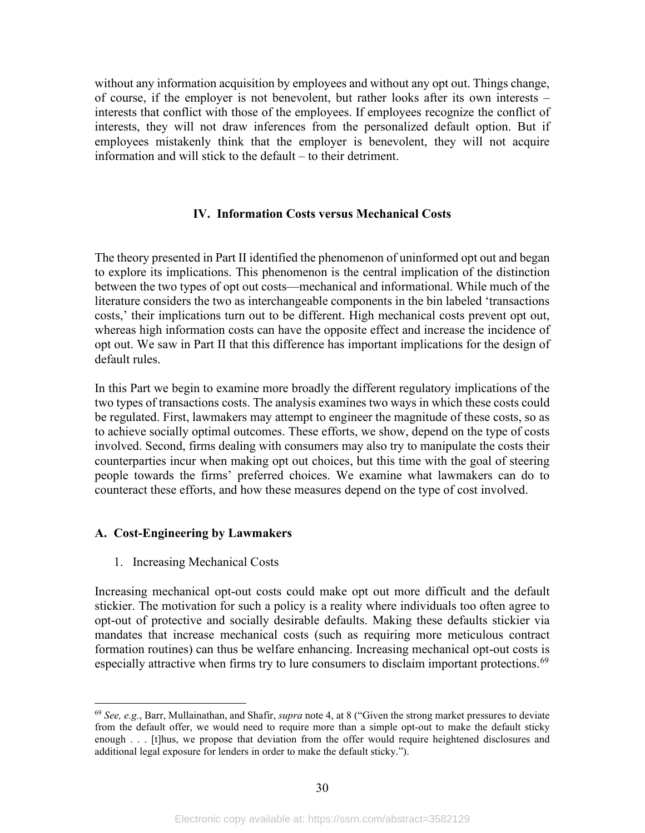without any information acquisition by employees and without any opt out. Things change, of course, if the employer is not benevolent, but rather looks after its own interests – interests that conflict with those of the employees. If employees recognize the conflict of interests, they will not draw inferences from the personalized default option. But if employees mistakenly think that the employer is benevolent, they will not acquire information and will stick to the default – to their detriment.

### **IV. Information Costs versus Mechanical Costs**

<span id="page-32-0"></span>The theory presented in Part II identified the phenomenon of uninformed opt out and began to explore its implications. This phenomenon is the central implication of the distinction between the two types of opt out costs—mechanical and informational. While much of the literature considers the two as interchangeable components in the bin labeled 'transactions costs,' their implications turn out to be different. High mechanical costs prevent opt out, whereas high information costs can have the opposite effect and increase the incidence of opt out. We saw in Part II that this difference has important implications for the design of default rules.

In this Part we begin to examine more broadly the different regulatory implications of the two types of transactions costs. The analysis examines two ways in which these costs could be regulated. First, lawmakers may attempt to engineer the magnitude of these costs, so as to achieve socially optimal outcomes. These efforts, we show, depend on the type of costs involved. Second, firms dealing with consumers may also try to manipulate the costs their counterparties incur when making opt out choices, but this time with the goal of steering people towards the firms' preferred choices. We examine what lawmakers can do to counteract these efforts, and how these measures depend on the type of cost involved.

#### <span id="page-32-1"></span>**A. Cost-Engineering by Lawmakers**

<span id="page-32-2"></span>1. Increasing Mechanical Costs

Increasing mechanical opt-out costs could make opt out more difficult and the default stickier. The motivation for such a policy is a reality where individuals too often agree to opt-out of protective and socially desirable defaults. Making these defaults stickier via mandates that increase mechanical costs (such as requiring more meticulous contract formation routines) can thus be welfare enhancing. Increasing mechanical opt-out costs is especially attractive when firms try to lure consumers to disclaim important protections.<sup>[69](#page-32-3)</sup>

<span id="page-32-3"></span><sup>69</sup> *See, e.g.*, Barr, Mullainathan, and Shafir, *supra* note [4,](#page-4-6) at 8 ("Given the strong market pressures to deviate from the default offer, we would need to require more than a simple opt-out to make the default sticky enough . . . [t]hus, we propose that deviation from the offer would require heightened disclosures and additional legal exposure for lenders in order to make the default sticky.").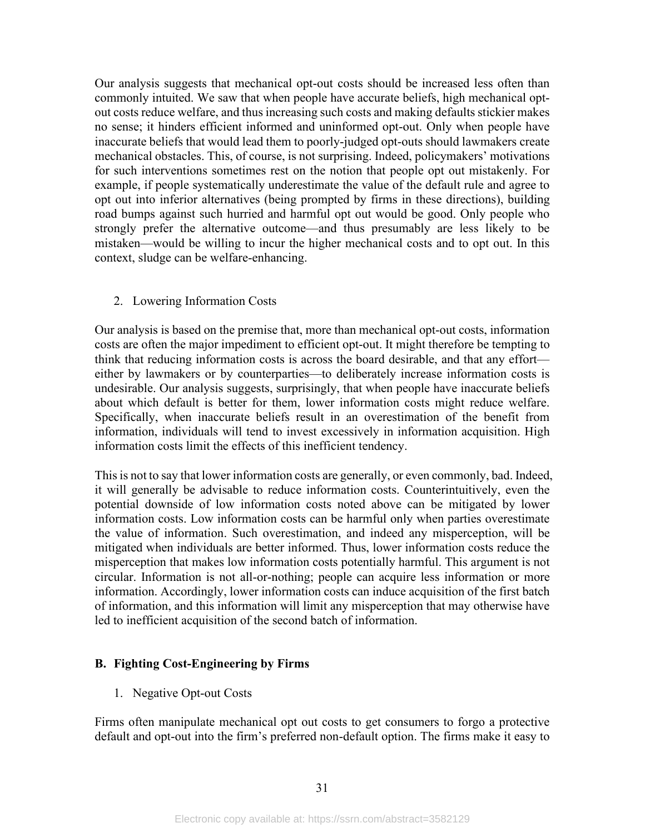Our analysis suggests that mechanical opt-out costs should be increased less often than commonly intuited. We saw that when people have accurate beliefs, high mechanical optout costs reduce welfare, and thus increasing such costs and making defaults stickier makes no sense; it hinders efficient informed and uninformed opt-out. Only when people have inaccurate beliefs that would lead them to poorly-judged opt-outs should lawmakers create mechanical obstacles. This, of course, is not surprising. Indeed, policymakers' motivations for such interventions sometimes rest on the notion that people opt out mistakenly. For example, if people systematically underestimate the value of the default rule and agree to opt out into inferior alternatives (being prompted by firms in these directions), building road bumps against such hurried and harmful opt out would be good. Only people who strongly prefer the alternative outcome—and thus presumably are less likely to be mistaken—would be willing to incur the higher mechanical costs and to opt out. In this context, sludge can be welfare-enhancing.

#### <span id="page-33-0"></span>2. Lowering Information Costs

Our analysis is based on the premise that, more than mechanical opt-out costs, information costs are often the major impediment to efficient opt-out. It might therefore be tempting to think that reducing information costs is across the board desirable, and that any effort either by lawmakers or by counterparties—to deliberately increase information costs is undesirable. Our analysis suggests, surprisingly, that when people have inaccurate beliefs about which default is better for them, lower information costs might reduce welfare. Specifically, when inaccurate beliefs result in an overestimation of the benefit from information, individuals will tend to invest excessively in information acquisition. High information costs limit the effects of this inefficient tendency.

This is not to say that lower information costs are generally, or even commonly, bad. Indeed, it will generally be advisable to reduce information costs. Counterintuitively, even the potential downside of low information costs noted above can be mitigated by lower information costs. Low information costs can be harmful only when parties overestimate the value of information. Such overestimation, and indeed any misperception, will be mitigated when individuals are better informed. Thus, lower information costs reduce the misperception that makes low information costs potentially harmful. This argument is not circular. Information is not all-or-nothing; people can acquire less information or more information. Accordingly, lower information costs can induce acquisition of the first batch of information, and this information will limit any misperception that may otherwise have led to inefficient acquisition of the second batch of information.

## <span id="page-33-1"></span>**B. Fighting Cost-Engineering by Firms**

<span id="page-33-2"></span>1. Negative Opt-out Costs

Firms often manipulate mechanical opt out costs to get consumers to forgo a protective default and opt-out into the firm's preferred non-default option. The firms make it easy to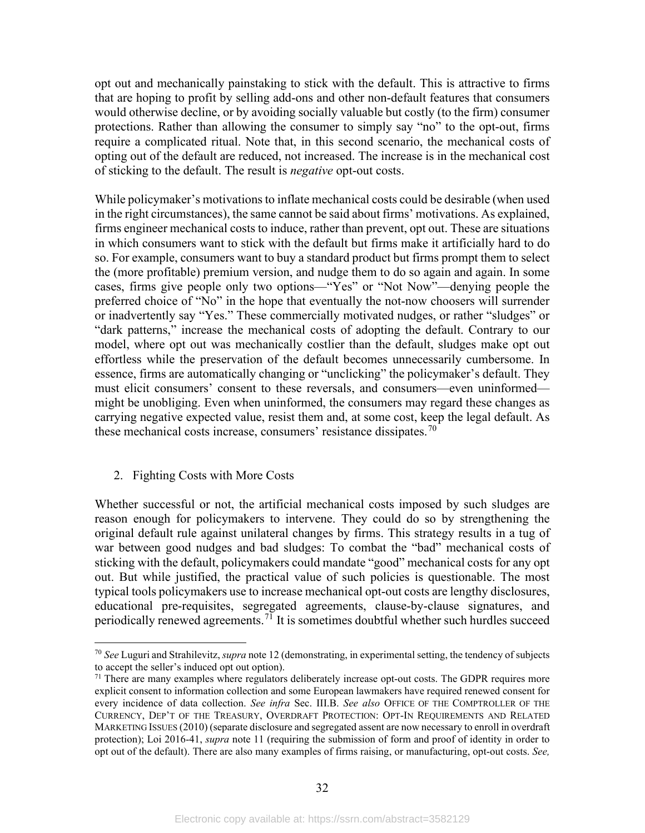opt out and mechanically painstaking to stick with the default. This is attractive to firms that are hoping to profit by selling add-ons and other non-default features that consumers would otherwise decline, or by avoiding socially valuable but costly (to the firm) consumer protections. Rather than allowing the consumer to simply say "no" to the opt-out, firms require a complicated ritual. Note that, in this second scenario, the mechanical costs of opting out of the default are reduced, not increased. The increase is in the mechanical cost of sticking to the default. The result is *negative* opt-out costs.

While policymaker's motivations to inflate mechanical costs could be desirable (when used in the right circumstances), the same cannot be said about firms' motivations. As explained, firms engineer mechanical costs to induce, rather than prevent, opt out. These are situations in which consumers want to stick with the default but firms make it artificially hard to do so. For example, consumers want to buy a standard product but firms prompt them to select the (more profitable) premium version, and nudge them to do so again and again. In some cases, firms give people only two options—"Yes" or "Not Now"—denying people the preferred choice of "No" in the hope that eventually the not-now choosers will surrender or inadvertently say "Yes." These commercially motivated nudges, or rather "sludges" or "dark patterns," increase the mechanical costs of adopting the default. Contrary to our model, where opt out was mechanically costlier than the default, sludges make opt out effortless while the preservation of the default becomes unnecessarily cumbersome. In essence, firms are automatically changing or "unclicking" the policymaker's default. They must elicit consumers' consent to these reversals, and consumers—even uninformed might be unobliging. Even when uninformed, the consumers may regard these changes as carrying negative expected value, resist them and, at some cost, keep the legal default. As these mechanical costs increase, consumers' resistance dissipates.<sup>[70](#page-34-1)</sup>

#### <span id="page-34-0"></span>2. Fighting Costs with More Costs

Whether successful or not, the artificial mechanical costs imposed by such sludges are reason enough for policymakers to intervene. They could do so by strengthening the original default rule against unilateral changes by firms. This strategy results in a tug of war between good nudges and bad sludges: To combat the "bad" mechanical costs of sticking with the default, policymakers could mandate "good" mechanical costs for any opt out. But while justified, the practical value of such policies is questionable. The most typical tools policymakers use to increase mechanical opt-out costs are lengthy disclosures, educational pre-requisites, segregated agreements, clause-by-clause signatures, and periodically renewed agreements.<sup>[71](#page-34-2)</sup> It is sometimes doubtful whether such hurdles succeed

<span id="page-34-3"></span><span id="page-34-1"></span><sup>70</sup> *See* Luguri and Strahilevitz, *supra* not[e 12](#page-6-4) (demonstrating, in experimental setting, the tendency of subjects to accept the seller's induced opt out option).

<span id="page-34-2"></span> $71$  There are many examples where regulators deliberately increase opt-out costs. The GDPR requires more explicit consent to information collection and some European lawmakers have required renewed consent for every incidence of data collection. *See infra* Sec. III.B. *See also* OFFICE OF THE COMPTROLLER OF THE CURRENCY, DEP'T OF THE TREASURY, OVERDRAFT PROTECTION: OPT-IN REQUIREMENTS AND RELATED MARKETING ISSUES (2010) (separate disclosure and segregated assent are now necessary to enroll in overdraft protection); Loi 2016-41, *[supra](https://www.registrenationaldesrefus.fr/#etape-1)* note [11](#page-5-8) (requiring the submission of form and proof of identity in order to opt out of the default). There are also many examples of firms raising, or manufacturing, opt-out costs. *See,*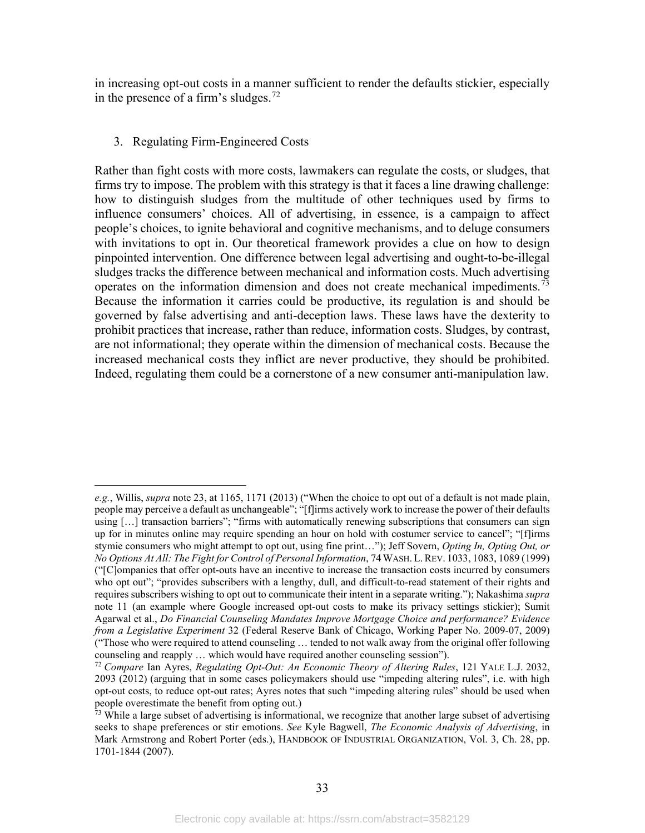in increasing opt-out costs in a manner sufficient to render the defaults stickier, especially in the presence of a firm's sludges.<sup>[72](#page-35-2)</sup>

#### <span id="page-35-0"></span>3. Regulating Firm-Engineered Costs

Rather than fight costs with more costs, lawmakers can regulate the costs, or sludges, that firms try to impose. The problem with this strategy is that it faces a line drawing challenge: how to distinguish sludges from the multitude of other techniques used by firms to influence consumers' choices. All of advertising, in essence, is a campaign to affect people's choices, to ignite behavioral and cognitive mechanisms, and to deluge consumers with invitations to opt in. Our theoretical framework provides a clue on how to design pinpointed intervention. One difference between legal advertising and ought-to-be-illegal sludges tracks the difference between mechanical and information costs. Much advertising operates on the information dimension and does not create mechanical impediments.<sup>[73](#page-35-3)</sup> Because the information it carries could be productive, its regulation is and should be governed by false advertising and anti-deception laws. These laws have the dexterity to prohibit practices that increase, rather than reduce, information costs. Sludges, by contrast, are not informational; they operate within the dimension of mechanical costs. Because the increased mechanical costs they inflict are never productive, they should be prohibited. Indeed, regulating them could be a cornerstone of a new consumer anti-manipulation law.

<span id="page-35-1"></span>*e.g.*, Willis, *supra* note [23,](#page-10-5) at 1165, 1171 (2013) ("When the choice to opt out of a default is not made plain, people may perceive a default as unchangeable"; "[f]irms actively work to increase the power of their defaults using […] transaction barriers"; "firms with automatically renewing subscriptions that consumers can sign up for in minutes online may require spending an hour on hold with costumer service to cancel"; "[f]irms stymie consumers who might attempt to opt out, using fine print…"); Jeff Sovern, *Opting In, Opting Out, or No Options At All: The Fight for Control of Personal Information*, 74WASH. L.REV. 1033, 1083, 1089 (1999) ("[C]ompanies that offer opt-outs have an incentive to increase the transaction costs incurred by consumers who opt out"; "provides subscribers with a lengthy, dull, and difficult-to-read statement of their rights and requires subscribers wishing to opt out to communicate their intent in a separate writing."); Nakashima *supra* note [11](#page-5-8) (an example where Google increased opt-out costs to make its privacy settings stickier); Sumit Agarwal et al., *Do Financial Counseling Mandates Improve Mortgage Choice and performance? Evidence from a Legislative Experiment* 32 (Federal Reserve Bank of Chicago, Working Paper No. 2009-07, 2009) ("Those who were required to attend counseling … tended to not walk away from the original offer following counseling and reapply … which would have required another counseling session").

<span id="page-35-2"></span><sup>72</sup> *Compare* Ian Ayres, *Regulating Opt-Out: An Economic Theory of Altering Rules*, 121 YALE L.J. 2032, 2093 (2012) (arguing that in some cases policymakers should use "impeding altering rules", i.e. with high opt-out costs, to reduce opt-out rates; Ayres notes that such "impeding altering rules" should be used when people overestimate the benefit from opting out.)

<span id="page-35-3"></span> $73$  While a large subset of advertising is informational, we recognize that another large subset of advertising seeks to shape preferences or stir emotions. *See* Kyle Bagwell, *The Economic Analysis of Advertising*, in Mark Armstrong and Robert Porter (eds.), HANDBOOK OF INDUSTRIAL ORGANIZATION, Vol. 3, Ch. 28, pp. 1701-1844 (2007).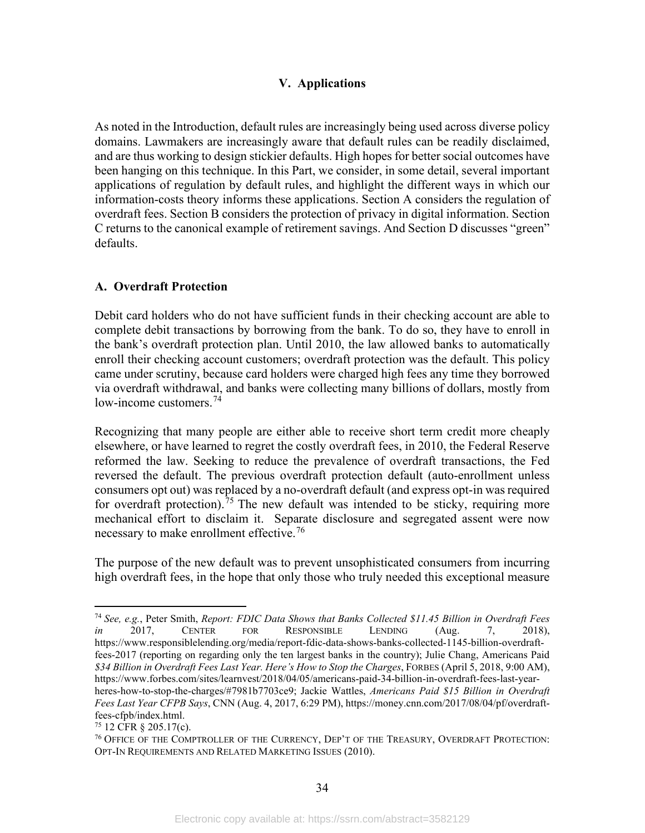## **V. Applications**

As noted in the Introduction, default rules are increasingly being used across diverse policy domains. Lawmakers are increasingly aware that default rules can be readily disclaimed, and are thus working to design stickier defaults. High hopes for better social outcomes have been hanging on this technique. In this Part, we consider, in some detail, several important applications of regulation by default rules, and highlight the different ways in which our information-costs theory informs these applications. Section A considers the regulation of overdraft fees. Section B considers the protection of privacy in digital information. Section C returns to the canonical example of retirement savings. And Section D discusses "green" defaults.

## <span id="page-36-0"></span>**A. Overdraft Protection**

Debit card holders who do not have sufficient funds in their checking account are able to complete debit transactions by borrowing from the bank. To do so, they have to enroll in the bank's overdraft protection plan. Until 2010, the law allowed banks to automatically enroll their checking account customers; overdraft protection was the default. This policy came under scrutiny, because card holders were charged high fees any time they borrowed via overdraft withdrawal, and banks were collecting many billions of dollars, mostly from low-income customers. [74](#page-36-1)

<span id="page-36-4"></span>Recognizing that many people are either able to receive short term credit more cheaply elsewhere, or have learned to regret the costly overdraft fees, in 2010, the Federal Reserve reformed the law. Seeking to reduce the prevalence of overdraft transactions, the Fed reversed the default. The previous overdraft protection default (auto-enrollment unless consumers opt out) was replaced by a no-overdraft default (and express opt-in was required for overdraft protection).<sup>[75](#page-36-2)</sup> The new default was intended to be sticky, requiring more mechanical effort to disclaim it. Separate disclosure and segregated assent were now necessary to make enrollment effective.<sup>[76](#page-36-3)</sup>

The purpose of the new default was to prevent unsophisticated consumers from incurring high overdraft fees, in the hope that only those who truly needed this exceptional measure

<span id="page-36-1"></span><sup>74</sup> *See, e.g.*, Peter Smith, *Report: FDIC Data Shows that Banks Collected \$11.45 Billion in Overdraft Fees in* 2017, CENTER FOR RESPONSIBLE LENDING (Aug. 7, 2018), [https://www.responsiblelending.org/media/report-fdic-data-shows-banks-collected-1145-billion-overdraft](https://www.responsiblelending.org/media/report-fdic-data-shows-banks-collected-1145-billion-overdraft-fees-2017)[fees-2017](https://www.responsiblelending.org/media/report-fdic-data-shows-banks-collected-1145-billion-overdraft-fees-2017) (reporting on regarding only the ten largest banks in the country); Julie Chang, Americans Paid *\$34 Billion in Overdraft Fees Last Year. Here's How to Stop the Charges*, FORBES (April 5, 2018, 9:00 AM), [https://www.forbes.com/sites/learnvest/2018/04/05/americans-paid-34-billion-in-overdraft-fees-last-year](https://www.forbes.com/sites/learnvest/2018/04/05/americans-paid-34-billion-in-overdraft-fees-last-year-heres-how-to-stop-the-charges/#7981b7703ce9)[heres-how-to-stop-the-charges/#7981b7703ce9;](https://www.forbes.com/sites/learnvest/2018/04/05/americans-paid-34-billion-in-overdraft-fees-last-year-heres-how-to-stop-the-charges/#7981b7703ce9) Jackie Wattles, *Americans Paid \$15 Billion in Overdraft Fees Last Year CFPB Says*, CNN (Aug. 4, 2017, 6:29 PM), [https://money.cnn.com/2017/08/04/pf/overdraft](https://money.cnn.com/2017/08/04/pf/overdraft-fees-cfpb/index.html)[fees-cfpb/index.html.](https://money.cnn.com/2017/08/04/pf/overdraft-fees-cfpb/index.html)<br> $^{75}$  12 CFR  $\frac{8}{205.17(c)}$ .

<span id="page-36-2"></span>

<span id="page-36-3"></span> $76$  OFFICE OF THE COMPTROLLER OF THE CURRENCY, DEP'T OF THE TREASURY, OVERDRAFT PROTECTION: OPT-IN REQUIREMENTS AND RELATED MARKETING ISSUES (2010).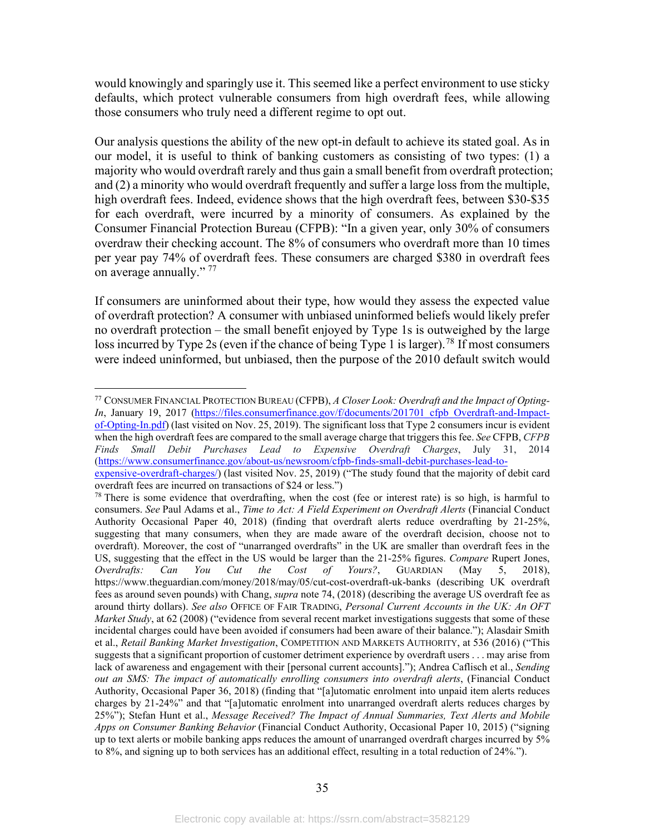would knowingly and sparingly use it. This seemed like a perfect environment to use sticky defaults, which protect vulnerable consumers from high overdraft fees, while allowing those consumers who truly need a different regime to opt out.

Our analysis questions the ability of the new opt-in default to achieve its stated goal. As in our model, it is useful to think of banking customers as consisting of two types: (1) a majority who would overdraft rarely and thus gain a small benefit from overdraft protection; and (2) a minority who would overdraft frequently and suffer a large loss from the multiple, high overdraft fees. Indeed, evidence shows that the high overdraft fees, between \$30-\$35 for each overdraft, were incurred by a minority of consumers. As explained by the Consumer Financial Protection Bureau (CFPB): "In a given year, only 30% of consumers overdraw their checking account. The 8% of consumers who overdraft more than 10 times per year pay 74% of overdraft fees. These consumers are charged \$380 in overdraft fees on average annually."<sup>[77](#page-37-0)</sup>

If consumers are uninformed about their type, how would they assess the expected value of overdraft protection? A consumer with unbiased uninformed beliefs would likely prefer no overdraft protection – the small benefit enjoyed by Type 1s is outweighed by the large loss incurred by Type 2s (even if the chance of being Type 1 is larger).<sup>[78](#page-37-1)</sup> If most consumers were indeed uninformed, but unbiased, then the purpose of the 2010 default switch would

<span id="page-37-0"></span><sup>77</sup> CONSUMER FINANCIAL PROTECTION BUREAU (CFPB), *A Closer Look: Overdraft and the Impact of Opting-In*, January 19, 2017 [\(https://files.consumerfinance.gov/f/documents/201701\\_cfpb\\_Overdraft-and-Impact](https://files.consumerfinance.gov/f/documents/201701_cfpb_Overdraft-and-Impact-of-Opting-In.pdf)[of-Opting-In.pdf\)](https://files.consumerfinance.gov/f/documents/201701_cfpb_Overdraft-and-Impact-of-Opting-In.pdf) (last visited on Nov. 25, 2019). The significant loss that Type 2 consumers incur is evident when the high overdraft fees are compared to the small average charge that triggers this fee. *See* CFPB, *CFPB Finds Small Debit Purchases Lead to Expensive Overdraft Charges*, July 31, 2014 [\(https://www.consumerfinance.gov/about-us/newsroom/cfpb-finds-small-debit-purchases-lead-to-](https://www.consumerfinance.gov/about-us/newsroom/cfpb-finds-small-debit-purchases-lead-to-expensive-overdraft-charges/)

[expensive-overdraft-charges/\)](https://www.consumerfinance.gov/about-us/newsroom/cfpb-finds-small-debit-purchases-lead-to-expensive-overdraft-charges/) (last visited Nov. 25, 2019) ("The study found that the majority of debit card overdraft fees are incurred on transactions of \$24 or less.")

<span id="page-37-1"></span> $78$  There is some evidence that overdrafting, when the cost (fee or interest rate) is so high, is harmful to consumers. *See* Paul Adams et al., *Time to Act: A Field Experiment on Overdraft Alerts* (Financial Conduct Authority Occasional Paper 40, 2018) (finding that overdraft alerts reduce overdrafting by 21-25%, suggesting that many consumers, when they are made aware of the overdraft decision, choose not to overdraft). Moreover, the cost of "unarranged overdrafts" in the UK are smaller than overdraft fees in the US, suggesting that the effect in the US would be larger than the 21-25% figures. *Compare* Rupert Jones, *Overdrafts: Can You Cut the Cost of Yours?*, GUARDIAN (May 5, 2018), <https://www.theguardian.com/money/2018/may/05/cut-cost-overdraft-uk-banks> (describing UK overdraft fees as around seven pounds) with Chang, *supra* note [74,](#page-36-4) (2018) (describing the average US overdraft fee as around thirty dollars). *See also* OFFICE OF FAIR TRADING, *Personal Current Accounts in the UK: An OFT Market Study*, at 62 (2008) ("evidence from several recent market investigations suggests that some of these incidental charges could have been avoided if consumers had been aware of their balance."); Alasdair Smith et al., *Retail Banking Market Investigation*, COMPETITION AND MARKETS AUTHORITY, at 536 (2016) ("This suggests that a significant proportion of customer detriment experience by overdraft users . . . may arise from lack of awareness and engagement with their [personal current accounts]."); Andrea Caflisch et al., *Sending out an SMS: The impact of automatically enrolling consumers into overdraft alerts*, (Financial Conduct Authority, Occasional Paper 36, 2018) (finding that "[a]utomatic enrolment into unpaid item alerts reduces charges by 21-24%" and that "[a]utomatic enrolment into unarranged overdraft alerts reduces charges by 25%"); Stefan Hunt et al., *Message Received? The Impact of Annual Summaries, Text Alerts and Mobile Apps on Consumer Banking Behavior* (Financial Conduct Authority, Occasional Paper 10, 2015) ("signing up to text alerts or mobile banking apps reduces the amount of unarranged overdraft charges incurred by 5% to 8%, and signing up to both services has an additional effect, resulting in a total reduction of 24%.").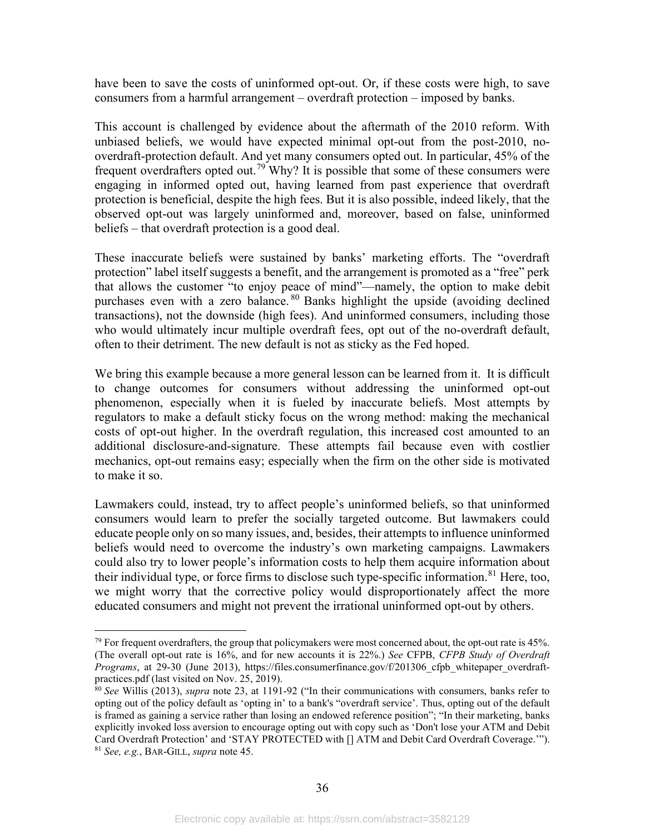have been to save the costs of uninformed opt-out. Or, if these costs were high, to save consumers from a harmful arrangement – overdraft protection – imposed by banks.

This account is challenged by evidence about the aftermath of the 2010 reform. With unbiased beliefs, we would have expected minimal opt-out from the post-2010, nooverdraft-protection default. And yet many consumers opted out. In particular, 45% of the frequent overdrafters opted out.<sup>[79](#page-38-0)</sup> Why? It is possible that some of these consumers were engaging in informed opted out, having learned from past experience that overdraft protection is beneficial, despite the high fees. But it is also possible, indeed likely, that the observed opt-out was largely uninformed and, moreover, based on false, uninformed beliefs – that overdraft protection is a good deal.

These inaccurate beliefs were sustained by banks' marketing efforts. The "overdraft protection" label itself suggests a benefit, and the arrangement is promoted as a "free" perk that allows the customer "to enjoy peace of mind"—namely, the option to make debit purchases even with a zero balance. [80](#page-38-1) Banks highlight the upside (avoiding declined transactions), not the downside (high fees). And uninformed consumers, including those who would ultimately incur multiple overdraft fees, opt out of the no-overdraft default, often to their detriment. The new default is not as sticky as the Fed hoped.

We bring this example because a more general lesson can be learned from it. It is difficult to change outcomes for consumers without addressing the uninformed opt-out phenomenon, especially when it is fueled by inaccurate beliefs. Most attempts by regulators to make a default sticky focus on the wrong method: making the mechanical costs of opt-out higher. In the overdraft regulation, this increased cost amounted to an additional disclosure-and-signature. These attempts fail because even with costlier mechanics, opt-out remains easy; especially when the firm on the other side is motivated to make it so.

Lawmakers could, instead, try to affect people's uninformed beliefs, so that uninformed consumers would learn to prefer the socially targeted outcome. But lawmakers could educate people only on so many issues, and, besides, their attempts to influence uninformed beliefs would need to overcome the industry's own marketing campaigns. Lawmakers could also try to lower people's information costs to help them acquire information about their individual type, or force firms to disclose such type-specific information.<sup>[81](#page-38-2)</sup> Here, too, we might worry that the corrective policy would disproportionately affect the more educated consumers and might not prevent the irrational uninformed opt-out by others.

<span id="page-38-0"></span> $79$  For frequent overdrafters, the group that policymakers were most concerned about, the opt-out rate is 45%. (The overall opt-out rate is 16%, and for new accounts it is 22%.) *See* CFPB, *CFPB Study of Overdraft Programs*, at 29-30 (June 2013), https://files.consumerfinance.gov/f/201306\_cfpb\_whitepaper\_overdraft-<br>practices.pdf (last visited on Nov. 25, 2019).

<span id="page-38-2"></span><span id="page-38-1"></span><sup>&</sup>lt;sup>80</sup> See Willis (2013), *supra* note [23,](#page-10-5) at 1191-92 ("In their communications with consumers, banks refer to opting out of the policy default as 'opting in' to a bank's "overdraft service'. Thus, opting out of the default is framed as gaining a service rather than losing an endowed reference position"; "In their marketing, banks explicitly invoked loss aversion to encourage opting out with copy such as 'Don't lose your ATM and Debit Card Overdraft Protection' and 'STAY PROTECTED with [] ATM and Debit Card Overdraft Coverage.'"). <sup>81</sup> *See, e.g.*, BAR-GILL, *supra* note [45.](#page-23-6)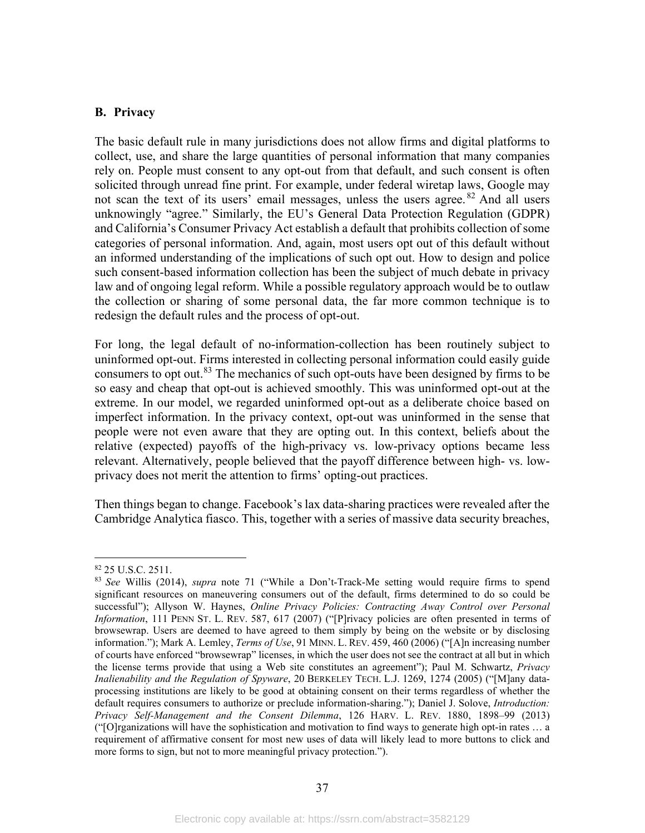## <span id="page-39-0"></span>**B. Privacy**

The basic default rule in many jurisdictions does not allow firms and digital platforms to collect, use, and share the large quantities of personal information that many companies rely on. People must consent to any opt-out from that default, and such consent is often solicited through unread fine print. For example, under federal wiretap laws, Google may not scan the text of its users' email messages, unless the users agree.  $82$  And all users unknowingly "agree." Similarly, the EU's General Data Protection Regulation (GDPR) and California's Consumer Privacy Act establish a default that prohibits collection of some categories of personal information. And, again, most users opt out of this default without an informed understanding of the implications of such opt out. How to design and police such consent-based information collection has been the subject of much debate in privacy law and of ongoing legal reform. While a possible regulatory approach would be to outlaw the collection or sharing of some personal data, the far more common technique is to redesign the default rules and the process of opt-out.

For long, the legal default of no-information-collection has been routinely subject to uninformed opt-out. Firms interested in collecting personal information could easily guide consumers to opt out.<sup>[83](#page-39-2)</sup> The mechanics of such opt-outs have been designed by firms to be so easy and cheap that opt-out is achieved smoothly. This was uninformed opt-out at the extreme. In our model, we regarded uninformed opt-out as a deliberate choice based on imperfect information. In the privacy context, opt-out was uninformed in the sense that people were not even aware that they are opting out. In this context, beliefs about the relative (expected) payoffs of the high-privacy vs. low-privacy options became less relevant. Alternatively, people believed that the payoff difference between high- vs. lowprivacy does not merit the attention to firms' opting-out practices.

Then things began to change. Facebook's lax data-sharing practices were revealed after the Cambridge Analytica fiasco. This, together with a series of massive data security breaches,

<span id="page-39-2"></span><span id="page-39-1"></span><sup>82</sup> 25 U.S.C. 2511. 83 *See* Willis (2014), *supra* note [71](#page-34-3) ("While a Don't-Track-Me setting would require firms to spend significant resources on maneuvering consumers out of the default, firms determined to do so could be successful"); Allyson W. Haynes, *Online Privacy Policies: Contracting Away Control over Personal Information*, 111 PENN ST. L. REV. 587, 617 (2007) ("[P]rivacy policies are often presented in terms of browsewrap. Users are deemed to have agreed to them simply by being on the website or by disclosing information."); Mark A. Lemley, *Terms of Use*, 91 MINN. L. REV. 459, 460 (2006) ("[A]n increasing number of courts have enforced "browsewrap" licenses, in which the user does not see the contract at all but in which the license terms provide that using a Web site constitutes an agreement"); Paul M. Schwartz, *Privacy Inalienability and the Regulation of Spyware*, 20 BERKELEY TECH. L.J. 1269, 1274 (2005) ("[M]any dataprocessing institutions are likely to be good at obtaining consent on their terms regardless of whether the default requires consumers to authorize or preclude information-sharing."); Daniel J. Solove, *Introduction: Privacy Self-Management and the Consent Dilemma*, 126 HARV. L. REV. 1880, 1898–99 (2013) ("[O]rganizations will have the sophistication and motivation to find ways to generate high opt-in rates … a requirement of affirmative consent for most new uses of data will likely lead to more buttons to click and more forms to sign, but not to more meaningful privacy protection.").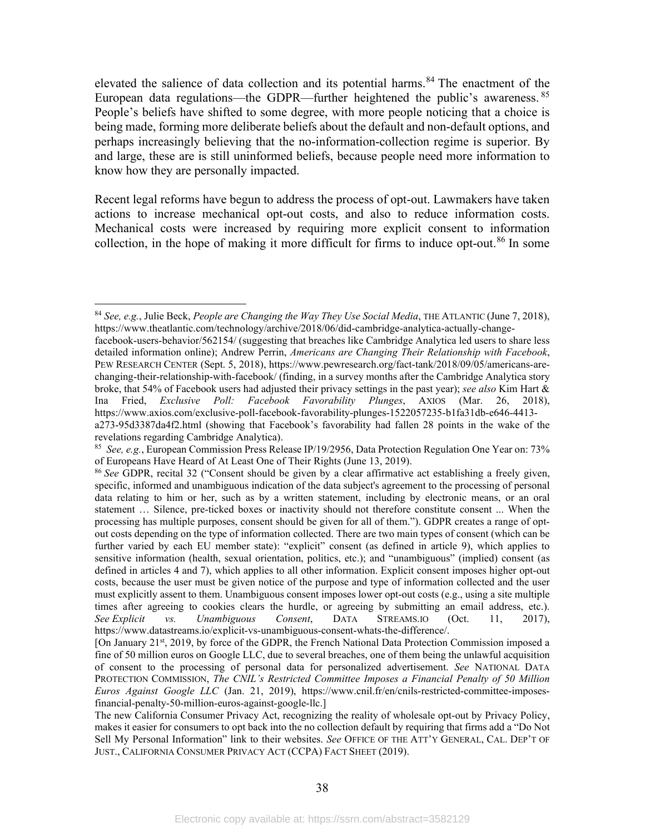elevated the salience of data collection and its potential harms.<sup>[84](#page-40-0)</sup> The enactment of the European data regulations—the GDPR—further heightened the public's awareness.<sup>[85](#page-40-1)</sup> People's beliefs have shifted to some degree, with more people noticing that a choice is being made, forming more deliberate beliefs about the default and non-default options, and perhaps increasingly believing that the no-information-collection regime is superior. By and large, these are is still uninformed beliefs, because people need more information to know how they are personally impacted.

Recent legal reforms have begun to address the process of opt-out. Lawmakers have taken actions to increase mechanical opt-out costs, and also to reduce information costs. Mechanical costs were increased by requiring more explicit consent to information collection, in the hope of making it more difficult for firms to induce opt-out. [86](#page-40-2) In some

<span id="page-40-0"></span><sup>84</sup> *See, e.g.*, Julie Beck, *People are Changing the Way They Use Social Media*, THE ATLANTIC (June 7, 2018), [https://www.theatlantic.com/technology/archive/2018/06/did-cambridge-analytica-actually-change-](https://www.theatlantic.com/technology/archive/2018/06/did-cambridge-analytica-actually-change-facebook-users-behavior/562154/)

[facebook-users-behavior/562154/](https://www.theatlantic.com/technology/archive/2018/06/did-cambridge-analytica-actually-change-facebook-users-behavior/562154/) (suggesting that breaches like Cambridge Analytica led users to share less detailed information online); Andrew Perrin, *Americans are Changing Their Relationship with Facebook*, PEW RESEARCH CENTER (Sept. 5, 2018), [https://www.pewresearch.org/fact-tank/2018/09/05/americans-are](https://www.pewresearch.org/fact-tank/2018/09/05/americans-are-changing-their-relationship-with-facebook/)[changing-their-relationship-with-facebook/](https://www.pewresearch.org/fact-tank/2018/09/05/americans-are-changing-their-relationship-with-facebook/) (finding, in a survey months after the Cambridge Analytica story broke, that 54% of Facebook users had adjusted their privacy settings in the past year); *see also* Kim Hart & Ina Fried, *Exclusive Poll: Facebook Favorability Plunges*, AXIOS (Mar. 26, 2018), [https://www.axios.com/exclusive-poll-facebook-favorability-plunges-1522057235-b1fa31db-e646-4413](https://www.axios.com/exclusive-poll-facebook-favorability-plunges-1522057235-b1fa31db-e646-4413-a273-95d3387da4f2.html) [a273-95d3387da4f2.html](https://www.axios.com/exclusive-poll-facebook-favorability-plunges-1522057235-b1fa31db-e646-4413-a273-95d3387da4f2.html) (showing that Facebook's favorability had fallen 28 points in the wake of the revelations regarding Cambridge Analytica).

<span id="page-40-1"></span><sup>85</sup> *See, e.g.*, European Commission Press Release IP/19/2956, Data Protection Regulation One Year on: 73% of Europeans Have Heard of At Least One of Their Rights (June 13, 2019).

<span id="page-40-2"></span><sup>86</sup> *See* GDPR, recital 32 ("Consent should be given by a clear affirmative act establishing a freely given, specific, informed and unambiguous indication of the data subject's agreement to the processing of personal data relating to him or her, such as by a written statement, including by electronic means, or an oral statement … Silence, pre-ticked boxes or inactivity should not therefore constitute consent ... When the processing has multiple purposes, consent should be given for all of them."). GDPR creates a range of optout costs depending on the type of information collected. There are two main types of consent (which can be further varied by each EU member state): "explicit" consent (as defined in article 9), which applies to sensitive information (health, sexual orientation, politics, etc.); and "unambiguous" (implied) consent (as defined in articles 4 and 7), which applies to all other information. Explicit consent imposes higher opt-out costs, because the user must be given notice of the purpose and type of information collected and the user must explicitly assent to them. Unambiguous consent imposes lower opt-out costs (e.g., using a site multiple times after agreeing to cookies clears the hurdle, or agreeing by submitting an email address, etc.). *See Explicit vs. Unambiguous Consent*, DATA STREAMS.IO (Oct. 11, 2017), [https://www.datastreams.io/explicit-vs-unambiguous-consent-whats-the-difference/.](https://urldefense.proofpoint.com/v2/url?u=https-3A__www.datastreams.io_explicit-2Dvs-2Dunambiguous-2Dconsent-2Dwhats-2Dthe-2Ddifference_&d=DwMFaQ&c=WO-RGvefibhHBZq3fL85hQ&r=0vbbZE5sE1SsG1uAeXVYmD6ciFhjTOreFYNb266mvGM&m=2y-63b5AZHi1K-H4UCLNJkHJ1SqHeU1uuoCSY7ILIXY&s=6Q67pjx6yPqIqMZJGDnjT7JnKW0gCvTdYIsnk70NLxY&e=)

<sup>[</sup>On January 21<sup>st</sup>, 2019, by force of the GDPR, the French National Data Protection Commission imposed a fine of 50 million euros on Google LLC, due to several breaches, one of them being the unlawful acquisition of consent to the processing of personal data for personalized advertisement. *See* NATIONAL DATA PROTECTION COMMISSION, *The CNIL's Restricted Committee Imposes a Financial Penalty of 50 Million Euros Against Google LLC* (Jan. 21, 2019), [https://www.cnil.fr/en/cnils-restricted-committee-imposes](https://www.cnil.fr/en/cnils-restricted-committee-imposes-financial-penalty-50-million-euros-against-google-llc)[financial-penalty-50-million-euros-against-google-llc.](https://www.cnil.fr/en/cnils-restricted-committee-imposes-financial-penalty-50-million-euros-against-google-llc)]

The new California Consumer Privacy Act, recognizing the reality of wholesale opt-out by Privacy Policy, makes it easier for consumers to opt back into the no collection default by requiring that firms add a "Do Not Sell My Personal Information" link to their websites. *See* OFFICE OF THE ATT'Y GENERAL, CAL. DEP'T OF JUST., CALIFORNIA CONSUMER PRIVACY ACT (CCPA) FACT SHEET (2019).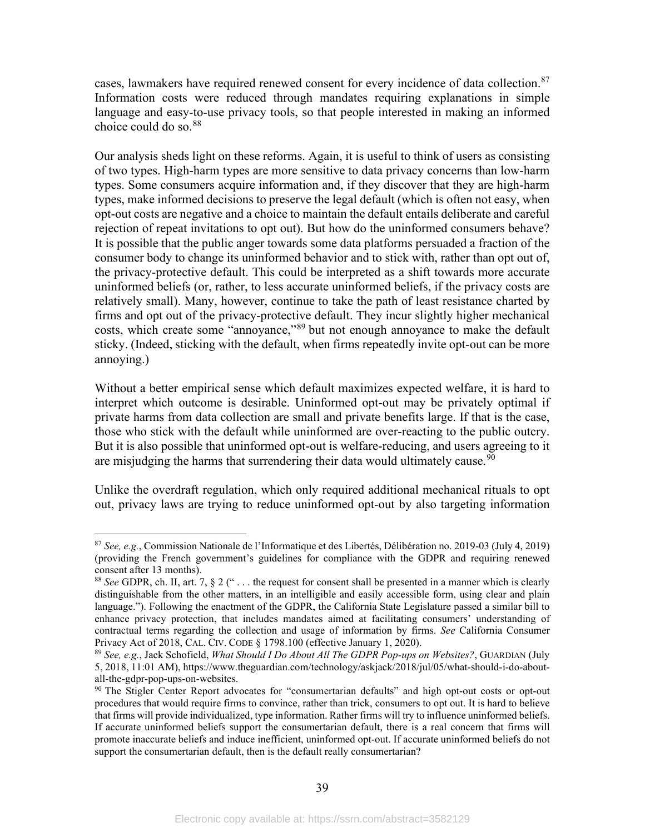cases, lawmakers have required renewed consent for every incidence of data collection.<sup>[87](#page-41-0)</sup> Information costs were reduced through mandates requiring explanations in simple language and easy-to-use privacy tools, so that people interested in making an informed choice could do so. [88](#page-41-1)

Our analysis sheds light on these reforms. Again, it is useful to think of users as consisting of two types. High-harm types are more sensitive to data privacy concerns than low-harm types. Some consumers acquire information and, if they discover that they are high-harm types, make informed decisions to preserve the legal default (which is often not easy, when opt-out costs are negative and a choice to maintain the default entails deliberate and careful rejection of repeat invitations to opt out). But how do the uninformed consumers behave? It is possible that the public anger towards some data platforms persuaded a fraction of the consumer body to change its uninformed behavior and to stick with, rather than opt out of, the privacy-protective default. This could be interpreted as a shift towards more accurate uninformed beliefs (or, rather, to less accurate uninformed beliefs, if the privacy costs are relatively small). Many, however, continue to take the path of least resistance charted by firms and opt out of the privacy-protective default. They incur slightly higher mechanical costs, which create some "annoyance,"[89](#page-41-2) but not enough annoyance to make the default sticky. (Indeed, sticking with the default, when firms repeatedly invite opt-out can be more annoying.)

Without a better empirical sense which default maximizes expected welfare, it is hard to interpret which outcome is desirable. Uninformed opt-out may be privately optimal if private harms from data collection are small and private benefits large. If that is the case, those who stick with the default while uninformed are over-reacting to the public outcry. But it is also possible that uninformed opt-out is welfare-reducing, and users agreeing to it are misjudging the harms that surrendering their data would ultimately cause.<sup>[90](#page-41-3)</sup>

Unlike the overdraft regulation, which only required additional mechanical rituals to opt out, privacy laws are trying to reduce uninformed opt-out by also targeting information

<span id="page-41-0"></span><sup>87</sup> *See, e.g.*, Commission Nationale de l'Informatique et des Libertés, Délibération no. 2019-03 (July 4, 2019) (providing the French government's guidelines for compliance with the GDPR and requiring renewed consent after 13 months).

<span id="page-41-1"></span><sup>88</sup> *See* GDPR, ch. II, art. 7, § 2 (" . . . the request for consent shall be presented in a manner which is clearly distinguishable from the other matters, in an intelligible and easily accessible form, using clear and plain language."). Following the enactment of the GDPR, the California State Legislature passed a similar bill to enhance privacy protection, that includes mandates aimed at facilitating consumers' understanding of contractual terms regarding the collection and usage of information by firms. *See* California Consumer Privacy Act of 2018, CAL. CIV. CODE § 1798.100 (effective January 1, 2020).

<span id="page-41-2"></span><sup>89</sup> *See, e.g.*, Jack Schofield, *What Should I Do About All The GDPR Pop-ups on Websites?*, GUARDIAN (July 5, 2018, 11:01 AM), https://www.theguardian.com/technology/askjack/2018/jul/05/what-should-i-do-aboutall-the-gdpr-pop-ups-on-websites.

<span id="page-41-3"></span><sup>&</sup>lt;sup>90</sup> The Stigler Center Report advocates for "consumertarian defaults" and high opt-out costs or opt-out procedures that would require firms to convince, rather than trick, consumers to opt out. It is hard to believe that firms will provide individualized, type information. Rather firms will try to influence uninformed beliefs. If accurate uninformed beliefs support the consumertarian default, there is a real concern that firms will promote inaccurate beliefs and induce inefficient, uninformed opt-out. If accurate uninformed beliefs do not support the consumertarian default, then is the default really consumertarian?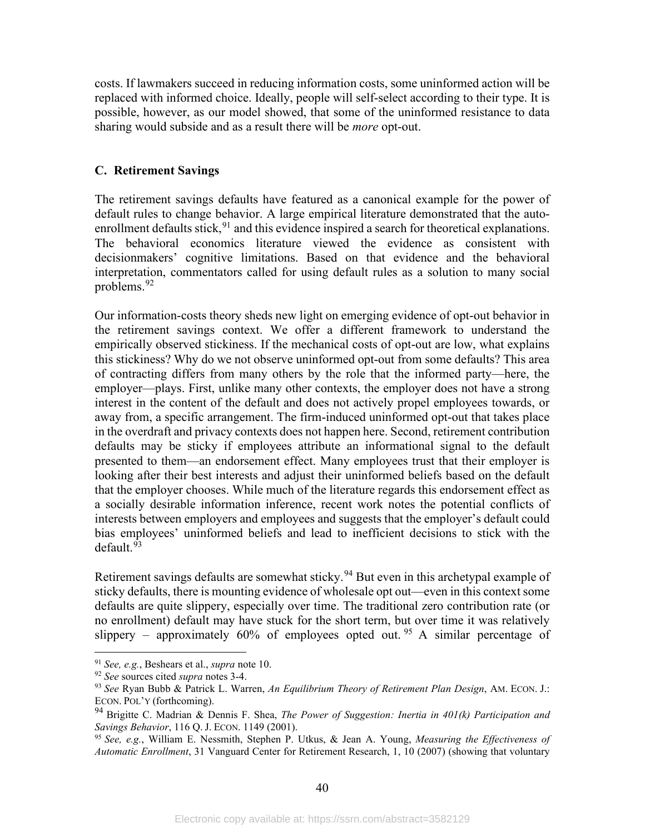costs. If lawmakers succeed in reducing information costs, some uninformed action will be replaced with informed choice. Ideally, people will self-select according to their type. It is possible, however, as our model showed, that some of the uninformed resistance to data sharing would subside and as a result there will be *more* opt-out.

## <span id="page-42-0"></span>**C. Retirement Savings**

The retirement savings defaults have featured as a canonical example for the power of default rules to change behavior. A large empirical literature demonstrated that the autoenrollment defaults stick,  $91$  and this evidence inspired a search for theoretical explanations. The behavioral economics literature viewed the evidence as consistent with decisionmakers' cognitive limitations. Based on that evidence and the behavioral interpretation, commentators called for using default rules as a solution to many social problems.<sup>[92](#page-42-2)</sup>

Our information-costs theory sheds new light on emerging evidence of opt-out behavior in the retirement savings context. We offer a different framework to understand the empirically observed stickiness. If the mechanical costs of opt-out are low, what explains this stickiness? Why do we not observe uninformed opt-out from some defaults? This area of contracting differs from many others by the role that the informed party—here, the employer—plays. First, unlike many other contexts, the employer does not have a strong interest in the content of the default and does not actively propel employees towards, or away from, a specific arrangement. The firm-induced uninformed opt-out that takes place in the overdraft and privacy contexts does not happen here. Second, retirement contribution defaults may be sticky if employees attribute an informational signal to the default presented to them—an endorsement effect. Many employees trust that their employer is looking after their best interests and adjust their uninformed beliefs based on the default that the employer chooses. While much of the literature regards this endorsement effect as a socially desirable information inference, recent work notes the potential conflicts of interests between employers and employees and suggests that the employer's default could bias employees' uninformed beliefs and lead to inefficient decisions to stick with the default.<sup>[93](#page-42-3)</sup>

Retirement savings defaults are somewhat sticky.<sup>[94](#page-42-4)</sup> But even in this archetypal example of sticky defaults, there is mounting evidence of wholesale opt out—even in this context some defaults are quite slippery, especially over time. The traditional zero contribution rate (or no enrollment) default may have stuck for the short term, but over time it was relatively slippery – approximately 60% of employees opted out. <sup>[95](#page-42-5)</sup> A similar percentage of

<span id="page-42-1"></span><sup>91</sup> *See, e.g.*, Beshears et al., *supra* note [10.](#page-5-7)

<span id="page-42-2"></span><sup>92</sup> *See* sources cited *supra* note[s 3-](#page-4-5)[4.](#page-4-6)

<span id="page-42-3"></span><sup>93</sup> *See* Ryan Bubb & Patrick L. Warren, *An Equilibrium Theory of Retirement Plan Design*, AM. ECON. J.: ECON. POL'Y (forthcoming).

<span id="page-42-4"></span><sup>94</sup> Brigitte C. Madrian & Dennis F. Shea, *The Power of Suggestion: Inertia in 401(k) Participation and Savings Behavior*, 116 Q. J. ECON. 1149 (2001).

<span id="page-42-5"></span><sup>95</sup> *See, e.g.*, William E. Nessmith, Stephen P. Utkus, & Jean A. Young, *Measuring the Effectiveness of Automatic Enrollment*, 31 Vanguard Center for Retirement Research, 1, 10 (2007) (showing that voluntary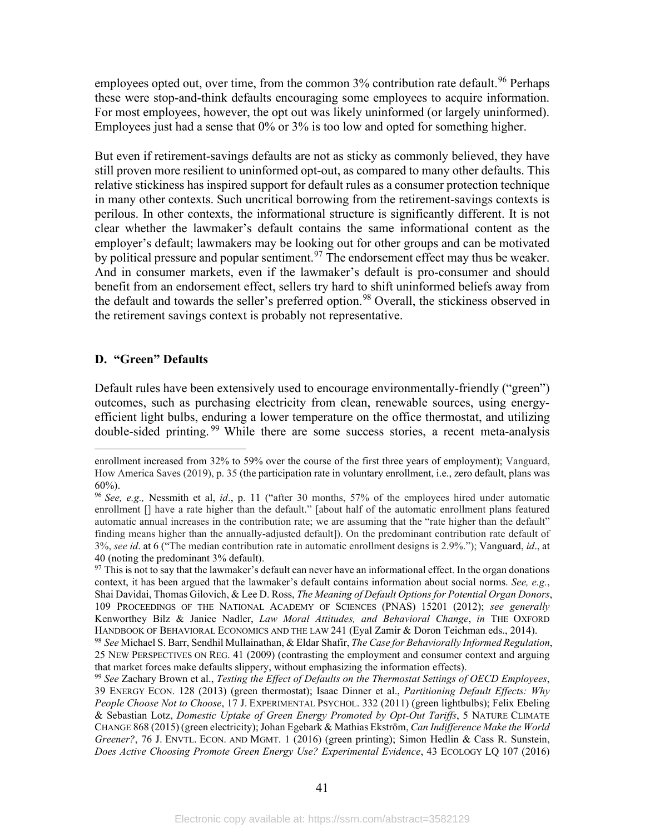employees opted out, over time, from the common 3% contribution rate default.<sup>[96](#page-43-1)</sup> Perhaps these were stop-and-think defaults encouraging some employees to acquire information. For most employees, however, the opt out was likely uninformed (or largely uninformed). Employees just had a sense that 0% or 3% is too low and opted for something higher.

But even if retirement-savings defaults are not as sticky as commonly believed, they have still proven more resilient to uninformed opt-out, as compared to many other defaults. This relative stickiness has inspired support for default rules as a consumer protection technique in many other contexts. Such uncritical borrowing from the retirement-savings contexts is perilous. In other contexts, the informational structure is significantly different. It is not clear whether the lawmaker's default contains the same informational content as the employer's default; lawmakers may be looking out for other groups and can be motivated by political pressure and popular sentiment.<sup>[97](#page-43-2)</sup> The endorsement effect may thus be weaker. And in consumer markets, even if the lawmaker's default is pro-consumer and should benefit from an endorsement effect, sellers try hard to shift uninformed beliefs away from the default and towards the seller's preferred option.<sup>[98](#page-43-3)</sup> Overall, the stickiness observed in the retirement savings context is probably not representative.

## <span id="page-43-0"></span>**D. "Green" Defaults**

Default rules have been extensively used to encourage environmentally-friendly ("green") outcomes, such as purchasing electricity from clean, renewable sources, using energyefficient light bulbs, enduring a lower temperature on the office thermostat, and utilizing double-sided printing. [99](#page-43-4) While there are some success stories, a recent meta-analysis

enrollment increased from 32% to 59% over the course of the first three years of employment); Vanguard, How America Saves (2019), p. 35 (the participation rate in voluntary enrollment, i.e., zero default, plans was 60%).

<span id="page-43-1"></span><sup>96</sup> *See, e.g.,* Nessmith et al, *id*., p. 11 ("after 30 months, 57% of the employees hired under automatic enrollment [] have a rate higher than the default." [about half of the automatic enrollment plans featured automatic annual increases in the contribution rate; we are assuming that the "rate higher than the default" finding means higher than the annually-adjusted default]). On the predominant contribution rate default of 3%, *see id*. at 6 ("The median contribution rate in automatic enrollment designs is 2.9%."); Vanguard, *id*., at 40 (noting the predominant 3% default).

<span id="page-43-2"></span> $97$  This is not to say that the lawmaker's default can never have an informational effect. In the organ donations context, it has been argued that the lawmaker's default contains information about social norms. *See, e.g.*, Shai Davidai, Thomas Gilovich, & Lee D. Ross, *The Meaning of Default Options for Potential Organ Donors*, 109 PROCEEDINGS OF THE NATIONAL ACADEMY OF SCIENCES (PNAS) 15201 (2012); *see generally*  Kenworthey Bilz & Janice Nadler, *Law Moral Attitudes, and Behavioral Change*, *in* THE OXFORD HANDBOOK OF BEHAVIORAL ECONOMICS AND THE LAW 241 (Eyal Zamir & Doron Teichman eds., 2014).

<span id="page-43-3"></span><sup>98</sup> *See* Michael S. Barr, Sendhil Mullainathan, & Eldar Shafir, *The Case for Behaviorally Informed Regulation*, 25 NEW PERSPECTIVES ON REG. 41 (2009) (contrasting the employment and consumer context and arguing that market forces make defaults slippery, without emphasizing the information effects).

<span id="page-43-4"></span><sup>99</sup> *See* Zachary Brown et al., *Testing the Effect of Defaults on the Thermostat Settings of OECD Employees*, 39 ENERGY ECON. 128 (2013) (green thermostat); Isaac Dinner et al., *Partitioning Default Effects: Why People Choose Not to Choose*, 17 J. EXPERIMENTAL PSYCHOL. 332 (2011) (green lightbulbs); Felix Ebeling & Sebastian Lotz, *Domestic Uptake of Green Energy Promoted by Opt-Out Tariffs*, 5 NATURE CLIMATE CHANGE 868 (2015) (green electricity); Johan Egebark & Mathias Ekström, *Can Indifference Make the World Greener?*, 76 J. ENVTL. ECON. AND MGMT. 1 (2016) (green printing); Simon Hedlin & Cass R. Sunstein, *Does Active Choosing Promote Green Energy Use? Experimental Evidence*, 43 ECOLOGY LQ 107 (2016)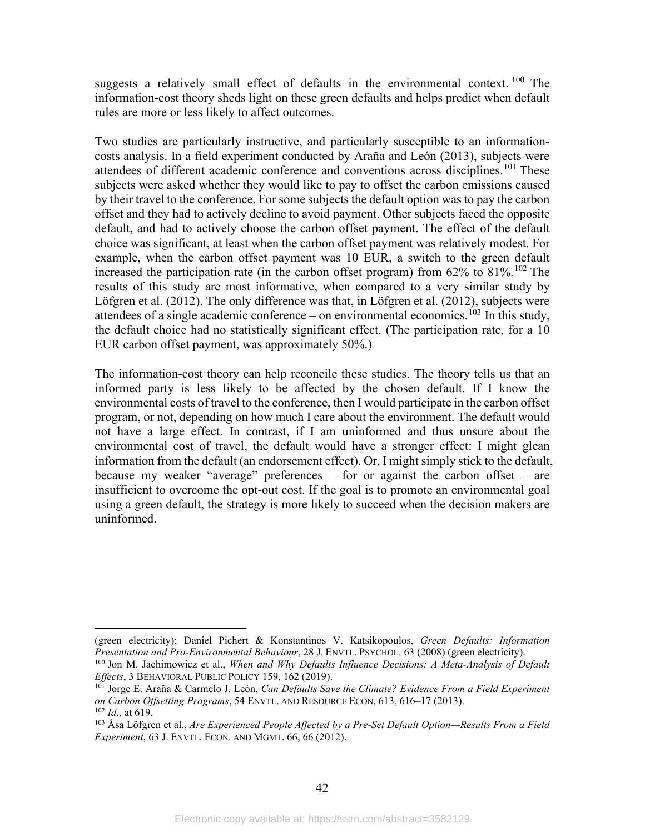suggests a relatively small effect of defaults in the environmental context.<sup>[100](#page-44-1)</sup> The information-cost theory sheds light on these green defaults and helps predict when default rules are more or less likely to affect outcomes.

Two studies are particularly instructive, and particularly susceptible to an informationcosts analysis. In a field experiment conducted by Araña and León (2013), subjects were attendees of different academic conference and conventions across disciplines.<sup>[101](#page-44-2)</sup> These subjects were asked whether they would like to pay to offset the carbon emissions caused by their travel to the conference. For some subjects the default option was to pay the carbon offset and they had to actively decline to avoid payment. Other subjects faced the opposite default, and had to actively choose the carbon offset payment. The effect of the default choice was significant, at least when the carbon offset payment was relatively modest. For example, when the carbon offset payment was 10 EUR, a switch to the green default increased the participation rate (in the carbon offset program) from  $62\%$  to  $81\%$ .<sup>[102](#page-44-3)</sup> The results of this study are most informative, when compared to a very similar study by Löfgren et al. (2012). The only difference was that, in Löfgren et al. (2012), subjects were attendees of a single academic conference – on environmental economics.<sup>[103](#page-44-4)</sup> In this study, the default choice had no statistically significant effect. (The participation rate, for a 10 EUR carbon offset payment, was approximately 50%.)

The information-cost theory can help reconcile these studies. The theory tells us that an informed party is less likely to be affected by the chosen default. If I know the environmental costs of travel to the conference, then I would participate in the carbon offset program, or not, depending on how much I care about the environment. The default would not have a large effect. In contrast, if I am uninformed and thus unsure about the environmental cost of travel, the default would have a stronger effect: I might glean information from the default (an endorsement effect). Or, I might simply stick to the default, because my weaker "average" preferences – for or against the carbon offset – are insufficient to overcome the opt-out cost. If the goal is to promote an environmental goal using a green default, the strategy is more likely to succeed when the decision makers are uninformed.

<span id="page-44-0"></span><sup>(</sup>green electricity); Daniel Pichert & Konstantinos V. Katsikopoulos, *Green Defaults: Information Presentation and Pro-Environmental Behaviour*, 28 J. ENVTL. PSYCHOL. 63 (2008) (green electricity).

<span id="page-44-1"></span><sup>100</sup> Jon M. Jachimowicz et al., *When and Why Defaults Influence Decisions: A Meta-Analysis of Default Effects*, 3 BEHAVIORAL PUBLIC POLICY 159, 162 (2019).

<span id="page-44-2"></span><sup>101</sup> Jorge E. Araña & Carmelo J. León, *Can Defaults Save the Climate? Evidence From a Field Experiment on Carbon Offsetting Programs*, 54 ENVTL. AND RESOURCE ECON. 613, 616–17 (2013).

<span id="page-44-3"></span><sup>102</sup> *Id*., at 619.

<span id="page-44-4"></span><sup>103</sup> Åsa Löfgren et al., *Are Experienced People Affected by a Pre-Set Default Option—Results From a Field Experiment*, 63 J. ENVTL. ECON. AND MGMT. 66, 66 (2012).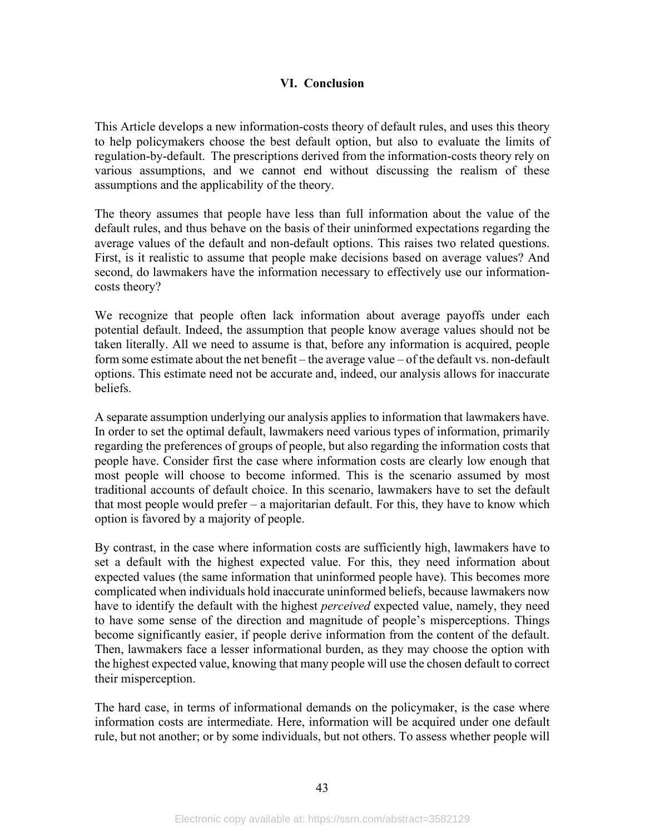## **VI. Conclusion**

This Article develops a new information-costs theory of default rules, and uses this theory to help policymakers choose the best default option, but also to evaluate the limits of regulation-by-default. The prescriptions derived from the information-costs theory rely on various assumptions, and we cannot end without discussing the realism of these assumptions and the applicability of the theory.

The theory assumes that people have less than full information about the value of the default rules, and thus behave on the basis of their uninformed expectations regarding the average values of the default and non-default options. This raises two related questions. First, is it realistic to assume that people make decisions based on average values? And second, do lawmakers have the information necessary to effectively use our informationcosts theory?

We recognize that people often lack information about average payoffs under each potential default. Indeed, the assumption that people know average values should not be taken literally. All we need to assume is that, before any information is acquired, people form some estimate about the net benefit – the average value – of the default vs. non-default options. This estimate need not be accurate and, indeed, our analysis allows for inaccurate beliefs.

A separate assumption underlying our analysis applies to information that lawmakers have. In order to set the optimal default, lawmakers need various types of information, primarily regarding the preferences of groups of people, but also regarding the information costs that people have. Consider first the case where information costs are clearly low enough that most people will choose to become informed. This is the scenario assumed by most traditional accounts of default choice. In this scenario, lawmakers have to set the default that most people would prefer – a majoritarian default. For this, they have to know which option is favored by a majority of people.

By contrast, in the case where information costs are sufficiently high, lawmakers have to set a default with the highest expected value. For this, they need information about expected values (the same information that uninformed people have). This becomes more complicated when individuals hold inaccurate uninformed beliefs, because lawmakers now have to identify the default with the highest *perceived* expected value, namely, they need to have some sense of the direction and magnitude of people's misperceptions. Things become significantly easier, if people derive information from the content of the default. Then, lawmakers face a lesser informational burden, as they may choose the option with the highest expected value, knowing that many people will use the chosen default to correct their misperception.

The hard case, in terms of informational demands on the policymaker, is the case where information costs are intermediate. Here, information will be acquired under one default rule, but not another; or by some individuals, but not others. To assess whether people will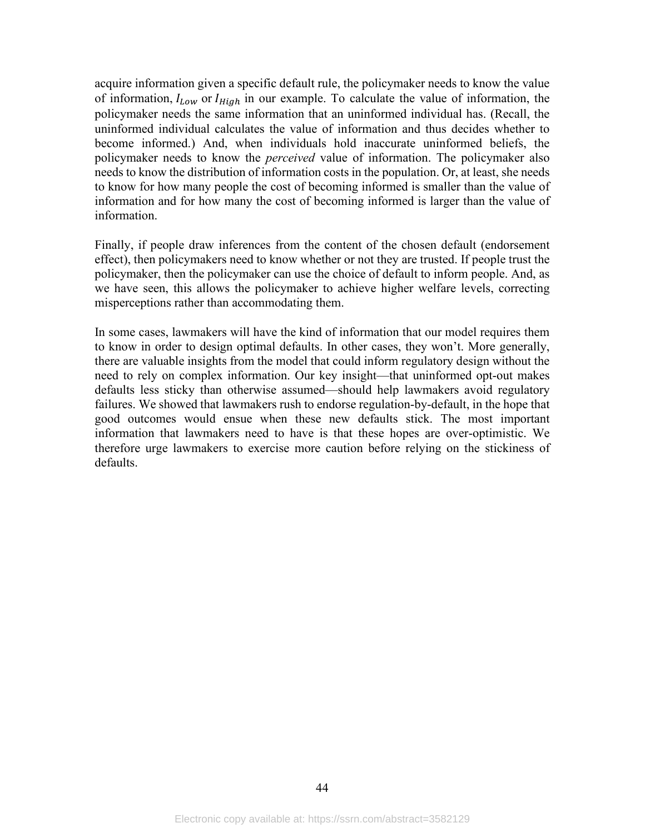acquire information given a specific default rule, the policymaker needs to know the value of information,  $I_{Low}$  or  $I_{High}$  in our example. To calculate the value of information, the policymaker needs the same information that an uninformed individual has. (Recall, the uninformed individual calculates the value of information and thus decides whether to become informed.) And, when individuals hold inaccurate uninformed beliefs, the policymaker needs to know the *perceived* value of information. The policymaker also needs to know the distribution of information costs in the population. Or, at least, she needs to know for how many people the cost of becoming informed is smaller than the value of information and for how many the cost of becoming informed is larger than the value of information.

Finally, if people draw inferences from the content of the chosen default (endorsement effect), then policymakers need to know whether or not they are trusted. If people trust the policymaker, then the policymaker can use the choice of default to inform people. And, as we have seen, this allows the policymaker to achieve higher welfare levels, correcting misperceptions rather than accommodating them.

In some cases, lawmakers will have the kind of information that our model requires them to know in order to design optimal defaults. In other cases, they won't. More generally, there are valuable insights from the model that could inform regulatory design without the need to rely on complex information. Our key insight—that uninformed opt-out makes defaults less sticky than otherwise assumed—should help lawmakers avoid regulatory failures. We showed that lawmakers rush to endorse regulation-by-default, in the hope that good outcomes would ensue when these new defaults stick. The most important information that lawmakers need to have is that these hopes are over-optimistic. We therefore urge lawmakers to exercise more caution before relying on the stickiness of defaults.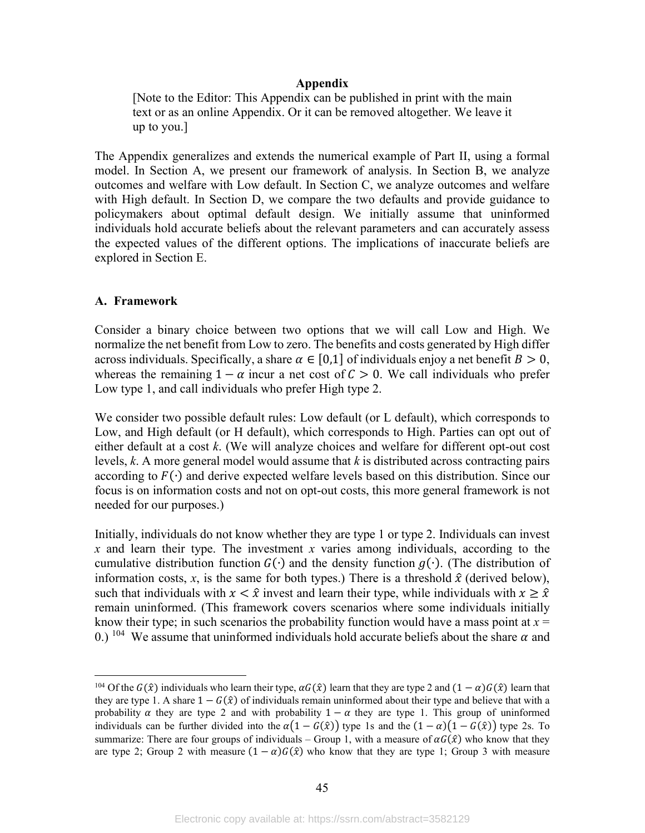#### **Appendix**

<span id="page-47-0"></span>[Note to the Editor: This Appendix can be published in print with the main text or as an online Appendix. Or it can be removed altogether. We leave it up to you.]

The Appendix generalizes and extends the numerical example of Part II, using a formal model. In Section A, we present our framework of analysis. In Section B, we analyze outcomes and welfare with Low default. In Section C, we analyze outcomes and welfare with High default. In Section D, we compare the two defaults and provide guidance to policymakers about optimal default design. We initially assume that uninformed individuals hold accurate beliefs about the relevant parameters and can accurately assess the expected values of the different options. The implications of inaccurate beliefs are explored in Section E.

#### **A. Framework**

Consider a binary choice between two options that we will call Low and High. We normalize the net benefit from Low to zero. The benefits and costs generated by High differ across individuals. Specifically, a share  $\alpha \in [0,1]$  of individuals enjoy a net benefit  $B > 0$ , whereas the remaining  $1 - \alpha$  incur a net cost of  $C > 0$ . We call individuals who prefer Low type 1, and call individuals who prefer High type 2.

We consider two possible default rules: Low default (or L default), which corresponds to Low, and High default (or H default), which corresponds to High. Parties can opt out of either default at a cost *k*. (We will analyze choices and welfare for different opt-out cost levels, *k*. A more general model would assume that *k* is distributed across contracting pairs according to  $F(\cdot)$  and derive expected welfare levels based on this distribution. Since our focus is on information costs and not on opt-out costs, this more general framework is not needed for our purposes.)

Initially, individuals do not know whether they are type 1 or type 2. Individuals can invest *x* and learn their type. The investment *x* varies among individuals, according to the cumulative distribution function  $G(·)$  and the density function  $g(·)$ . (The distribution of information costs, x, is the same for both types.) There is a threshold  $\hat{x}$  (derived below), such that individuals with  $x < \hat{x}$  invest and learn their type, while individuals with  $x \geq \hat{x}$ remain uninformed. (This framework covers scenarios where some individuals initially know their type; in such scenarios the probability function would have a mass point at  $x =$ 0.) <sup>104</sup> We assume that uninformed individuals hold accurate beliefs about the share  $\alpha$  and

<span id="page-47-1"></span><sup>&</sup>lt;sup>104</sup> Of the  $G(\hat{x})$  individuals who learn their type,  $\alpha G(\hat{x})$  learn that they are type 2 and  $(1 - \alpha)G(\hat{x})$  learn that they are type 1. A share  $1 - G(\hat{x})$  of individuals remain uninformed about their type and believe that with a probability  $\alpha$  they are type 2 and with probability  $1 - \alpha$  they are type 1. This group of uninformed individuals can be further divided into the  $\alpha(1 - G(\hat{x}))$  type 1s and the  $(1 - \alpha)(1 - G(\hat{x}))$  type 2s. To summarize: There are four groups of individuals – Group 1, with a measure of  $\alpha G(\hat{x})$  who know that they are type 2; Group 2 with measure  $(1 - \alpha)G(\hat{x})$  who know that they are type 1; Group 3 with measure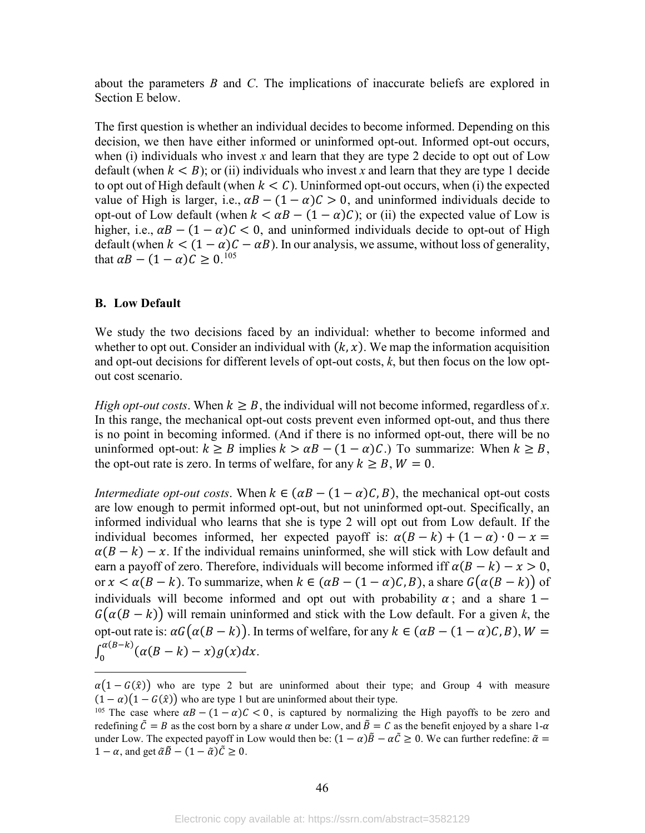about the parameters *B* and *C*. The implications of inaccurate beliefs are explored in Section E below.

The first question is whether an individual decides to become informed. Depending on this decision, we then have either informed or uninformed opt-out. Informed opt-out occurs, when (i) individuals who invest  $x$  and learn that they are type 2 decide to opt out of Low default (when  $k < B$ ); or (ii) individuals who invest x and learn that they are type 1 decide to opt out of High default (when  $k < C$ ). Uninformed opt-out occurs, when (i) the expected value of High is larger, i.e.,  $\alpha B - (1 - \alpha)C > 0$ , and uninformed individuals decide to opt-out of Low default (when  $k < \alpha B - (1 - \alpha)C$ ); or (ii) the expected value of Low is higher, i.e.,  $\alpha B - (1 - \alpha)C < 0$ , and uninformed individuals decide to opt-out of High default (when  $k < (1 - \alpha)C - \alpha B$ ). In our analysis, we assume, without loss of generality, that  $\alpha B - (1 - \alpha)C \geq 0.105$  $\alpha B - (1 - \alpha)C \geq 0.105$ 

#### **B. Low Default**

We study the two decisions faced by an individual: whether to become informed and whether to opt out. Consider an individual with  $(k, x)$ . We map the information acquisition and opt-out decisions for different levels of opt-out costs, *k*, but then focus on the low optout cost scenario.

*High opt-out costs*. When  $k \geq B$ , the individual will not become informed, regardless of *x*. In this range, the mechanical opt-out costs prevent even informed opt-out, and thus there is no point in becoming informed. (And if there is no informed opt-out, there will be no uninformed opt-out:  $k \geq B$  implies  $k > \alpha B - (1 - \alpha)C$ .) To summarize: When  $k \geq B$ , the opt-out rate is zero. In terms of welfare, for any  $k \geq B$ ,  $W = 0$ .

*Intermediate opt-out costs.* When  $k \in (\alpha B - (1 - \alpha)C, B)$ , the mechanical opt-out costs are low enough to permit informed opt-out, but not uninformed opt-out. Specifically, an informed individual who learns that she is type 2 will opt out from Low default. If the individual becomes informed, her expected payoff is:  $\alpha(B - k) + (1 - \alpha) \cdot 0 - x =$  $\alpha(B - k) - x$ . If the individual remains uninformed, she will stick with Low default and earn a payoff of zero. Therefore, individuals will become informed iff  $\alpha (B - k) - x > 0$ , or  $x < \alpha(B - k)$ . To summarize, when  $k \in (\alpha B - (1 - \alpha)C, B)$ , a share  $G(\alpha(B - k))$  of individuals will become informed and opt out with probability  $\alpha$ ; and a share 1 −  $G(\alpha(B - k))$  will remain uninformed and stick with the Low default. For a given k, the opt-out rate is:  $\alpha G(\alpha(B - k))$ . In terms of welfare, for any  $k \in (\alpha B - (1 - \alpha)C, B)$ ,  $W =$  $\int_0^{\alpha(B-k)} (\alpha(B-k)-x)g(x)dx.$ 

 $\alpha(1 - G(\hat{x}))$  who are type 2 but are uninformed about their type; and Group 4 with measure  $(1 - \alpha)(1 - G(\hat{x}))$  who are type 1 but are uninformed about their type.

<span id="page-48-0"></span><sup>&</sup>lt;sup>105</sup> The case where  $\alpha B - (1 - \alpha)C < 0$ , is captured by normalizing the High payoffs to be zero and redefining  $\tilde{C} = B$  as the cost born by a share  $\alpha$  under Low, and  $\tilde{B} = C$  as the benefit enjoyed by a share  $1-\alpha$ under Low. The expected payoff in Low would then be:  $(1 - \alpha)\tilde{B} - \alpha\tilde{C} \ge 0$ . We can further redefine:  $\tilde{\alpha} =$  $1 - \alpha$ , and get  $\tilde{\alpha}\tilde{\beta} - (1 - \tilde{\alpha})\tilde{\beta} \ge 0$ .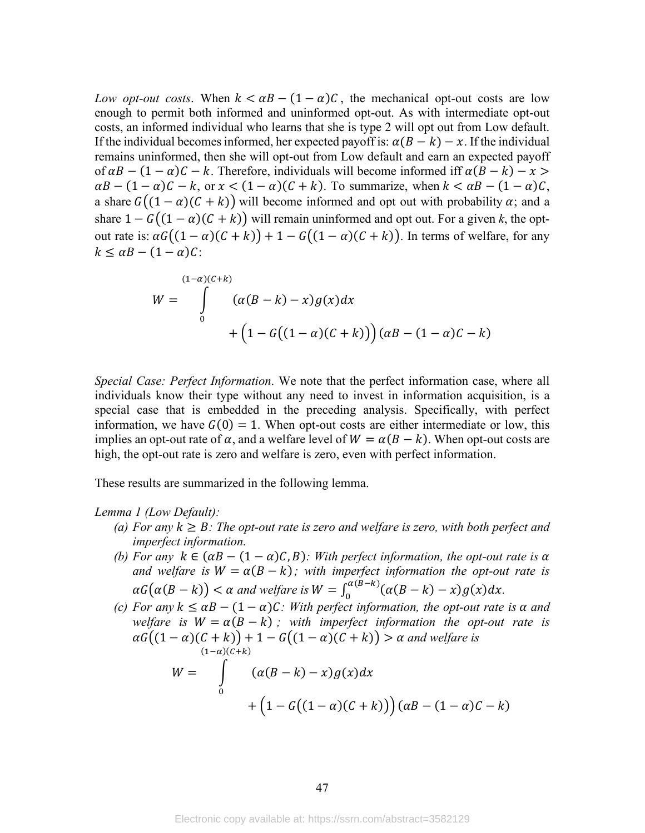*Low opt-out costs.* When  $k < \alpha B - (1 - \alpha)C$ , the mechanical opt-out costs are low enough to permit both informed and uninformed opt-out. As with intermediate opt-out costs, an informed individual who learns that she is type 2 will opt out from Low default. If the individual becomes informed, her expected payoff is:  $\alpha(B - k) - x$ . If the individual remains uninformed, then she will opt-out from Low default and earn an expected payoff of  $\alpha B - (1 - \alpha)C - k$ . Therefore, individuals will become informed iff  $\alpha (B - k) - x >$  $\alpha B - (1 - \alpha)C - k$ , or  $x < (1 - \alpha)(C + k)$ . To summarize, when  $k < \alpha B - (1 - \alpha)C$ , a share  $G((1 - \alpha)(C + k))$  will become informed and opt out with probability  $\alpha$ ; and a share  $1 - G((1 - \alpha)(C + k))$  will remain uninformed and opt out. For a given k, the optout rate is:  $\alpha G((1 - \alpha)(C + k)) + 1 - G((1 - \alpha)(C + k))$ . In terms of welfare, for any  $k \leq \alpha B - (1 - \alpha)C$ :

$$
W = \int_{0}^{(1-\alpha)(C+k)} (\alpha(B-k) - x)g(x)dx + (1 - G((1-\alpha)(C+k))) (\alpha B - (1-\alpha)C - k)
$$

*Special Case: Perfect Information*. We note that the perfect information case, where all individuals know their type without any need to invest in information acquisition, is a special case that is embedded in the preceding analysis. Specifically, with perfect information, we have  $G(0) = 1$ . When opt-out costs are either intermediate or low, this implies an opt-out rate of  $\alpha$ , and a welfare level of  $W = \alpha (B - k)$ . When opt-out costs are high, the opt-out rate is zero and welfare is zero, even with perfect information.

These results are summarized in the following lemma.

#### *Lemma 1 (Low Default):*

- *(a)* For any  $k \geq B$ : The opt-out rate is zero and welfare is zero, with both perfect and *imperfect information.*
- *(b)* For any  $k \in (\alpha B (1 \alpha)C, B)$ : With perfect information, the opt-out rate is  $\alpha$ *and welfare is*  $W = \alpha(B - k)$ ; with imperfect information the opt-out rate is  $\alpha G(\alpha (B - k)) < \alpha$  and welfare is  $W = \int_0^{\alpha (B - k)} (\alpha (B - k) - x) g(x) dx$ .
- *(c)* For any  $k \leq \alpha B (1 \alpha)C$ : With perfect information, the opt-out rate is  $\alpha$  and *welfare is*  $W = \alpha(B - k)$ ; with imperfect information the opt-out rate is  $\alpha G((1 - \alpha)(C + k)) + 1 - G((1 - \alpha)(C + k)) > \alpha$  and welfare is  $(1-\alpha)(C+k)$

$$
W = \int\limits_{0}^{R} (\alpha(B-k) - x)g(x)dx + (1 - G((1-\alpha)(C+k))) (\alpha B - (1-\alpha)C - k)
$$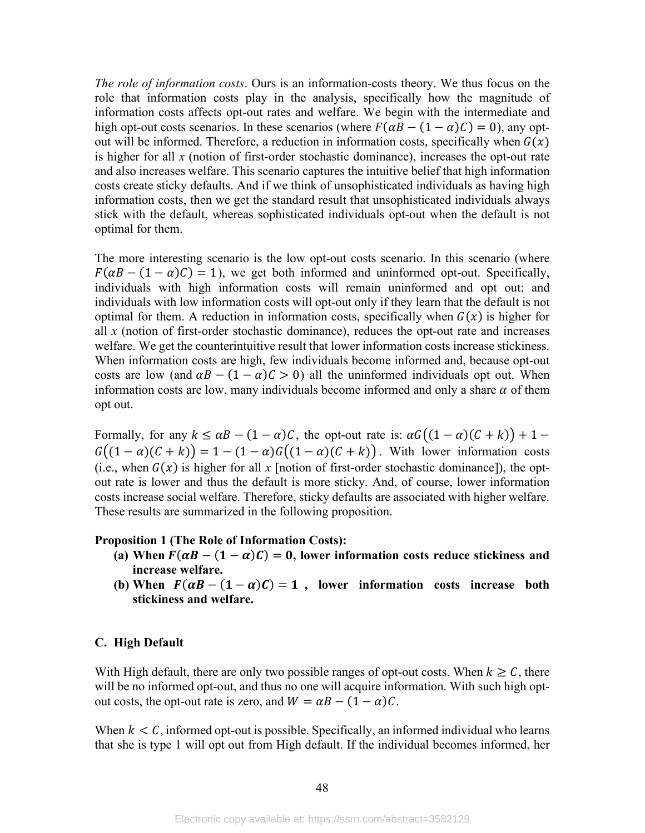*The role of information costs*. Ours is an information-costs theory. We thus focus on the role that information costs play in the analysis, specifically how the magnitude of information costs affects opt-out rates and welfare. We begin with the intermediate and high opt-out costs scenarios. In these scenarios (where  $F(\alpha B - (1 - \alpha)C) = 0$ ), any optout will be informed. Therefore, a reduction in information costs, specifically when  $G(x)$ is higher for all *x* (notion of first-order stochastic dominance), increases the opt-out rate and also increases welfare. This scenario captures the intuitive belief that high information costs create sticky defaults. And if we think of unsophisticated individuals as having high information costs, then we get the standard result that unsophisticated individuals always stick with the default, whereas sophisticated individuals opt-out when the default is not optimal for them.

The more interesting scenario is the low opt-out costs scenario. In this scenario (where  $F(\alpha B - (1 - \alpha)\mathcal{C}) = 1$ , we get both informed and uninformed opt-out. Specifically, individuals with high information costs will remain uninformed and opt out; and individuals with low information costs will opt-out only if they learn that the default is not optimal for them. A reduction in information costs, specifically when  $G(x)$  is higher for all *x* (notion of first-order stochastic dominance), reduces the opt-out rate and increases welfare. We get the counterintuitive result that lower information costs increase stickiness. When information costs are high, few individuals become informed and, because opt-out costs are low (and  $\alpha B - (1 - \alpha)C > 0$ ) all the uninformed individuals opt out. When information costs are low, many individuals become informed and only a share  $\alpha$  of them opt out.

Formally, for any  $k \le \alpha B - (1 - \alpha)C$ , the opt-out rate is:  $\alpha G((1 - \alpha)(C + k)) + 1 G((1 - \alpha)(C + k)) = 1 - (1 - \alpha)G((1 - \alpha)(C + k))$ . With lower information costs (i.e., when  $G(x)$  is higher for all x [notion of first-order stochastic dominance]), the optout rate is lower and thus the default is more sticky. And, of course, lower information costs increase social welfare. Therefore, sticky defaults are associated with higher welfare. These results are summarized in the following proposition.

#### **Proposition 1 (The Role of Information Costs):**

- (a) When  $F(\alpha B (1 \alpha)C) = 0$ , lower information costs reduce stickiness and **increase welfare.**
- **(b)** When  $F(\alpha B (1 \alpha)C) = 1$ , lower information costs increase both **stickiness and welfare.**

#### **C. High Default**

With High default, there are only two possible ranges of opt-out costs. When  $k \geq C$ , there will be no informed opt-out, and thus no one will acquire information. With such high optout costs, the opt-out rate is zero, and  $W = \alpha B - (1 - \alpha)C$ .

When  $k < C$ , informed opt-out is possible. Specifically, an informed individual who learns that she is type 1 will opt out from High default. If the individual becomes informed, her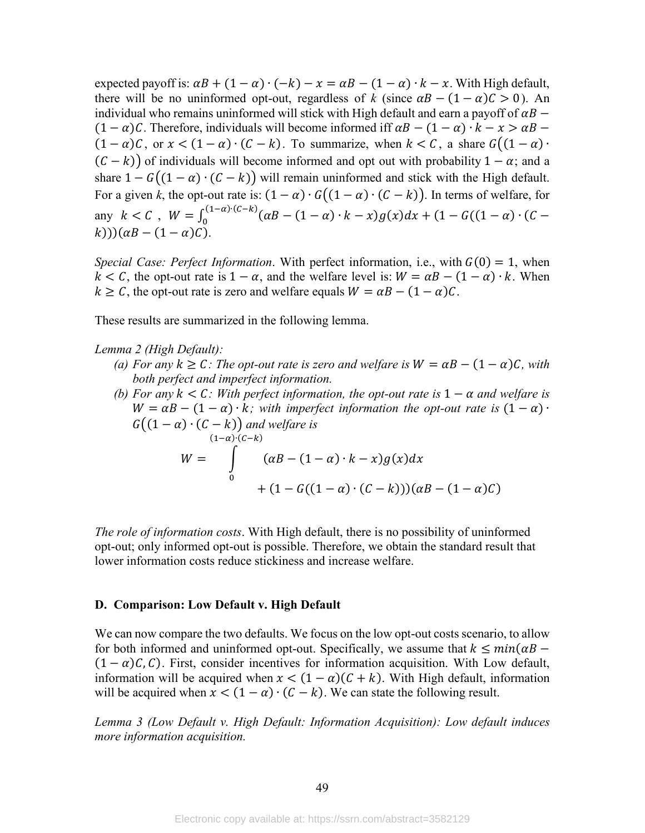expected payoff is:  $\alpha B + (1 - \alpha) \cdot (-k) - x = \alpha B - (1 - \alpha) \cdot k - x$ . With High default, there will be no uninformed opt-out, regardless of *k* (since  $\alpha B - (1 - \alpha)C > 0$ ). An individual who remains uninformed will stick with High default and earn a payoff of  $\alpha B$  –  $(1 - \alpha)C$ . Therefore, individuals will become informed iff  $\alpha B - (1 - \alpha) \cdot k - x > \alpha B (1 - \alpha)\mathcal{C}$ , or  $x < (1 - \alpha) \cdot (\mathcal{C} - \mathcal{K})$ . To summarize, when  $\mathcal{K} < \mathcal{C}$ , a share  $G((1 - \alpha) \cdot$  $(C - k)$  of individuals will become informed and opt out with probability  $1 - \alpha$ ; and a share  $1 - G((1 - \alpha) \cdot (C - k))$  will remain uninformed and stick with the High default. For a given *k*, the opt-out rate is:  $(1 - \alpha) \cdot G((1 - \alpha) \cdot (C - k))$ . In terms of welfare, for any  $k < C$ ,  $W = \int_0^{(1-\alpha)\cdot(C-k)} (\alpha B - (1-\alpha)\cdot k - x) g(x) dx + (1 - G((1-\alpha)\cdot(C (k)$ ))( $\alpha B - (1 - \alpha)C$ ).

*Special Case: Perfect Information.* With perfect information, i.e., with  $G(0) = 1$ , when  $k < C$ , the opt-out rate is  $1 - \alpha$ , and the welfare level is:  $W = \alpha B - (1 - \alpha) \cdot k$ . When  $k \geq C$ , the opt-out rate is zero and welfare equals  $W = \alpha B - (1 - \alpha)C$ .

These results are summarized in the following lemma.

*Lemma 2 (High Default):*

- *(a) For any*  $k \geq C$ *: The opt-out rate is zero and welfare is*  $W = \alpha B (1 \alpha)C$ *, with both perfect and imperfect information.*
- *(b)* For any  $k \leq C$ : With perfect information, the opt-out rate is  $1 \alpha$  and welfare is  $W = \alpha B - (1 - \alpha) \cdot k$ ; with imperfect information the opt-out rate is  $(1 - \alpha) \cdot$  $G((1 - \alpha) \cdot (C - k))$  and welfare is  $W = \qquad (\alpha B - (1 - \alpha) \cdot k - x) g(x) d$  $(1-\alpha)$ • $(c-k)$ 0  $+(1-G((1-\alpha) \cdot (C-k)))(\alpha B-(1-\alpha)C)$

*The role of information costs*. With High default, there is no possibility of uninformed opt-out; only informed opt-out is possible. Therefore, we obtain the standard result that lower information costs reduce stickiness and increase welfare.

#### **D. Comparison: Low Default v. High Default**

We can now compare the two defaults. We focus on the low opt-out costs scenario, to allow for both informed and uninformed opt-out. Specifically, we assume that  $k \leq min(\alpha B - \alpha)$  $(1 - \alpha)C$ , C). First, consider incentives for information acquisition. With Low default, information will be acquired when  $x < (1 - \alpha)(C + k)$ . With High default, information will be acquired when  $x < (1 - \alpha) \cdot (C - k)$ . We can state the following result.

*Lemma 3 (Low Default v. High Default: Information Acquisition): Low default induces more information acquisition.*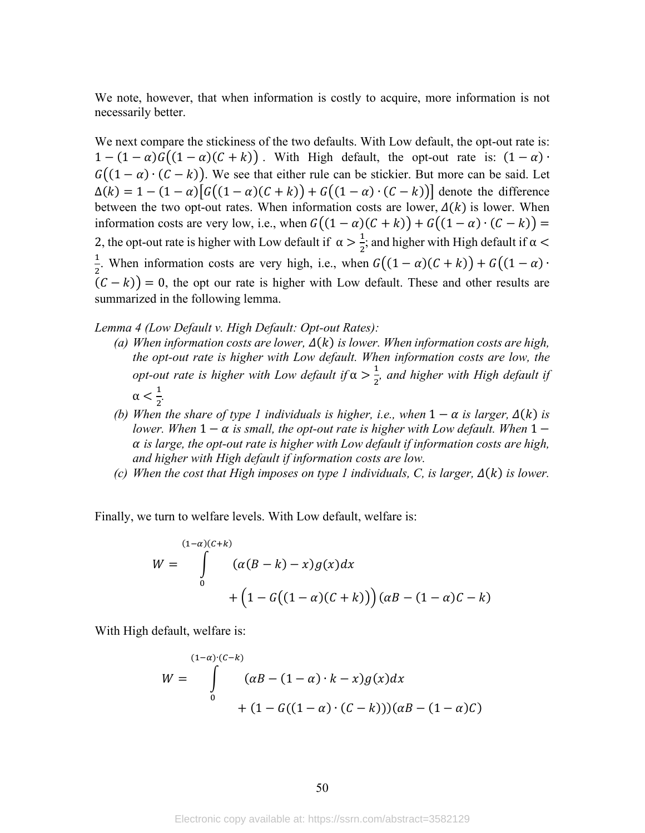We note, however, that when information is costly to acquire, more information is not necessarily better.

We next compare the stickiness of the two defaults. With Low default, the opt-out rate is:  $1 - (1 - \alpha)G((1 - \alpha)(C + k))$ . With High default, the opt-out rate is:  $(1 - \alpha)$ .  $G((1 - \alpha) \cdot (C - k))$ . We see that either rule can be stickier. But more can be said. Let  $\Delta(k) = 1 - (1 - \alpha) \big[ G((1 - \alpha)(C + k)) + G((1 - \alpha) \cdot (C - k)) \big]$  denote the difference between the two opt-out rates. When information costs are lower,  $\Delta(k)$  is lower. When information costs are very low, i.e., when  $G((1 - \alpha)(C + k)) + G((1 - \alpha) \cdot (C - k)) =$ 2, the opt-out rate is higher with Low default if  $\alpha > \frac{1}{2}$  $\frac{1}{2}$ ; and higher with High default if  $\alpha$  < 1  $\frac{1}{2}$ . When information costs are very high, i.e., when  $G((1 - \alpha)(C + k)) + G((1 - \alpha) \cdot$  $(C - k)$  = 0, the opt our rate is higher with Low default. These and other results are summarized in the following lemma.

*Lemma 4 (Low Default v. High Default: Opt-out Rates):*

- (a) When information costs are lower,  $\Delta(k)$  is lower. When information costs are high, *the opt-out rate is higher with Low default. When information costs are low, the opt-out rate is higher with Low default if*  $\alpha > \frac{1}{2}$  $\frac{1}{2}$ , and higher with High default if  $\alpha < \frac{1}{2}$  $\frac{1}{2}$ .
- *(b)* When the share of type 1 individuals is higher, i.e., when  $1 \alpha$  is larger,  $\Delta(k)$  is *lower. When*  $1 - \alpha$  *is small, the opt-out rate is higher with Low default. When*  $1$  *is large, the opt-out rate is higher with Low default if information costs are high, and higher with High default if information costs are low.*
- *(c)* When the cost that High imposes on type 1 individuals, C, is larger,  $\Delta(k)$  is lower.

Finally, we turn to welfare levels. With Low default, welfare is:

$$
W = \int_{0}^{(1-\alpha)(C+k)} (\alpha(B-k) - x)g(x)dx
$$

$$
+ (1 - G((1-\alpha)(C+k))) (\alpha B - (1-\alpha)C - k)
$$

With High default, welfare is:

$$
W = \int_{0}^{(1-\alpha)\cdot (C-k)} (\alpha B - (1-\alpha)\cdot k - x)g(x)dx + (1 - G((1-\alpha)\cdot (C-k)))(\alpha B - (1-\alpha)C)
$$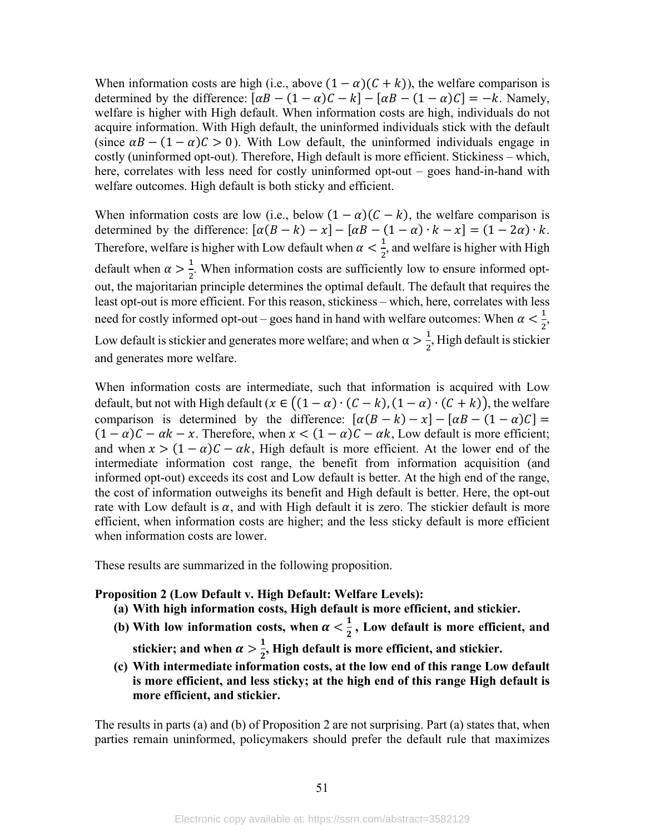When information costs are high (i.e., above  $(1 - \alpha)(C + k)$ ), the welfare comparison is determined by the difference:  $[\alpha B - (1 - \alpha)C - k] - [\alpha B - (1 - \alpha)C] = -k$ . Namely, welfare is higher with High default. When information costs are high, individuals do not acquire information. With High default, the uninformed individuals stick with the default (since  $\alpha B - (1 - \alpha)C > 0$ ). With Low default, the uninformed individuals engage in costly (uninformed opt-out). Therefore, High default is more efficient. Stickiness – which, here, correlates with less need for costly uninformed opt-out – goes hand-in-hand with welfare outcomes. High default is both sticky and efficient.

When information costs are low (i.e., below  $(1 - \alpha)(C - k)$ , the welfare comparison is determined by the difference:  $[\alpha(B - k) - x] - [\alpha B - (1 - \alpha) \cdot k - x] = (1 - 2\alpha) \cdot k$ . Therefore, welfare is higher with Low default when  $\alpha < \frac{1}{2}$  $\frac{1}{2}$ , and welfare is higher with High default when  $\alpha > \frac{1}{2}$  $\frac{1}{2}$ . When information costs are sufficiently low to ensure informed optout, the majoritarian principle determines the optimal default. The default that requires the least opt-out is more efficient. For this reason, stickiness – which, here, correlates with less need for costly informed opt-out – goes hand in hand with welfare outcomes: When  $\alpha < \frac{1}{2}$  $\frac{1}{2}$ , Low default is stickier and generates more welfare; and when  $\alpha > \frac{1}{2}$  $\frac{1}{2}$ , High default is stickier and generates more welfare.

When information costs are intermediate, such that information is acquired with Low default, but not with High default ( $x \in ((1 - \alpha) \cdot (C - k), (1 - \alpha) \cdot (C + k))$ , the welfare comparison is determined by the difference:  $[\alpha(B - k) - x] - [\alpha B - (1 - \alpha)C] =$  $(1 - \alpha)C - \alpha k - x$ . Therefore, when  $x < (1 - \alpha)C - \alpha k$ , Low default is more efficient; and when  $x > (1 - \alpha)C - \alpha k$ , High default is more efficient. At the lower end of the intermediate information cost range, the benefit from information acquisition (and informed opt-out) exceeds its cost and Low default is better. At the high end of the range, the cost of information outweighs its benefit and High default is better. Here, the opt-out rate with Low default is  $\alpha$ , and with High default it is zero. The stickier default is more efficient, when information costs are higher; and the less sticky default is more efficient when information costs are lower.

These results are summarized in the following proposition.

#### **Proposition 2 (Low Default v. High Default: Welfare Levels):**

- **(a) With high information costs, High default is more efficient, and stickier.**
- (b) With low information costs, when  $\alpha < \frac{1}{2}$ , Low default is more efficient, and stickier; and when  $\alpha > \frac{1}{2}$ , High default is more efficient, and stickier.
- **(c) With intermediate information costs, at the low end of this range Low default is more efficient, and less sticky; at the high end of this range High default is more efficient, and stickier.**

The results in parts (a) and (b) of Proposition 2 are not surprising. Part (a) states that, when parties remain uninformed, policymakers should prefer the default rule that maximizes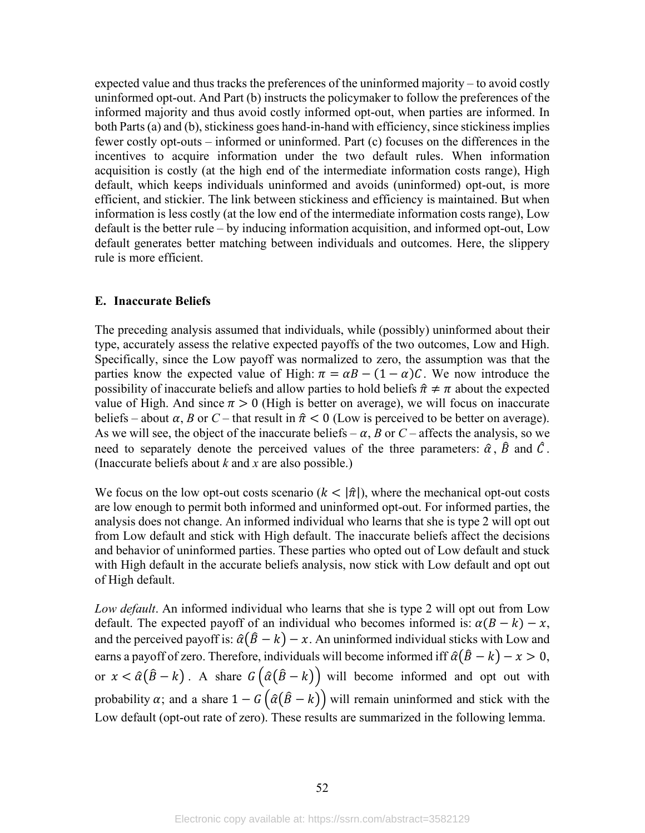expected value and thus tracks the preferences of the uninformed majority – to avoid costly uninformed opt-out. And Part (b) instructs the policymaker to follow the preferences of the informed majority and thus avoid costly informed opt-out, when parties are informed. In both Parts(a) and (b), stickiness goes hand-in-hand with efficiency, since stickiness implies fewer costly opt-outs – informed or uninformed. Part (c) focuses on the differences in the incentives to acquire information under the two default rules. When information acquisition is costly (at the high end of the intermediate information costs range), High default, which keeps individuals uninformed and avoids (uninformed) opt-out, is more efficient, and stickier. The link between stickiness and efficiency is maintained. But when information is less costly (at the low end of the intermediate information costs range), Low default is the better rule – by inducing information acquisition, and informed opt-out, Low default generates better matching between individuals and outcomes. Here, the slippery rule is more efficient.

#### **E. Inaccurate Beliefs**

The preceding analysis assumed that individuals, while (possibly) uninformed about their type, accurately assess the relative expected payoffs of the two outcomes, Low and High. Specifically, since the Low payoff was normalized to zero, the assumption was that the parties know the expected value of High:  $\pi = \alpha B - (1 - \alpha)C$ . We now introduce the possibility of inaccurate beliefs and allow parties to hold beliefs  $\hat{\pi} \neq \pi$  about the expected value of High. And since  $\pi > 0$  (High is better on average), we will focus on inaccurate beliefs – about  $\alpha$ , *B* or *C* – that result in  $\hat{\pi}$  < 0 (Low is perceived to be better on average). As we will see, the object of the inaccurate beliefs –  $\alpha$ , *B* or *C* – affects the analysis, so we need to separately denote the perceived values of the three parameters:  $\hat{\alpha}$ ,  $\hat{\beta}$  and  $\hat{\beta}$ . (Inaccurate beliefs about *k* and *x* are also possible.)

We focus on the low opt-out costs scenario  $(k < |\hat{\pi}|)$ , where the mechanical opt-out costs are low enough to permit both informed and uninformed opt-out. For informed parties, the analysis does not change. An informed individual who learns that she is type 2 will opt out from Low default and stick with High default. The inaccurate beliefs affect the decisions and behavior of uninformed parties. These parties who opted out of Low default and stuck with High default in the accurate beliefs analysis, now stick with Low default and opt out of High default.

*Low default*. An informed individual who learns that she is type 2 will opt out from Low default. The expected payoff of an individual who becomes informed is:  $\alpha(B - k) - x$ , and the perceived payoff is:  $\hat{\alpha}(\hat{B} - k) - x$ . An uninformed individual sticks with Low and earns a payoff of zero. Therefore, individuals will become informed iff  $\hat{\alpha}(\hat{B} - k) - x > 0$ , or  $x < \hat{\alpha}(\hat{B} - k)$ . A share  $G(\hat{\alpha}(\hat{B} - k))$  will become informed and opt out with probability  $\alpha$ ; and a share  $1 - G\left(\hat{\alpha}(\hat{B} - k)\right)$  will remain uninformed and stick with the Low default (opt-out rate of zero). These results are summarized in the following lemma.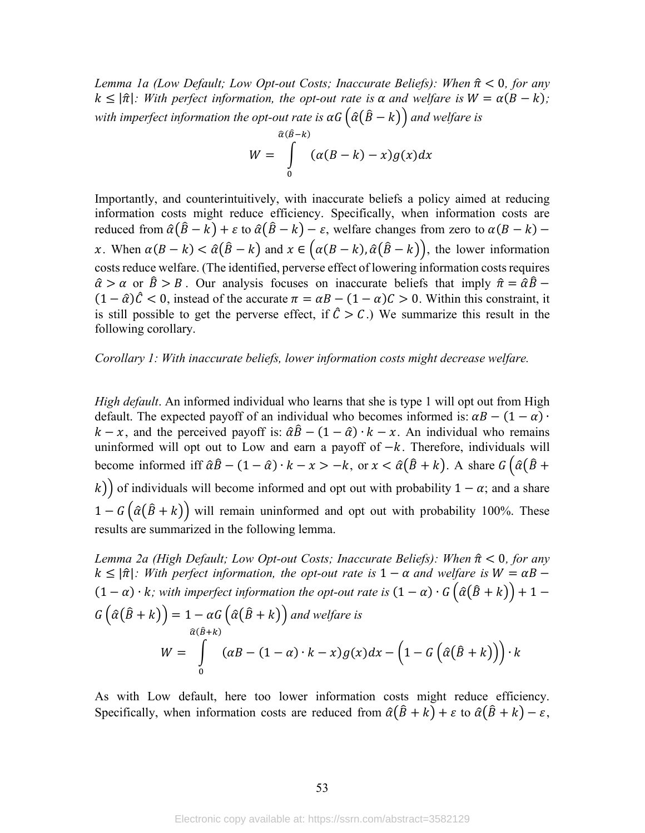Lemma 1a (Low Default; Low Opt-out Costs; Inaccurate Beliefs): When  $\hat{\pi}$  < 0, for any  $k \leq |\hat{\pi}|$ : With perfect information, the opt-out rate is  $\alpha$  and welfare is  $W = \alpha(B - k)$ ; with imperfect information the opt-out rate is  $\alpha G(\hat{a}(B-k))$  and welfare is

$$
W = \int\limits_{0}^{\widehat{\alpha}(B-k)} (\alpha(B-k) - x) g(x) dx
$$

Importantly, and counterintuitively, with inaccurate beliefs a policy aimed at reducing information costs might reduce efficiency. Specifically, when information costs are reduced from  $\hat{\alpha}(\hat{B}-k) + \varepsilon$  to  $\hat{\alpha}(\hat{B}-k) - \varepsilon$ , welfare changes from zero to  $\alpha(B-k)$  – x. When  $\alpha(B - k) < \hat{\alpha}(\hat{B} - k)$  and  $x \in (\alpha(B - k), \hat{\alpha}(\hat{B} - k))$ , the lower information costs reduce welfare. (The identified, perverse effect of lowering information costs requires  $\hat{\alpha} > \alpha$  or  $\hat{\beta} > B$ . Our analysis focuses on inaccurate beliefs that imply  $\hat{\pi} = \hat{\alpha}\hat{\beta}$  $(1 - \hat{\alpha})\hat{C} < 0$ , instead of the accurate  $\pi = \alpha B - (1 - \alpha)C > 0$ . Within this constraint, it is still possible to get the perverse effect, if  $\hat{C} > C$ .) We summarize this result in the following corollary.

#### Corollary 1: With inaccurate beliefs, lower information costs might decrease welfare.

*High default.* An informed individual who learns that she is type 1 will opt out from High default. The expected payoff of an individual who becomes informed is:  $\alpha B - (1 - \alpha)$ .  $k - x$ , and the perceived payoff is:  $\hat{\alpha}\hat{B} - (1 - \hat{\alpha}) \cdot k - x$ . An individual who remains uninformed will opt out to Low and earn a payoff of  $-k$ . Therefore, individuals will become informed iff  $\hat{\alpha}\hat{B} - (1 - \hat{\alpha}) \cdot k - x > -k$ , or  $x < \hat{\alpha}(\hat{B} + k)$ . A share  $G(\hat{\alpha}(\hat{B} + k))$ k) of individuals will become informed and opt out with probability  $1 - \alpha$ ; and a share  $1 - G(\hat{\alpha}(\hat{B} + k))$  will remain uninformed and opt out with probability 100%. These results are summarized in the following lemma.

Lemma 2a (High Default; Low Opt-out Costs; Inaccurate Beliefs): When  $\hat{\pi}$  < 0, for any  $k \leq |\hat{\pi}|$ : With perfect information, the opt-out rate is  $1 - \alpha$  and welfare is  $W = \alpha B - \alpha$  $(1 - \alpha) \cdot k$ ; with imperfect information the opt-out rate is  $(1 - \alpha) \cdot G\left(\hat{\alpha}(\hat{B} + k)\right) + 1 -$ <br> $G\left(\hat{\alpha}(\hat{B} + k)\right) = 1 - \alpha G\left(\hat{\alpha}(\hat{B} + k)\right)$  and welfare is  $W = \int_{0}^{\hat{\alpha}(B+k)} (\alpha B - (1-\alpha) \cdot k - x) g(x) dx - (1 - G(\hat{\alpha}(\hat{B} + k))) \cdot k$ 

As with Low default, here too lower information costs might reduce efficiency. Specifically, when information costs are reduced from  $\hat{\alpha}(\hat{B} + k) + \varepsilon$  to  $\hat{\alpha}(\hat{B} + k) - \varepsilon$ ,